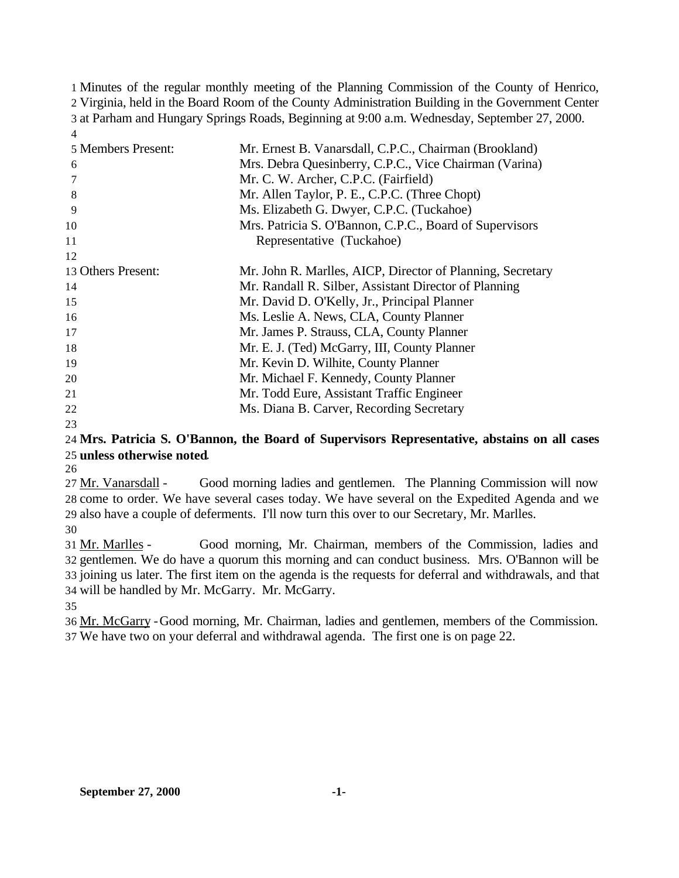Minutes of the regular monthly meeting of the Planning Commission of the County of Henrico, Virginia, held in the Board Room of the County Administration Building in the Government Center at Parham and Hungary Springs Roads, Beginning at 9:00 a.m. Wednesday, September 27, 2000. 

| 5 Members Present: | Mr. Ernest B. Vanarsdall, C.P.C., Chairman (Brookland)     |
|--------------------|------------------------------------------------------------|
| 6                  | Mrs. Debra Quesinberry, C.P.C., Vice Chairman (Varina)     |
|                    | Mr. C. W. Archer, C.P.C. (Fairfield)                       |
| 8                  | Mr. Allen Taylor, P. E., C.P.C. (Three Chopt)              |
| 9                  | Ms. Elizabeth G. Dwyer, C.P.C. (Tuckahoe)                  |
| 10                 | Mrs. Patricia S. O'Bannon, C.P.C., Board of Supervisors    |
| 11                 | Representative (Tuckahoe)                                  |
| 12                 |                                                            |
| 13 Others Present: | Mr. John R. Marlles, AICP, Director of Planning, Secretary |
| 14                 | Mr. Randall R. Silber, Assistant Director of Planning      |
| 15                 | Mr. David D. O'Kelly, Jr., Principal Planner               |
| 16                 | Ms. Leslie A. News, CLA, County Planner                    |
| 17                 | Mr. James P. Strauss, CLA, County Planner                  |
| 18                 | Mr. E. J. (Ted) McGarry, III, County Planner               |
| 19                 | Mr. Kevin D. Wilhite, County Planner                       |
| 20                 | Mr. Michael F. Kennedy, County Planner                     |
| 21                 | Mr. Todd Eure, Assistant Traffic Engineer                  |
| 22                 | Ms. Diana B. Carver, Recording Secretary                   |
|                    |                                                            |

# **Mrs. Patricia S. O'Bannon, the Board of Supervisors Representative, abstains on all cases unless otherwise noted**.

 Mr. Vanarsdall - Good morning ladies and gentlemen. The Planning Commission will now come to order. We have several cases today. We have several on the Expedited Agenda and we also have a couple of deferments. I'll now turn this over to our Secretary, Mr. Marlles.

 Mr. Marlles - Good morning, Mr. Chairman, members of the Commission, ladies and gentlemen. We do have a quorum this morning and can conduct business. Mrs. O'Bannon will be joining us later. The first item on the agenda is the requests for deferral and withdrawals, and that will be handled by Mr. McGarry. Mr. McGarry.

 Mr. McGarry -Good morning, Mr. Chairman, ladies and gentlemen, members of the Commission. We have two on your deferral and withdrawal agenda. The first one is on page 22.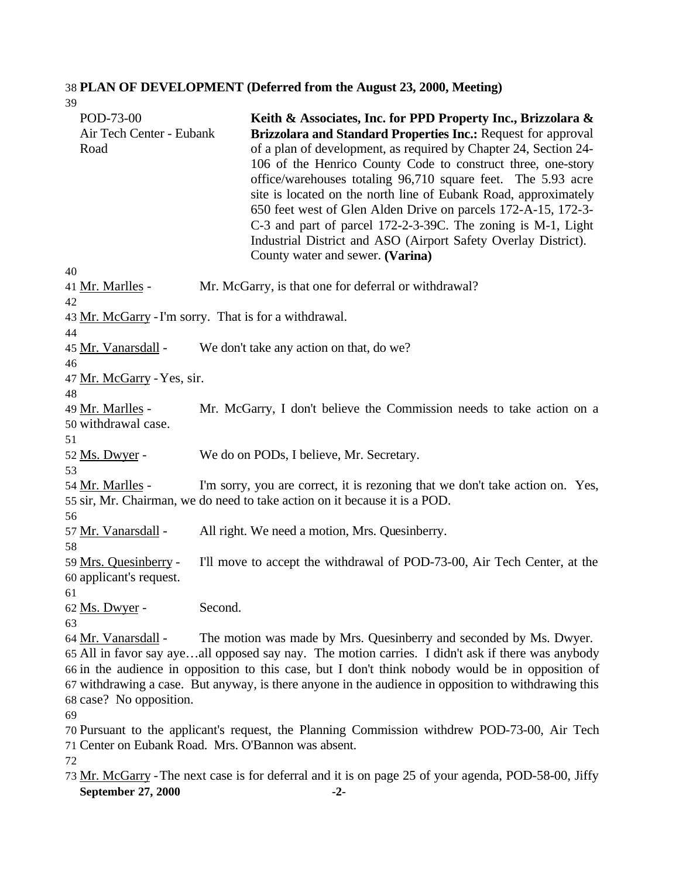#### 38 **PLAN OF DEVELOPMENT (Deferred from the August 23, 2000, Meeting)** 39

| POD-73-00<br>Air Tech Center - Eubank<br>Road        | Keith & Associates, Inc. for PPD Property Inc., Brizzolara &<br>Brizzolara and Standard Properties Inc.: Request for approval<br>of a plan of development, as required by Chapter 24, Section 24-<br>106 of the Henrico County Code to construct three, one-story<br>office/warehouses totaling 96,710 square feet. The 5.93 acre<br>site is located on the north line of Eubank Road, approximately<br>650 feet west of Glen Alden Drive on parcels 172-A-15, 172-3-<br>C-3 and part of parcel 172-2-3-39C. The zoning is M-1, Light<br>Industrial District and ASO (Airport Safety Overlay District).<br>County water and sewer. (Varina) |
|------------------------------------------------------|---------------------------------------------------------------------------------------------------------------------------------------------------------------------------------------------------------------------------------------------------------------------------------------------------------------------------------------------------------------------------------------------------------------------------------------------------------------------------------------------------------------------------------------------------------------------------------------------------------------------------------------------|
| 40<br>41 <u>Mr. Marlles</u> -                        | Mr. McGarry, is that one for deferral or withdrawal?                                                                                                                                                                                                                                                                                                                                                                                                                                                                                                                                                                                        |
| 42                                                   |                                                                                                                                                                                                                                                                                                                                                                                                                                                                                                                                                                                                                                             |
|                                                      | 43 Mr. McGarry - I'm sorry. That is for a withdrawal.                                                                                                                                                                                                                                                                                                                                                                                                                                                                                                                                                                                       |
| 44                                                   |                                                                                                                                                                                                                                                                                                                                                                                                                                                                                                                                                                                                                                             |
| 45 Mr. Vanarsdall -<br>46                            | We don't take any action on that, do we?                                                                                                                                                                                                                                                                                                                                                                                                                                                                                                                                                                                                    |
| 47 Mr. McGarry - Yes, sir.                           |                                                                                                                                                                                                                                                                                                                                                                                                                                                                                                                                                                                                                                             |
| 48                                                   |                                                                                                                                                                                                                                                                                                                                                                                                                                                                                                                                                                                                                                             |
| 49 <u>Mr. Marlles</u> -<br>50 withdrawal case.       | Mr. McGarry, I don't believe the Commission needs to take action on a                                                                                                                                                                                                                                                                                                                                                                                                                                                                                                                                                                       |
| 51                                                   |                                                                                                                                                                                                                                                                                                                                                                                                                                                                                                                                                                                                                                             |
| 52 Ms. Dwyer -                                       | We do on PODs, I believe, Mr. Secretary.                                                                                                                                                                                                                                                                                                                                                                                                                                                                                                                                                                                                    |
| 53                                                   |                                                                                                                                                                                                                                                                                                                                                                                                                                                                                                                                                                                                                                             |
| 54 Mr. Marlles -                                     | I'm sorry, you are correct, it is rezoning that we don't take action on. Yes,<br>55 sir, Mr. Chairman, we do need to take action on it because it is a POD.                                                                                                                                                                                                                                                                                                                                                                                                                                                                                 |
| 56                                                   |                                                                                                                                                                                                                                                                                                                                                                                                                                                                                                                                                                                                                                             |
| 57 Mr. Vanarsdall -                                  | All right. We need a motion, Mrs. Quesinberry.                                                                                                                                                                                                                                                                                                                                                                                                                                                                                                                                                                                              |
| 58                                                   |                                                                                                                                                                                                                                                                                                                                                                                                                                                                                                                                                                                                                                             |
| 59 Mrs. Quesinberry -<br>60 applicant's request.     | I'll move to accept the withdrawal of POD-73-00, Air Tech Center, at the                                                                                                                                                                                                                                                                                                                                                                                                                                                                                                                                                                    |
| 61<br>62 <u>Ms. Dwyer</u> -                          | Second.                                                                                                                                                                                                                                                                                                                                                                                                                                                                                                                                                                                                                                     |
| 63<br>64 Mr. Vanarsdall -<br>68 case? No opposition. | The motion was made by Mrs. Quesinberry and seconded by Ms. Dwyer.<br>65 All in favor say ayeall opposed say nay. The motion carries. I didn't ask if there was anybody<br>66 in the audience in opposition to this case, but I don't think nobody would be in opposition of<br>67 withdrawing a case. But anyway, is there anyone in the audience in opposition to withdrawing this                                                                                                                                                                                                                                                        |
| 69                                                   |                                                                                                                                                                                                                                                                                                                                                                                                                                                                                                                                                                                                                                             |
|                                                      | 70 Pursuant to the applicant's request, the Planning Commission withdrew POD-73-00, Air Tech<br>71 Center on Eubank Road. Mrs. O'Bannon was absent.                                                                                                                                                                                                                                                                                                                                                                                                                                                                                         |
| 72                                                   |                                                                                                                                                                                                                                                                                                                                                                                                                                                                                                                                                                                                                                             |
|                                                      | 73 Mr. McGarry - The next case is for deferral and it is on page 25 of your agenda, POD-58-00, Jiffy                                                                                                                                                                                                                                                                                                                                                                                                                                                                                                                                        |
| September 27, 2000                                   | $-2-$                                                                                                                                                                                                                                                                                                                                                                                                                                                                                                                                                                                                                                       |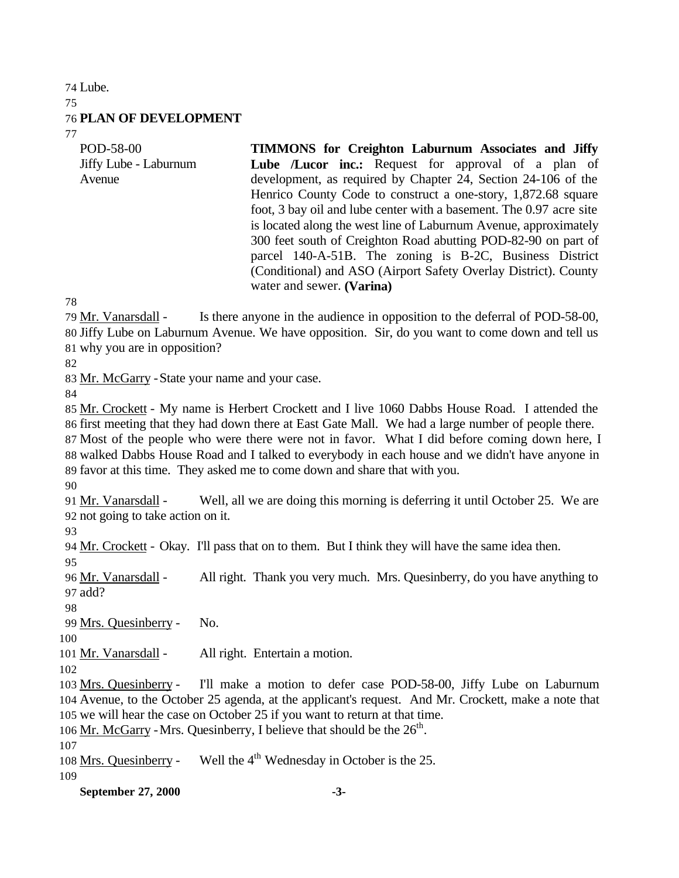Lube. **PLAN OF DEVELOPMENT**

POD-58-00 Jiffy Lube - Laburnum Avenue

**TIMMONS for Creighton Laburnum Associates and Jiffy Lube /Lucor inc.:** Request for approval of a plan of development, as required by Chapter 24, Section 24-106 of the Henrico County Code to construct a one-story, 1,872.68 square foot, 3 bay oil and lube center with a basement. The 0.97 acre site is located along the west line of Laburnum Avenue, approximately 300 feet south of Creighton Road abutting POD-82-90 on part of parcel 140-A-51B. The zoning is B-2C, Business District (Conditional) and ASO (Airport Safety Overlay District). County water and sewer. **(Varina)**

 Mr. Vanarsdall - Is there anyone in the audience in opposition to the deferral of POD-58-00, Jiffy Lube on Laburnum Avenue. We have opposition. Sir, do you want to come down and tell us why you are in opposition?

Mr. McGarry -State your name and your case.

 Mr. Crockett - My name is Herbert Crockett and I live 1060 Dabbs House Road. I attended the first meeting that they had down there at East Gate Mall. We had a large number of people there. Most of the people who were there were not in favor. What I did before coming down here, I walked Dabbs House Road and I talked to everybody in each house and we didn't have anyone in favor at this time. They asked me to come down and share that with you.

 Mr. Vanarsdall - Well, all we are doing this morning is deferring it until October 25. We are not going to take action on it.

Mr. Crockett - Okay. I'll pass that on to them. But I think they will have the same idea then.

96 Mr. Vanarsdall - All right. Thank you very much. Mrs. Quesinberry, do you have anything to add?

Mrs. Quesinberry - No.

Mr. Vanarsdall - All right. Entertain a motion.

 Mrs. Quesinberry - I'll make a motion to defer case POD-58-00, Jiffy Lube on Laburnum Avenue, to the October 25 agenda, at the applicant's request. And Mr. Crockett, make a note that we will hear the case on October 25 if you want to return at that time.

106 Mr. McGarry - Mrs. Quesinberry, I believe that should be the  $26<sup>th</sup>$ .

108 Mrs. Quesinberry - Well the  $4<sup>th</sup>$  Wednesday in October is the 25.

**September 27, 2000 -3-**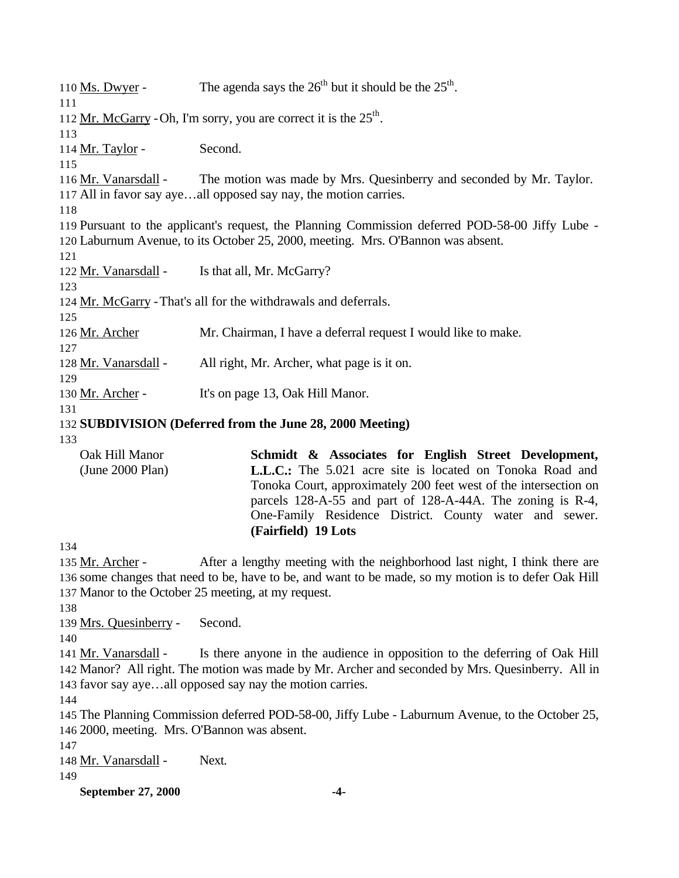110 Ms. Dwyer - The agenda says the  $26<sup>th</sup>$  but it should be the  $25<sup>th</sup>$ . 112 Mr. McGarry - Oh, I'm sorry, you are correct it is the  $25<sup>th</sup>$ . 114 Mr. Taylor - Second. Mr. Vanarsdall - The motion was made by Mrs. Quesinberry and seconded by Mr. Taylor. All in favor say aye…all opposed say nay, the motion carries. Pursuant to the applicant's request, the Planning Commission deferred POD-58-00 Jiffy Lube - Laburnum Avenue, to its October 25, 2000, meeting. Mrs. O'Bannon was absent. Mr. Vanarsdall - Is that all, Mr. McGarry? Mr. McGarry -That's all for the withdrawals and deferrals. Mr. Archer Mr. Chairman, I have a deferral request I would like to make. 128 Mr. Vanarsdall - All right, Mr. Archer, what page is it on. 130 Mr. Archer - It's on page 13, Oak Hill Manor. **SUBDIVISION (Deferred from the June 28, 2000 Meeting)** Oak Hill Manor (June 2000 Plan) **Schmidt & Associates for English Street Development, L.L.C.:** The 5.021 acre site is located on Tonoka Road and Tonoka Court, approximately 200 feet west of the intersection on parcels 128-A-55 and part of 128-A-44A. The zoning is R-4, One-Family Residence District. County water and sewer. **(Fairfield) 19 Lots**  Mr. Archer - After a lengthy meeting with the neighborhood last night, I think there are some changes that need to be, have to be, and want to be made, so my motion is to defer Oak Hill Manor to the October 25 meeting, at my request. Mrs. Quesinberry - Second. Mr. Vanarsdall - Is there anyone in the audience in opposition to the deferring of Oak Hill Manor? All right. The motion was made by Mr. Archer and seconded by Mrs. Quesinberry. All in favor say aye…all opposed say nay the motion carries. The Planning Commission deferred POD-58-00, Jiffy Lube - Laburnum Avenue, to the October 25, 2000, meeting. Mrs. O'Bannon was absent. Mr. Vanarsdall - Next.

**September 27, 2000 -4-**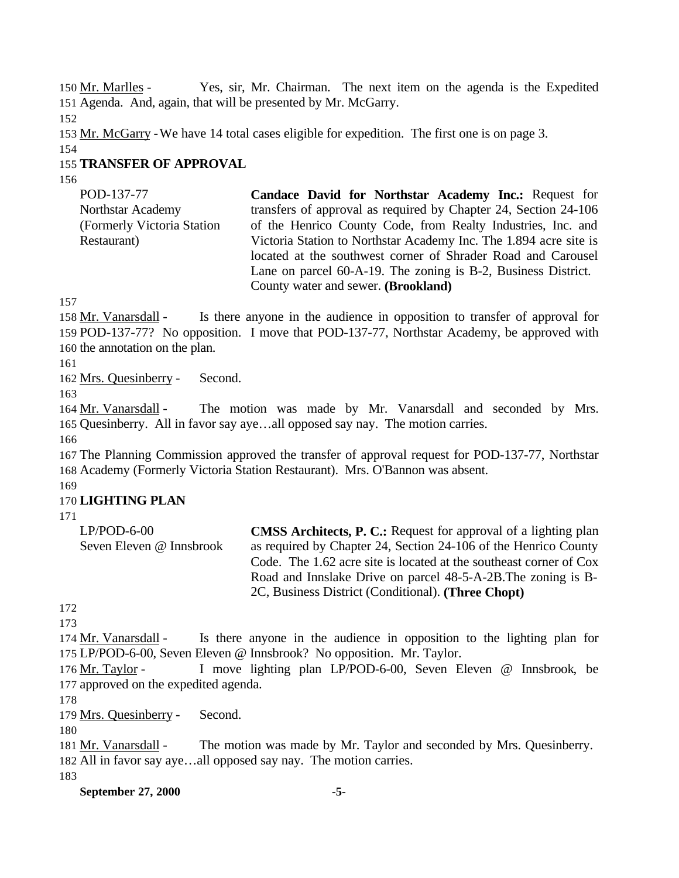Mr. Marlles - Yes, sir, Mr. Chairman. The next item on the agenda is the Expedited Agenda. And, again, that will be presented by Mr. McGarry.

153 Mr. McGarry - We have 14 total cases eligible for expedition. The first one is on page 3.

# **TRANSFER OF APPROVAL**

| POD-137-77                  | Candace David for Northstar Academy Inc.: Request for             |
|-----------------------------|-------------------------------------------------------------------|
| Northstar Academy           | transfers of approval as required by Chapter 24, Section 24-106   |
| (Formerly Victoria Station) | of the Henrico County Code, from Realty Industries, Inc. and      |
| Restaurant)                 | Victoria Station to Northstar Academy Inc. The 1.894 acre site is |
|                             | located at the southwest corner of Shrader Road and Carousel      |
|                             | Lane on parcel 60-A-19. The zoning is B-2, Business District.     |
|                             | County water and sewer. (Brookland)                               |

 Mr. Vanarsdall - Is there anyone in the audience in opposition to transfer of approval for POD-137-77? No opposition. I move that POD-137-77, Northstar Academy, be approved with the annotation on the plan.

Mrs. Quesinberry - Second.

 Mr. Vanarsdall - The motion was made by Mr. Vanarsdall and seconded by Mrs. Quesinberry. All in favor say aye…all opposed say nay. The motion carries.

 The Planning Commission approved the transfer of approval request for POD-137-77, Northstar Academy (Formerly Victoria Station Restaurant). Mrs. O'Bannon was absent.

# **LIGHTING PLAN**

LP/POD-6-00 Seven Eleven @ Innsbrook **CMSS Architects, P. C.:** Request for approval of a lighting plan as required by Chapter 24, Section 24-106 of the Henrico County Code. The 1.62 acre site is located at the southeast corner of Cox Road and Innslake Drive on parcel 48-5-A-2B.The zoning is B-2C, Business District (Conditional). **(Three Chopt)** 

174 Mr. Vanarsdall - Is there anyone in the audience in opposition to the lighting plan for LP/POD-6-00, Seven Eleven @ Innsbrook? No opposition. Mr. Taylor.

 Mr. Taylor - I move lighting plan LP/POD-6-00, Seven Eleven @ Innsbrook, be approved on the expedited agenda.

Mrs. Quesinberry - Second.

 Mr. Vanarsdall - The motion was made by Mr. Taylor and seconded by Mrs. Quesinberry. All in favor say aye…all opposed say nay. The motion carries.

**September 27, 2000 -5-**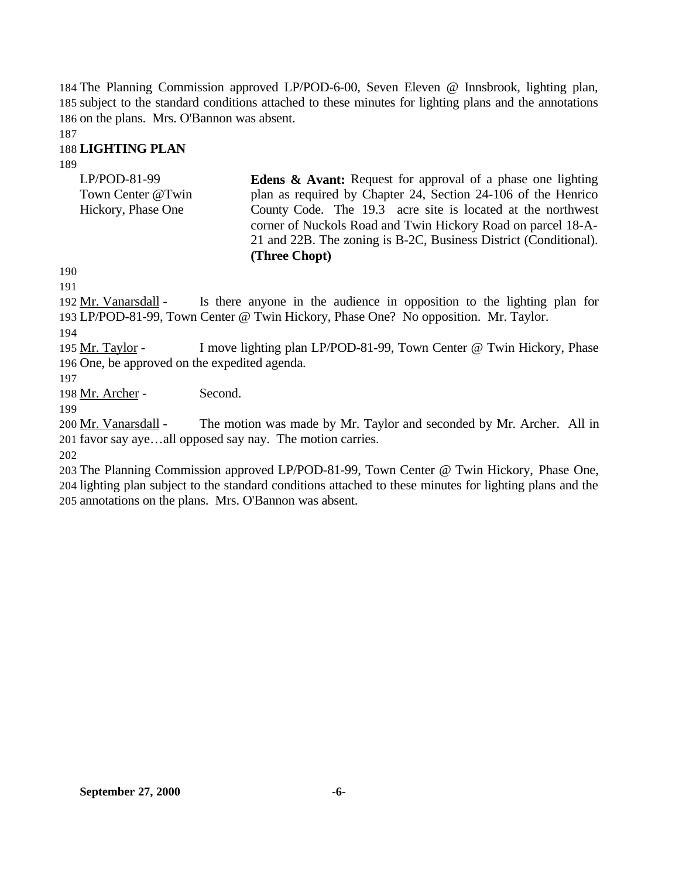184 The Planning Commission approved LP/POD-6-00, Seven Eleven @ Innsbrook, lighting plan, 185 subject to the standard conditions attached to these minutes for lighting plans and the annotations 186 on the plans. Mrs. O'Bannon was absent.

187

# 188 **LIGHTING PLAN**

189

| LP/POD-81-99       | <b>Edens &amp; Avant:</b> Request for approval of a phase one lighting |  |  |  |  |
|--------------------|------------------------------------------------------------------------|--|--|--|--|
| Town Center @Twin  | plan as required by Chapter 24, Section 24-106 of the Henrico          |  |  |  |  |
| Hickory, Phase One | County Code. The 19.3 acre site is located at the northwest            |  |  |  |  |
|                    | corner of Nuckols Road and Twin Hickory Road on parcel 18-A-           |  |  |  |  |
|                    | 21 and 22B. The zoning is B-2C, Business District (Conditional).       |  |  |  |  |
|                    | (Three Chopt)                                                          |  |  |  |  |

190

191

192 Mr. Vanarsdall - Is there anyone in the audience in opposition to the lighting plan for 193 LP/POD-81-99, Town Center @ Twin Hickory, Phase One? No opposition. Mr. Taylor.

194

195 Mr. Taylor - I move lighting plan LP/POD-81-99, Town Center @ Twin Hickory, Phase 196 One, be approved on the expedited agenda.

197

198 Mr. Archer - Second.

199

200 Mr. Vanarsdall - The motion was made by Mr. Taylor and seconded by Mr. Archer. All in 201 favor say aye…all opposed say nay. The motion carries.

202

203 The Planning Commission approved LP/POD-81-99, Town Center @ Twin Hickory, Phase One, 204 lighting plan subject to the standard conditions attached to these minutes for lighting plans and the 205 annotations on the plans. Mrs. O'Bannon was absent.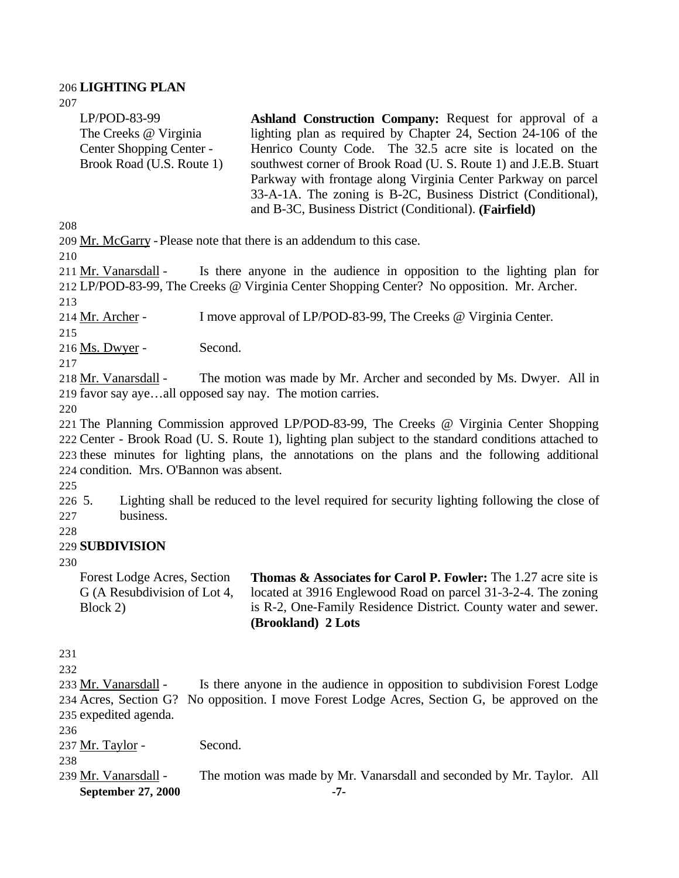# **LIGHTING PLAN**

| 207                                                                                                                                                                                                                                                                                                                                              |                                                                                                                                                                                                                                                                                                                                                                                                                                                        |  |  |  |
|--------------------------------------------------------------------------------------------------------------------------------------------------------------------------------------------------------------------------------------------------------------------------------------------------------------------------------------------------|--------------------------------------------------------------------------------------------------------------------------------------------------------------------------------------------------------------------------------------------------------------------------------------------------------------------------------------------------------------------------------------------------------------------------------------------------------|--|--|--|
| $LP/POD-83-99$<br>The Creeks @ Virginia<br>Center Shopping Center -<br>Brook Road (U.S. Route 1)                                                                                                                                                                                                                                                 | Ashland Construction Company: Request for approval of a<br>lighting plan as required by Chapter 24, Section 24-106 of the<br>Henrico County Code. The 32.5 acre site is located on the<br>southwest corner of Brook Road (U. S. Route 1) and J.E.B. Stuart<br>Parkway with frontage along Virginia Center Parkway on parcel<br>33-A-1A. The zoning is B-2C, Business District (Conditional),<br>and B-3C, Business District (Conditional). (Fairfield) |  |  |  |
| 208                                                                                                                                                                                                                                                                                                                                              |                                                                                                                                                                                                                                                                                                                                                                                                                                                        |  |  |  |
| 209 Mr. McGarry - Please note that there is an addendum to this case.                                                                                                                                                                                                                                                                            |                                                                                                                                                                                                                                                                                                                                                                                                                                                        |  |  |  |
| 210                                                                                                                                                                                                                                                                                                                                              |                                                                                                                                                                                                                                                                                                                                                                                                                                                        |  |  |  |
| 211 Mr. Vanarsdall -<br>213                                                                                                                                                                                                                                                                                                                      | Is there anyone in the audience in opposition to the lighting plan for<br>212 LP/POD-83-99, The Creeks @ Virginia Center Shopping Center? No opposition. Mr. Archer.                                                                                                                                                                                                                                                                                   |  |  |  |
| 214 Mr. Archer -                                                                                                                                                                                                                                                                                                                                 | I move approval of LP/POD-83-99, The Creeks @ Virginia Center.                                                                                                                                                                                                                                                                                                                                                                                         |  |  |  |
| 215                                                                                                                                                                                                                                                                                                                                              |                                                                                                                                                                                                                                                                                                                                                                                                                                                        |  |  |  |
| Second.<br>216 Ms. Dwyer -<br>217                                                                                                                                                                                                                                                                                                                |                                                                                                                                                                                                                                                                                                                                                                                                                                                        |  |  |  |
| 218 Mr. Vanarsdall -<br>219 favor say ayeall opposed say nay. The motion carries.<br>220                                                                                                                                                                                                                                                         | The motion was made by Mr. Archer and seconded by Ms. Dwyer. All in                                                                                                                                                                                                                                                                                                                                                                                    |  |  |  |
| 221 The Planning Commission approved LP/POD-83-99, The Creeks @ Virginia Center Shopping<br>222 Center - Brook Road (U. S. Route 1), lighting plan subject to the standard conditions attached to<br>223 these minutes for lighting plans, the annotations on the plans and the following additional<br>224 condition. Mrs. O'Bannon was absent. |                                                                                                                                                                                                                                                                                                                                                                                                                                                        |  |  |  |
| 225<br>226 5.<br>business.<br>227<br>228                                                                                                                                                                                                                                                                                                         | Lighting shall be reduced to the level required for security lighting following the close of                                                                                                                                                                                                                                                                                                                                                           |  |  |  |
| <b>229 SUBDIVISION</b>                                                                                                                                                                                                                                                                                                                           |                                                                                                                                                                                                                                                                                                                                                                                                                                                        |  |  |  |
| 230                                                                                                                                                                                                                                                                                                                                              |                                                                                                                                                                                                                                                                                                                                                                                                                                                        |  |  |  |
| Forest Lodge Acres, Section<br>G (A Resubdivision of Lot 4,<br>Block 2)                                                                                                                                                                                                                                                                          | <b>Thomas &amp; Associates for Carol P. Fowler:</b> The 1.27 acre site is<br>located at 3916 Englewood Road on parcel 31-3-2-4. The zoning<br>is R-2, One-Family Residence District. County water and sewer.<br>(Brookland) 2 Lots                                                                                                                                                                                                                     |  |  |  |
| 231<br>232                                                                                                                                                                                                                                                                                                                                       |                                                                                                                                                                                                                                                                                                                                                                                                                                                        |  |  |  |
| 233 Mr. Vanarsdall -<br>234 Acres, Section G?<br>235 expedited agenda.<br>236                                                                                                                                                                                                                                                                    | Is there anyone in the audience in opposition to subdivision Forest Lodge<br>No opposition. I move Forest Lodge Acres, Section G, be approved on the                                                                                                                                                                                                                                                                                                   |  |  |  |
| Second.<br>237 <u>Mr. Taylor</u> -<br>238                                                                                                                                                                                                                                                                                                        |                                                                                                                                                                                                                                                                                                                                                                                                                                                        |  |  |  |
| 239 Mr. Vanarsdall -<br>The motion was made by Mr. Vanarsdall and seconded by Mr. Taylor. All<br>September 27, 2000<br>-7-                                                                                                                                                                                                                       |                                                                                                                                                                                                                                                                                                                                                                                                                                                        |  |  |  |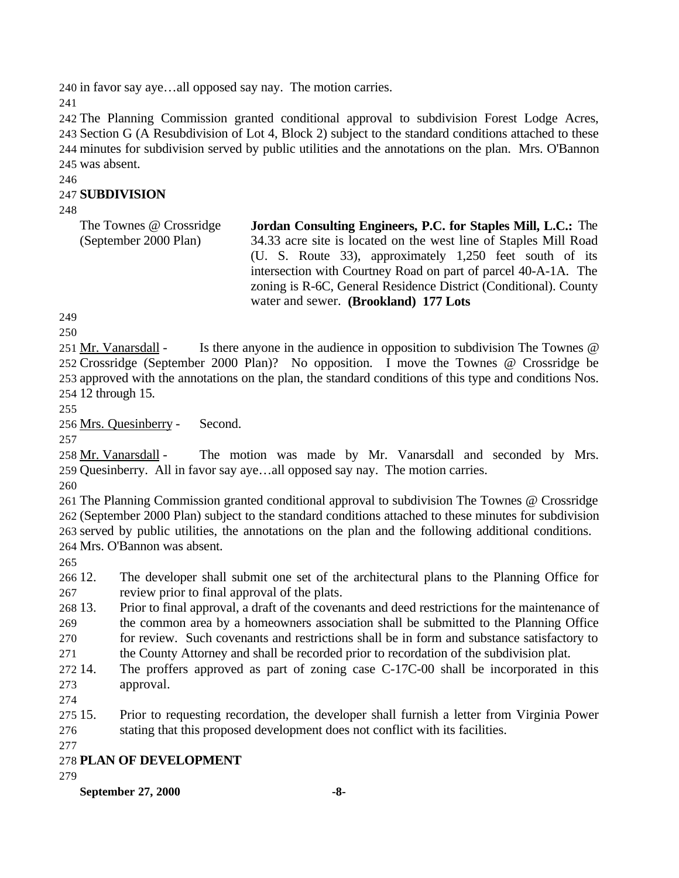in favor say aye…all opposed say nay. The motion carries.

 The Planning Commission granted conditional approval to subdivision Forest Lodge Acres, Section G (A Resubdivision of Lot 4, Block 2) subject to the standard conditions attached to these minutes for subdivision served by public utilities and the annotations on the plan. Mrs. O'Bannon was absent.

#### **SUBDIVISION**

| The Townes @ Crossridge | Jordan Consulting Engineers, P.C. for Staples Mill, L.C.: The    |
|-------------------------|------------------------------------------------------------------|
| (September 2000 Plan)   | 34.33 acre site is located on the west line of Staples Mill Road |
|                         | (U. S. Route 33), approximately 1,250 feet south of its          |
|                         | intersection with Courtney Road on part of parcel 40-A-1A. The   |
|                         | zoning is R-6C, General Residence District (Conditional). County |
|                         | water and sewer. (Brookland) 177 Lots                            |

251 Mr. Vanarsdall - Is there anyone in the audience in opposition to subdivision The Townes @ Crossridge (September 2000 Plan)? No opposition. I move the Townes @ Crossridge be approved with the annotations on the plan, the standard conditions of this type and conditions Nos. 12 through 15.

Mrs. Quesinberry - Second.

 Mr. Vanarsdall - The motion was made by Mr. Vanarsdall and seconded by Mrs. Quesinberry. All in favor say aye…all opposed say nay. The motion carries.

 The Planning Commission granted conditional approval to subdivision The Townes @ Crossridge (September 2000 Plan) subject to the standard conditions attached to these minutes for subdivision served by public utilities, the annotations on the plan and the following additional conditions. Mrs. O'Bannon was absent.

 12. The developer shall submit one set of the architectural plans to the Planning Office for review prior to final approval of the plats.

 13. Prior to final approval, a draft of the covenants and deed restrictions for the maintenance of the common area by a homeowners association shall be submitted to the Planning Office for review. Such covenants and restrictions shall be in form and substance satisfactory to the County Attorney and shall be recorded prior to recordation of the subdivision plat.

 14. The proffers approved as part of zoning case C-17C-00 shall be incorporated in this approval.

 15. Prior to requesting recordation, the developer shall furnish a letter from Virginia Power stating that this proposed development does not conflict with its facilities.

# **PLAN OF DEVELOPMENT**

**September 27, 2000 -8-**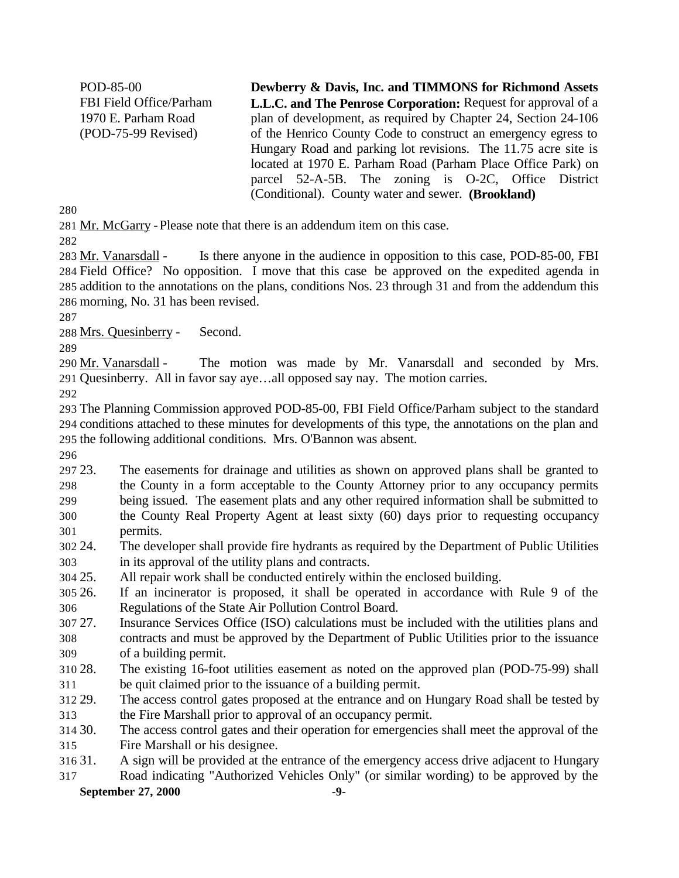POD-85-00 FBI Field Office/Parham 1970 E. Parham Road (POD-75-99 Revised) **Dewberry & Davis, Inc. and TIMMONS for Richmond Assets L.L.C. and The Penrose Corporation:** Request for approval of a plan of development, as required by Chapter 24, Section 24-106 of the Henrico County Code to construct an emergency egress to Hungary Road and parking lot revisions. The 11.75 acre site is located at 1970 E. Parham Road (Parham Place Office Park) on parcel 52-A-5B. The zoning is O-2C, Office District (Conditional). County water and sewer. **(Brookland)**

281 Mr. McGarry - Please note that there is an addendum item on this case.

283 Mr. Vanarsdall - Is there anyone in the audience in opposition to this case, POD-85-00, FBI Field Office? No opposition. I move that this case be approved on the expedited agenda in addition to the annotations on the plans, conditions Nos. 23 through 31 and from the addendum this morning, No. 31 has been revised.

Mrs. Quesinberry - Second.

290 Mr. Vanarsdall - The motion was made by Mr. Vanarsdall and seconded by Mrs. Quesinberry. All in favor say aye…all opposed say nay. The motion carries.

 The Planning Commission approved POD-85-00, FBI Field Office/Parham subject to the standard conditions attached to these minutes for developments of this type, the annotations on the plan and the following additional conditions. Mrs. O'Bannon was absent.

 23. The easements for drainage and utilities as shown on approved plans shall be granted to the County in a form acceptable to the County Attorney prior to any occupancy permits being issued. The easement plats and any other required information shall be submitted to the County Real Property Agent at least sixty (60) days prior to requesting occupancy permits.

 24. The developer shall provide fire hydrants as required by the Department of Public Utilities in its approval of the utility plans and contracts.

25. All repair work shall be conducted entirely within the enclosed building.

 26. If an incinerator is proposed, it shall be operated in accordance with Rule 9 of the Regulations of the State Air Pollution Control Board.

 27. Insurance Services Office (ISO) calculations must be included with the utilities plans and contracts and must be approved by the Department of Public Utilities prior to the issuance of a building permit.

 28. The existing 16-foot utilities easement as noted on the approved plan (POD-75-99) shall be quit claimed prior to the issuance of a building permit.

 29. The access control gates proposed at the entrance and on Hungary Road shall be tested by the Fire Marshall prior to approval of an occupancy permit.

 30. The access control gates and their operation for emergencies shall meet the approval of the Fire Marshall or his designee.

31. A sign will be provided at the entrance of the emergency access drive adjacent to Hungary

**September 27, 2000 -9-** Road indicating "Authorized Vehicles Only" (or similar wording) to be approved by the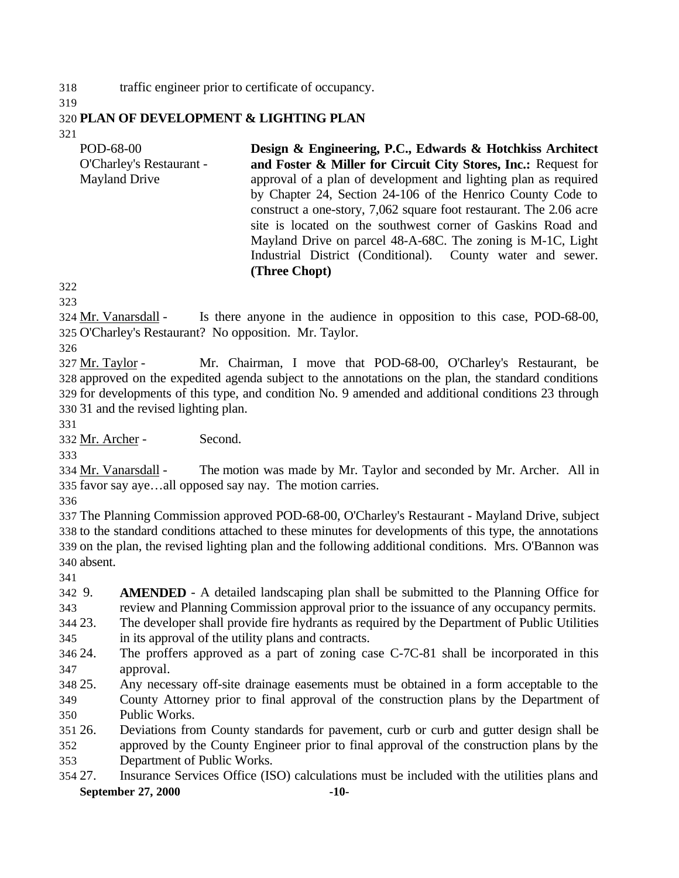traffic engineer prior to certificate of occupancy.

#### **PLAN OF DEVELOPMENT & LIGHTING PLAN**

| POD-68-00                | Design & Engineering, P.C., Edwards & Hotchkiss Architect          |  |  |  |  |  |
|--------------------------|--------------------------------------------------------------------|--|--|--|--|--|
| O'Charley's Restaurant - | and Foster & Miller for Circuit City Stores, Inc.: Request for     |  |  |  |  |  |
| <b>Mayland Drive</b>     | approval of a plan of development and lighting plan as required    |  |  |  |  |  |
|                          | by Chapter 24, Section 24-106 of the Henrico County Code to        |  |  |  |  |  |
|                          | construct a one-story, 7,062 square foot restaurant. The 2.06 acre |  |  |  |  |  |
|                          | site is located on the southwest corner of Gaskins Road and        |  |  |  |  |  |
|                          | Mayland Drive on parcel 48-A-68C. The zoning is M-1C, Light        |  |  |  |  |  |
|                          | Industrial District (Conditional). County water and sewer.         |  |  |  |  |  |
|                          | (Three Chopt)                                                      |  |  |  |  |  |

 Mr. Vanarsdall - Is there anyone in the audience in opposition to this case, POD-68-00, O'Charley's Restaurant? No opposition. Mr. Taylor.

327 Mr. Taylor - Mr. Chairman, I move that POD-68-00, O'Charley's Restaurant, be approved on the expedited agenda subject to the annotations on the plan, the standard conditions for developments of this type, and condition No. 9 amended and additional conditions 23 through 31 and the revised lighting plan.

Mr. Archer - Second.

 Mr. Vanarsdall - The motion was made by Mr. Taylor and seconded by Mr. Archer. All in favor say aye…all opposed say nay. The motion carries.

 The Planning Commission approved POD-68-00, O'Charley's Restaurant - Mayland Drive, subject to the standard conditions attached to these minutes for developments of this type, the annotations on the plan, the revised lighting plan and the following additional conditions. Mrs. O'Bannon was absent.

 9. **AMENDED** - A detailed landscaping plan shall be submitted to the Planning Office for review and Planning Commission approval prior to the issuance of any occupancy permits.

 23. The developer shall provide fire hydrants as required by the Department of Public Utilities in its approval of the utility plans and contracts.

 24. The proffers approved as a part of zoning case C-7C-81 shall be incorporated in this approval.

25. Any necessary off-site drainage easements must be obtained in a form acceptable to the

 County Attorney prior to final approval of the construction plans by the Department of Public Works.

26. Deviations from County standards for pavement, curb or curb and gutter design shall be

 approved by the County Engineer prior to final approval of the construction plans by the Department of Public Works.

**September 27, 2000 -10-** 27. Insurance Services Office (ISO) calculations must be included with the utilities plans and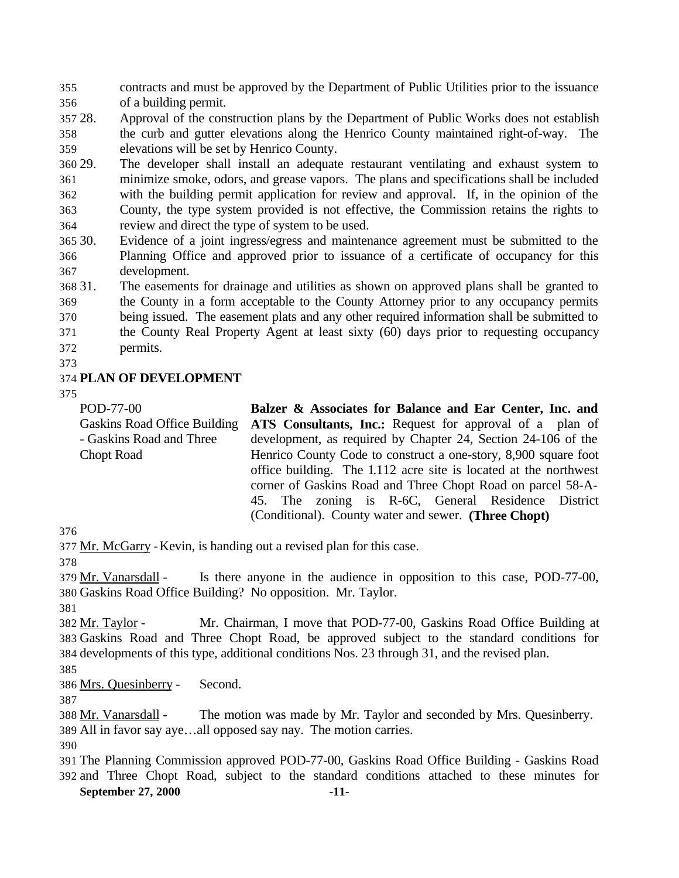contracts and must be approved by the Department of Public Utilities prior to the issuance of a building permit.

 28. Approval of the construction plans by the Department of Public Works does not establish the curb and gutter elevations along the Henrico County maintained right-of-way. The elevations will be set by Henrico County.

 29. The developer shall install an adequate restaurant ventilating and exhaust system to minimize smoke, odors, and grease vapors. The plans and specifications shall be included with the building permit application for review and approval. If, in the opinion of the County, the type system provided is not effective, the Commission retains the rights to review and direct the type of system to be used.

 30. Evidence of a joint ingress/egress and maintenance agreement must be submitted to the Planning Office and approved prior to issuance of a certificate of occupancy for this development.

 31. The easements for drainage and utilities as shown on approved plans shall be granted to the County in a form acceptable to the County Attorney prior to any occupancy permits being issued. The easement plats and any other required information shall be submitted to the County Real Property Agent at least sixty (60) days prior to requesting occupancy

- permits.
- 

## **PLAN OF DEVELOPMENT**

POD-77-00 Gaskins Road Office Building - Gaskins Road and Three Chopt Road **Balzer & Associates for Balance and Ear Center, Inc. and ATS Consultants, Inc.:** Request for approval of a plan of development, as required by Chapter 24, Section 24-106 of the Henrico County Code to construct a one-story, 8,900 square foot office building. The 1.112 acre site is located at the northwest corner of Gaskins Road and Three Chopt Road on parcel 58-A-45. The zoning is R-6C, General Residence District (Conditional). County water and sewer. **(Three Chopt)**

Mr. McGarry -Kevin, is handing out a revised plan for this case.

379 Mr. Vanarsdall - Is there anyone in the audience in opposition to this case, POD-77-00, Gaskins Road Office Building? No opposition. Mr. Taylor.

 Mr. Taylor - Mr. Chairman, I move that POD-77-00, Gaskins Road Office Building at Gaskins Road and Three Chopt Road, be approved subject to the standard conditions for developments of this type, additional conditions Nos. 23 through 31, and the revised plan.

Mrs. Quesinberry - Second.

 Mr. Vanarsdall - The motion was made by Mr. Taylor and seconded by Mrs. Quesinberry. All in favor say aye…all opposed say nay. The motion carries.

**September 27, 2000 -11-** The Planning Commission approved POD-77-00, Gaskins Road Office Building - Gaskins Road and Three Chopt Road, subject to the standard conditions attached to these minutes for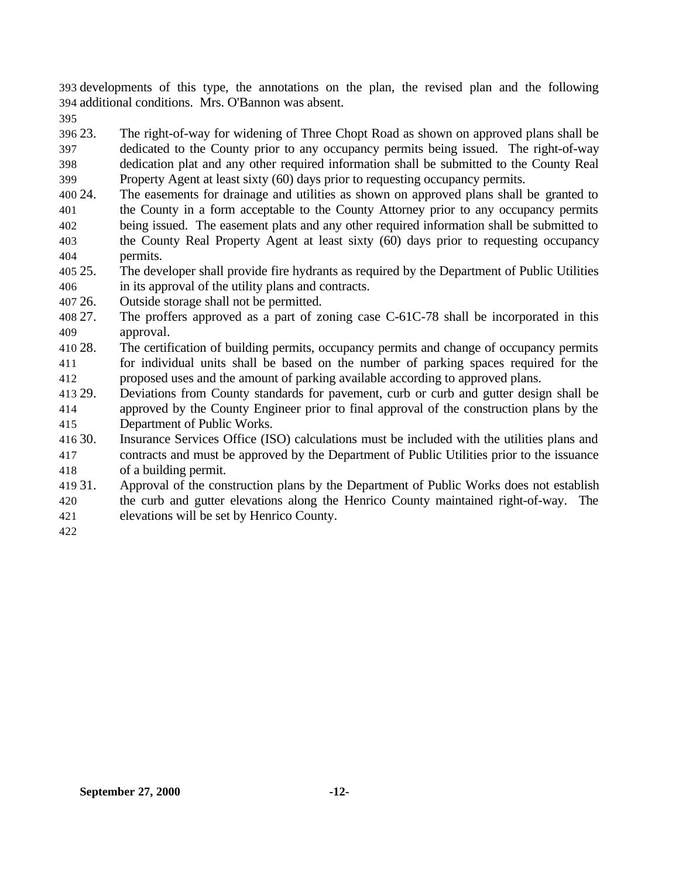developments of this type, the annotations on the plan, the revised plan and the following additional conditions. Mrs. O'Bannon was absent.

 23. The right-of-way for widening of Three Chopt Road as shown on approved plans shall be dedicated to the County prior to any occupancy permits being issued. The right-of-way dedication plat and any other required information shall be submitted to the County Real

- Property Agent at least sixty (60) days prior to requesting occupancy permits.
- 24. The easements for drainage and utilities as shown on approved plans shall be granted to the County in a form acceptable to the County Attorney prior to any occupancy permits being issued. The easement plats and any other required information shall be submitted to the County Real Property Agent at least sixty (60) days prior to requesting occupancy permits.
- 25. The developer shall provide fire hydrants as required by the Department of Public Utilities in its approval of the utility plans and contracts.
- 26. Outside storage shall not be permitted.
- 27. The proffers approved as a part of zoning case C-61C-78 shall be incorporated in this approval.
- 28. The certification of building permits, occupancy permits and change of occupancy permits for individual units shall be based on the number of parking spaces required for the proposed uses and the amount of parking available according to approved plans.
- 29. Deviations from County standards for pavement, curb or curb and gutter design shall be approved by the County Engineer prior to final approval of the construction plans by the Department of Public Works.
- 30. Insurance Services Office (ISO) calculations must be included with the utilities plans and contracts and must be approved by the Department of Public Utilities prior to the issuance of a building permit.
- 31. Approval of the construction plans by the Department of Public Works does not establish the curb and gutter elevations along the Henrico County maintained right-of-way. The
- elevations will be set by Henrico County.
-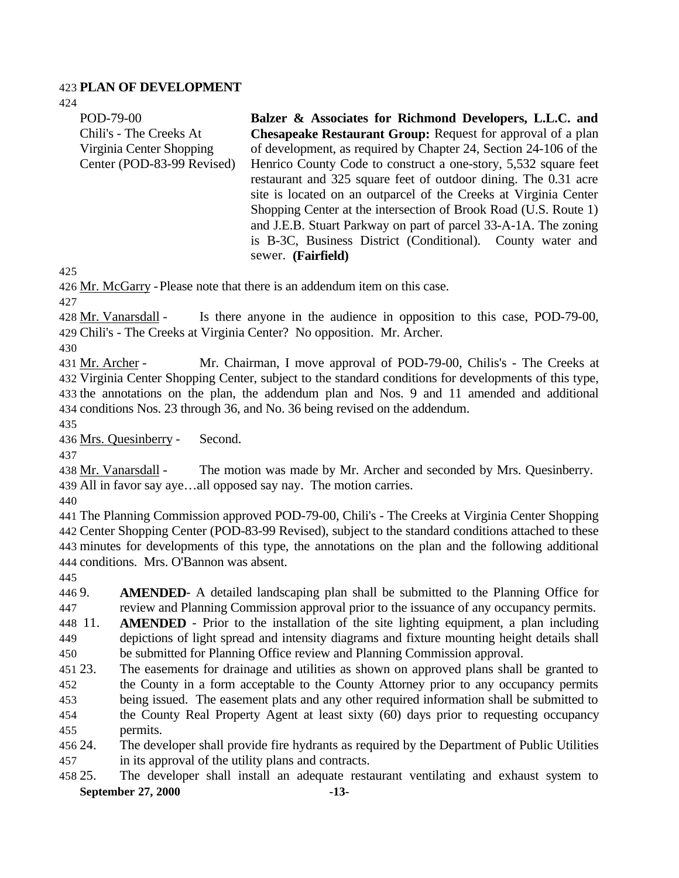#### **PLAN OF DEVELOPMENT**

POD-79-00

| Chili's - The Creeks At                                | <b>Chesapeake Restaurant Group:</b> Request for approval of a plan                                                                  |  |  |  |
|--------------------------------------------------------|-------------------------------------------------------------------------------------------------------------------------------------|--|--|--|
| Virginia Center Shopping<br>Center (POD-83-99 Revised) | of development, as required by Chapter 24, Section 24-106 of the<br>Henrico County Code to construct a one-story, 5,532 square feet |  |  |  |
|                                                        | restaurant and 325 square feet of outdoor dining. The 0.31 acre                                                                     |  |  |  |
|                                                        | site is located on an outparcel of the Creeks at Virginia Center                                                                    |  |  |  |
|                                                        | Shopping Center at the intersection of Brook Road (U.S. Route 1)                                                                    |  |  |  |
|                                                        | and J.E.B. Stuart Parkway on part of parcel 33-A-1A. The zoning                                                                     |  |  |  |
|                                                        | is B-3C, Business District (Conditional). County water and                                                                          |  |  |  |
|                                                        | sewer. (Fairfield)                                                                                                                  |  |  |  |
| 425                                                    |                                                                                                                                     |  |  |  |
|                                                        | 426 Mr. McGarry - Please note that there is an addendum item on this case.                                                          |  |  |  |
| 427                                                    |                                                                                                                                     |  |  |  |
| 428 Mr. Vanarsdall -                                   | Is there anyone in the audience in opposition to this case, POD-79-00,                                                              |  |  |  |
|                                                        | 429 Chili's - The Creeks at Virginia Center? No opposition. Mr. Archer.                                                             |  |  |  |
| 430                                                    |                                                                                                                                     |  |  |  |
| 431 Mr. Archer -                                       | Mr. Chairman, I move approval of POD-79-00, Chilis's - The Creeks at                                                                |  |  |  |
|                                                        | 432 Virginia Center Shopping Center, subject to the standard conditions for developments of this type,                              |  |  |  |
|                                                        | 433 the annotations on the plan, the addendum plan and Nos. 9 and 11 amended and additional                                         |  |  |  |
|                                                        | 434 conditions Nos. 23 through 36, and No. 36 being revised on the addendum.                                                        |  |  |  |
| 435                                                    |                                                                                                                                     |  |  |  |
| 436 Mrs. Quesinberry -                                 | Second.                                                                                                                             |  |  |  |
| 437<br>438 Mr. Vanarsdall -                            | The motion was made by Mr. Archer and seconded by Mrs. Quesinberry.                                                                 |  |  |  |
|                                                        | 439 All in favor say ayeall opposed say nay. The motion carries.                                                                    |  |  |  |
| 440                                                    |                                                                                                                                     |  |  |  |
|                                                        | 441 The Planning Commission approved POD-79-00, Chili's - The Creeks at Virginia Center Shopping                                    |  |  |  |
|                                                        | 442 Center Shopping Center (POD-83-99 Revised), subject to the standard conditions attached to these                                |  |  |  |
|                                                        | 443 minutes for developments of this type, the annotations on the plan and the following additional                                 |  |  |  |
| 444 conditions. Mrs. O'Bannon was absent.              |                                                                                                                                     |  |  |  |
| 445                                                    |                                                                                                                                     |  |  |  |
| 446 9.                                                 | <b>AMENDED-</b> A detailed landscaping plan shall be submitted to the Planning Office for                                           |  |  |  |
| 447                                                    | review and Planning Commission approval prior to the issuance of any occupancy permits.                                             |  |  |  |
| 448 11                                                 | <b>AMENDED</b> - Prior to the installation of the site lighting equipment, a plan including                                         |  |  |  |
| 449                                                    | depictions of light spread and intensity diagrams and fixture mounting height details shall                                         |  |  |  |
| 450                                                    | be submitted for Planning Office review and Planning Commission approval.                                                           |  |  |  |
| 451 23.                                                | The easements for drainage and utilities as shown on approved plans shall be granted to                                             |  |  |  |
| 452                                                    | the County in a form acceptable to the County Attorney prior to any occupancy permits                                               |  |  |  |
| 453                                                    | being issued. The easement plats and any other required information shall be submitted to                                           |  |  |  |
| 454                                                    | the County Real Property Agent at least sixty (60) days prior to requesting occupancy                                               |  |  |  |

**Balzer & Associates for Richmond Developers, L.L.C. and**

- permits.
- 24. The developer shall provide fire hydrants as required by the Department of Public Utilities in its approval of the utility plans and contracts.
- **September 27, 2000 -13-** 25. The developer shall install an adequate restaurant ventilating and exhaust system to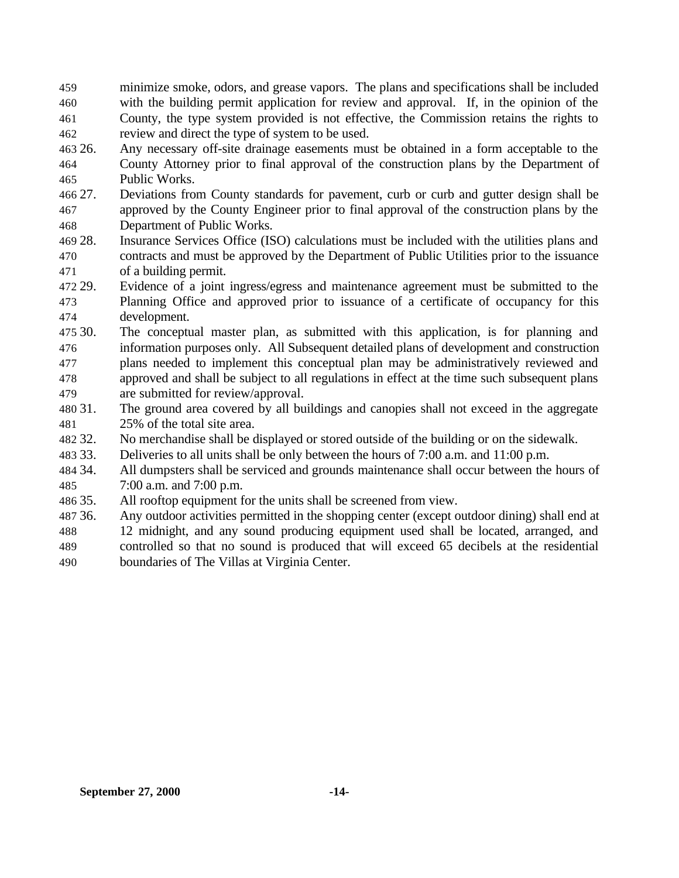- minimize smoke, odors, and grease vapors. The plans and specifications shall be included with the building permit application for review and approval. If, in the opinion of the County, the type system provided is not effective, the Commission retains the rights to review and direct the type of system to be used.
- 26. Any necessary off-site drainage easements must be obtained in a form acceptable to the County Attorney prior to final approval of the construction plans by the Department of Public Works.
- 27. Deviations from County standards for pavement, curb or curb and gutter design shall be approved by the County Engineer prior to final approval of the construction plans by the Department of Public Works.
- 28. Insurance Services Office (ISO) calculations must be included with the utilities plans and contracts and must be approved by the Department of Public Utilities prior to the issuance of a building permit.
- 29. Evidence of a joint ingress/egress and maintenance agreement must be submitted to the Planning Office and approved prior to issuance of a certificate of occupancy for this development.
- 30. The conceptual master plan, as submitted with this application, is for planning and information purposes only. All Subsequent detailed plans of development and construction plans needed to implement this conceptual plan may be administratively reviewed and approved and shall be subject to all regulations in effect at the time such subsequent plans are submitted for review/approval.
- 31. The ground area covered by all buildings and canopies shall not exceed in the aggregate 25% of the total site area.
- 32. No merchandise shall be displayed or stored outside of the building or on the sidewalk.
- 33. Deliveries to all units shall be only between the hours of 7:00 a.m. and 11:00 p.m.
- 34. All dumpsters shall be serviced and grounds maintenance shall occur between the hours of 7:00 a.m. and 7:00 p.m.
- 35. All rooftop equipment for the units shall be screened from view.
- 36. Any outdoor activities permitted in the shopping center (except outdoor dining) shall end at
- 12 midnight, and any sound producing equipment used shall be located, arranged, and controlled so that no sound is produced that will exceed 65 decibels at the residential
- boundaries of The Villas at Virginia Center.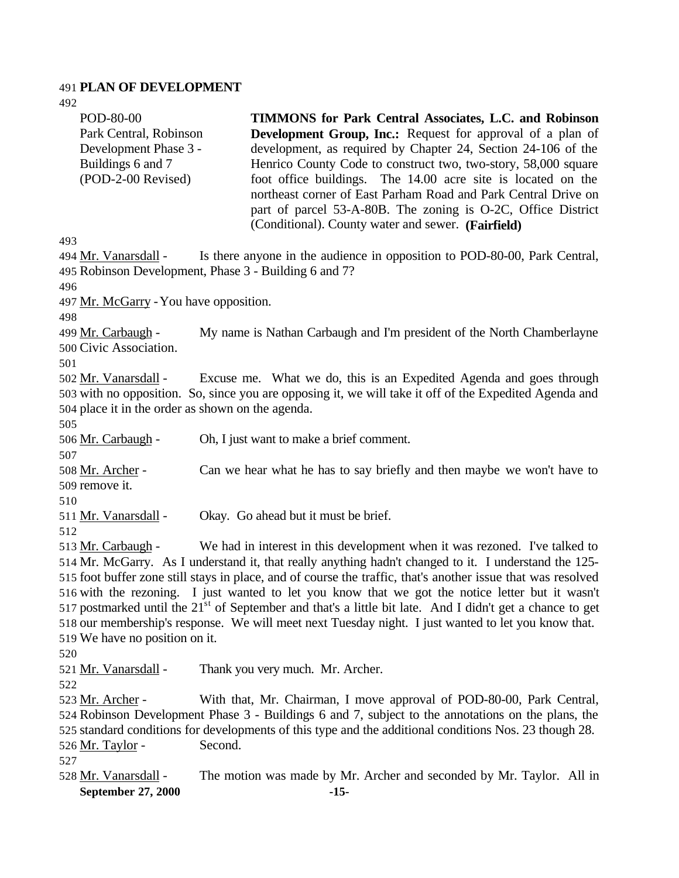## **PLAN OF DEVELOPMENT**

| チンム<br>POD-80-00<br>Park Central, Robinson<br>Development Phase 3 -<br>Buildings 6 and 7<br>(POD-2-00 Revised)                                                                                                                                                                                                                                                                                                                                                                                                                                                                                                                                                                                  | TIMMONS for Park Central Associates, L.C. and Robinson<br><b>Development Group, Inc.:</b> Request for approval of a plan of<br>development, as required by Chapter 24, Section 24-106 of the<br>Henrico County Code to construct two, two-story, 58,000 square<br>foot office buildings. The 14.00 acre site is located on the<br>northeast corner of East Parham Road and Park Central Drive on<br>part of parcel 53-A-80B. The zoning is O-2C, Office District<br>(Conditional). County water and sewer. (Fairfield) |  |  |
|-------------------------------------------------------------------------------------------------------------------------------------------------------------------------------------------------------------------------------------------------------------------------------------------------------------------------------------------------------------------------------------------------------------------------------------------------------------------------------------------------------------------------------------------------------------------------------------------------------------------------------------------------------------------------------------------------|------------------------------------------------------------------------------------------------------------------------------------------------------------------------------------------------------------------------------------------------------------------------------------------------------------------------------------------------------------------------------------------------------------------------------------------------------------------------------------------------------------------------|--|--|
| 493                                                                                                                                                                                                                                                                                                                                                                                                                                                                                                                                                                                                                                                                                             |                                                                                                                                                                                                                                                                                                                                                                                                                                                                                                                        |  |  |
| 494 Mr. Vanarsdall -                                                                                                                                                                                                                                                                                                                                                                                                                                                                                                                                                                                                                                                                            | Is there anyone in the audience in opposition to POD-80-00, Park Central,<br>495 Robinson Development, Phase 3 - Building 6 and 7?                                                                                                                                                                                                                                                                                                                                                                                     |  |  |
| 496                                                                                                                                                                                                                                                                                                                                                                                                                                                                                                                                                                                                                                                                                             |                                                                                                                                                                                                                                                                                                                                                                                                                                                                                                                        |  |  |
| 497 Mr. McGarry - You have opposition.                                                                                                                                                                                                                                                                                                                                                                                                                                                                                                                                                                                                                                                          |                                                                                                                                                                                                                                                                                                                                                                                                                                                                                                                        |  |  |
| 498                                                                                                                                                                                                                                                                                                                                                                                                                                                                                                                                                                                                                                                                                             |                                                                                                                                                                                                                                                                                                                                                                                                                                                                                                                        |  |  |
| 499 <u>Mr. Carbaugh</u> -<br>500 Civic Association.                                                                                                                                                                                                                                                                                                                                                                                                                                                                                                                                                                                                                                             | My name is Nathan Carbaugh and I'm president of the North Chamberlayne                                                                                                                                                                                                                                                                                                                                                                                                                                                 |  |  |
| 501<br>Excuse me. What we do, this is an Expedited Agenda and goes through<br>502 Mr. Vanarsdall -<br>503 with no opposition. So, since you are opposing it, we will take it off of the Expedited Agenda and<br>504 place it in the order as shown on the agenda.<br>505                                                                                                                                                                                                                                                                                                                                                                                                                        |                                                                                                                                                                                                                                                                                                                                                                                                                                                                                                                        |  |  |
| 506 Mr. Carbaugh -<br>507                                                                                                                                                                                                                                                                                                                                                                                                                                                                                                                                                                                                                                                                       | Oh, I just want to make a brief comment.                                                                                                                                                                                                                                                                                                                                                                                                                                                                               |  |  |
| <u> 508 Mr. Archer</u> -<br>509 remove it.                                                                                                                                                                                                                                                                                                                                                                                                                                                                                                                                                                                                                                                      | Can we hear what he has to say briefly and then maybe we won't have to                                                                                                                                                                                                                                                                                                                                                                                                                                                 |  |  |
| 510<br>511 Mr. Vanarsdall -<br>512                                                                                                                                                                                                                                                                                                                                                                                                                                                                                                                                                                                                                                                              | Okay. Go ahead but it must be brief.                                                                                                                                                                                                                                                                                                                                                                                                                                                                                   |  |  |
| We had in interest in this development when it was rezoned. I've talked to<br>513 Mr. Carbaugh -<br>514 Mr. McGarry. As I understand it, that really anything hadn't changed to it. I understand the 125-<br>515 foot buffer zone still stays in place, and of course the traffic, that's another issue that was resolved<br>516 with the rezoning. I just wanted to let you know that we got the notice letter but it wasn't<br>517 postmarked until the 21 <sup>st</sup> of September and that's a little bit late. And I didn't get a chance to get<br>518 our membership's response. We will meet next Tuesday night. I just wanted to let you know that.<br>519 We have no position on it. |                                                                                                                                                                                                                                                                                                                                                                                                                                                                                                                        |  |  |
| 520<br>521 Mr. Vanarsdall -                                                                                                                                                                                                                                                                                                                                                                                                                                                                                                                                                                                                                                                                     | Thank you very much. Mr. Archer.                                                                                                                                                                                                                                                                                                                                                                                                                                                                                       |  |  |
| 522<br><u>523 Mr. Archer</u> -<br>526 Mr. Taylor -<br>527                                                                                                                                                                                                                                                                                                                                                                                                                                                                                                                                                                                                                                       | With that, Mr. Chairman, I move approval of POD-80-00, Park Central,<br>524 Robinson Development Phase 3 - Buildings 6 and 7, subject to the annotations on the plans, the<br>525 standard conditions for developments of this type and the additional conditions Nos. 23 though 28.<br>Second.                                                                                                                                                                                                                        |  |  |
| 528 Mr. Vanarsdall -<br>September 27, 2000                                                                                                                                                                                                                                                                                                                                                                                                                                                                                                                                                                                                                                                      | The motion was made by Mr. Archer and seconded by Mr. Taylor. All in<br>$-15-$                                                                                                                                                                                                                                                                                                                                                                                                                                         |  |  |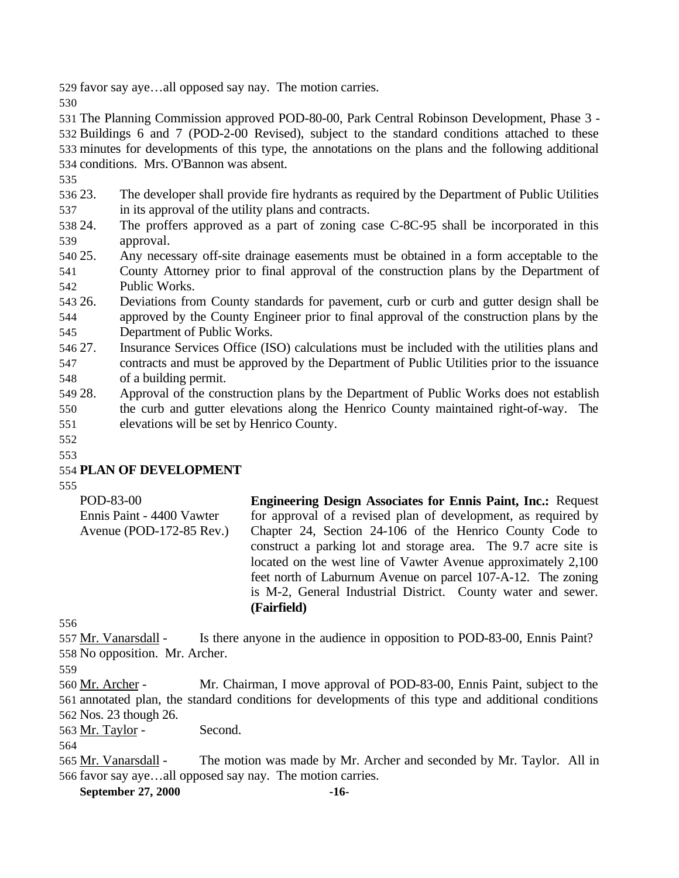favor say aye…all opposed say nay. The motion carries.

 The Planning Commission approved POD-80-00, Park Central Robinson Development, Phase 3 - Buildings 6 and 7 (POD-2-00 Revised), subject to the standard conditions attached to these minutes for developments of this type, the annotations on the plans and the following additional conditions. Mrs. O'Bannon was absent.

 23. The developer shall provide fire hydrants as required by the Department of Public Utilities in its approval of the utility plans and contracts.

 24. The proffers approved as a part of zoning case C-8C-95 shall be incorporated in this approval.

- 25. Any necessary off-site drainage easements must be obtained in a form acceptable to the County Attorney prior to final approval of the construction plans by the Department of Public Works.
- 26. Deviations from County standards for pavement, curb or curb and gutter design shall be approved by the County Engineer prior to final approval of the construction plans by the Department of Public Works.
- 27. Insurance Services Office (ISO) calculations must be included with the utilities plans and contracts and must be approved by the Department of Public Utilities prior to the issuance of a building permit.
- 28. Approval of the construction plans by the Department of Public Works does not establish the curb and gutter elevations along the Henrico County maintained right-of-way. The elevations will be set by Henrico County.

 

# **PLAN OF DEVELOPMENT**

| POD-83-00                 | <b>Engineering Design Associates for Ennis Paint, Inc.: Request</b> |  |  |  |  |  |
|---------------------------|---------------------------------------------------------------------|--|--|--|--|--|
| Ennis Paint - 4400 Vawter | for approval of a revised plan of development, as required by       |  |  |  |  |  |
| Avenue (POD-172-85 Rev.)  | Chapter 24, Section 24-106 of the Henrico County Code to            |  |  |  |  |  |
|                           | construct a parking lot and storage area. The 9.7 acre site is      |  |  |  |  |  |
|                           | located on the west line of Vawter Avenue approximately 2,100       |  |  |  |  |  |
|                           | feet north of Laburnum Avenue on parcel 107-A-12. The zoning        |  |  |  |  |  |
|                           | is M-2, General Industrial District. County water and sewer.        |  |  |  |  |  |
|                           | (Fairfield)                                                         |  |  |  |  |  |

557 Mr. Vanarsdall - Is there anyone in the audience in opposition to POD-83-00, Ennis Paint? No opposition. Mr. Archer.

 Mr. Archer - Mr. Chairman, I move approval of POD-83-00, Ennis Paint, subject to the annotated plan, the standard conditions for developments of this type and additional conditions Nos. 23 though 26.

563 Mr. Taylor - Second.

 Mr. Vanarsdall - The motion was made by Mr. Archer and seconded by Mr. Taylor. All in favor say aye…all opposed say nay. The motion carries.

**September 27, 2000 -16-**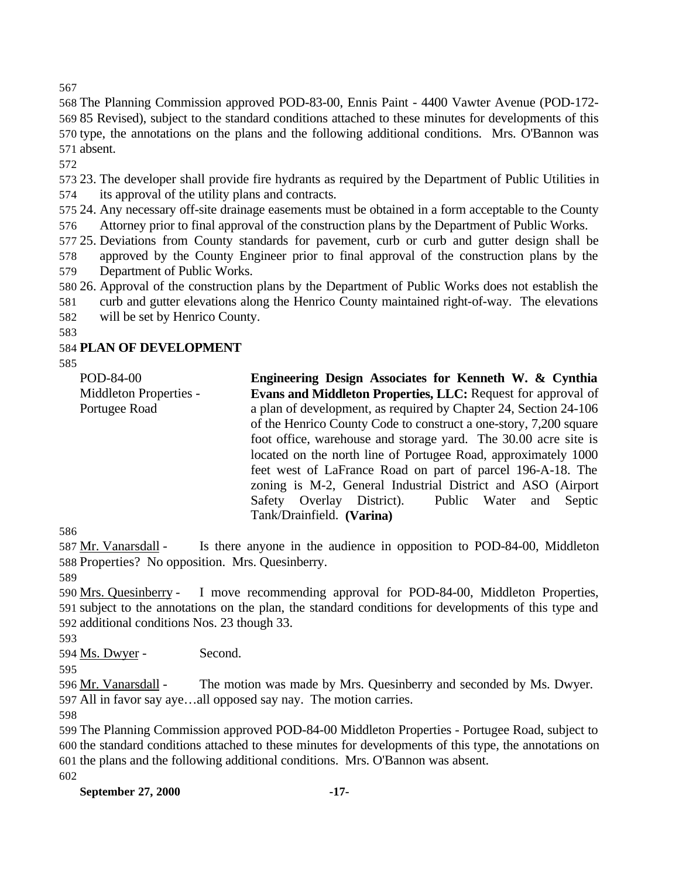The Planning Commission approved POD-83-00, Ennis Paint - 4400 Vawter Avenue (POD-172- 85 Revised), subject to the standard conditions attached to these minutes for developments of this type, the annotations on the plans and the following additional conditions. Mrs. O'Bannon was absent.

 23. The developer shall provide fire hydrants as required by the Department of Public Utilities in its approval of the utility plans and contracts.

 24. Any necessary off-site drainage easements must be obtained in a form acceptable to the County Attorney prior to final approval of the construction plans by the Department of Public Works.

 25. Deviations from County standards for pavement, curb or curb and gutter design shall be approved by the County Engineer prior to final approval of the construction plans by the

Department of Public Works.

26. Approval of the construction plans by the Department of Public Works does not establish the

curb and gutter elevations along the Henrico County maintained right-of-way. The elevations

will be set by Henrico County.

## **PLAN OF DEVELOPMENT**

| POD-84-00              | Engineering Design Associates for Kenneth W. & Cynthia              |  |  |  |  |  |  |
|------------------------|---------------------------------------------------------------------|--|--|--|--|--|--|
| Middleton Properties - | <b>Evans and Middleton Properties, LLC: Request for approval of</b> |  |  |  |  |  |  |
| Portugee Road          | a plan of development, as required by Chapter 24, Section 24-106    |  |  |  |  |  |  |
|                        | of the Henrico County Code to construct a one-story, 7,200 square   |  |  |  |  |  |  |
|                        | foot office, warehouse and storage yard. The 30.00 acre site is     |  |  |  |  |  |  |
|                        | located on the north line of Portugee Road, approximately 1000      |  |  |  |  |  |  |
|                        | feet west of LaFrance Road on part of parcel 196-A-18. The          |  |  |  |  |  |  |
|                        | zoning is M-2, General Industrial District and ASO (Airport         |  |  |  |  |  |  |
|                        | Safety Overlay District). Public Water and<br>Septic                |  |  |  |  |  |  |
|                        | Tank/Drainfield. (Varina)                                           |  |  |  |  |  |  |

 Mr. Vanarsdall - Is there anyone in the audience in opposition to POD-84-00, Middleton Properties? No opposition. Mrs. Quesinberry.

 Mrs. Quesinberry - I move recommending approval for POD-84-00, Middleton Properties, subject to the annotations on the plan, the standard conditions for developments of this type and additional conditions Nos. 23 though 33.

Ms. Dwyer - Second.

 Mr. Vanarsdall - The motion was made by Mrs. Quesinberry and seconded by Ms. Dwyer. All in favor say aye…all opposed say nay. The motion carries.

 The Planning Commission approved POD-84-00 Middleton Properties - Portugee Road, subject to the standard conditions attached to these minutes for developments of this type, the annotations on the plans and the following additional conditions. Mrs. O'Bannon was absent.

**September 27, 2000 -17-**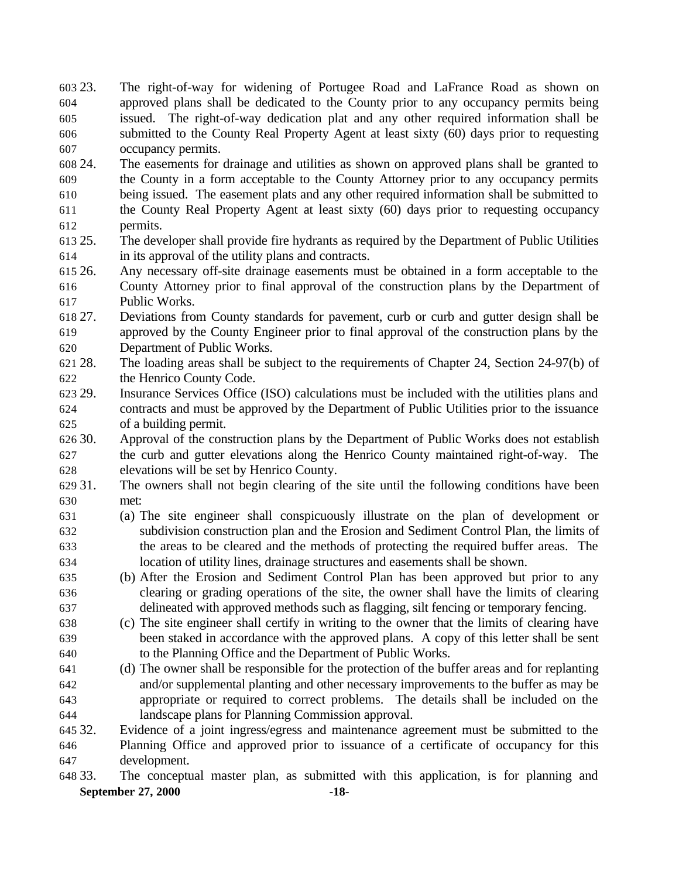23. The right-of-way for widening of Portugee Road and LaFrance Road as shown on approved plans shall be dedicated to the County prior to any occupancy permits being issued. The right-of-way dedication plat and any other required information shall be submitted to the County Real Property Agent at least sixty (60) days prior to requesting occupancy permits.

 24. The easements for drainage and utilities as shown on approved plans shall be granted to the County in a form acceptable to the County Attorney prior to any occupancy permits being issued. The easement plats and any other required information shall be submitted to the County Real Property Agent at least sixty (60) days prior to requesting occupancy permits.

- 25. The developer shall provide fire hydrants as required by the Department of Public Utilities in its approval of the utility plans and contracts.
- 26. Any necessary off-site drainage easements must be obtained in a form acceptable to the County Attorney prior to final approval of the construction plans by the Department of Public Works.

 27. Deviations from County standards for pavement, curb or curb and gutter design shall be approved by the County Engineer prior to final approval of the construction plans by the Department of Public Works.

- 28. The loading areas shall be subject to the requirements of Chapter 24, Section 24-97(b) of the Henrico County Code.
- 29. Insurance Services Office (ISO) calculations must be included with the utilities plans and contracts and must be approved by the Department of Public Utilities prior to the issuance of a building permit.
- 30. Approval of the construction plans by the Department of Public Works does not establish the curb and gutter elevations along the Henrico County maintained right-of-way. The elevations will be set by Henrico County.
- 31. The owners shall not begin clearing of the site until the following conditions have been met:
- (a) The site engineer shall conspicuously illustrate on the plan of development or subdivision construction plan and the Erosion and Sediment Control Plan, the limits of the areas to be cleared and the methods of protecting the required buffer areas. The location of utility lines, drainage structures and easements shall be shown.
- (b) After the Erosion and Sediment Control Plan has been approved but prior to any clearing or grading operations of the site, the owner shall have the limits of clearing delineated with approved methods such as flagging, silt fencing or temporary fencing.
- (c) The site engineer shall certify in writing to the owner that the limits of clearing have been staked in accordance with the approved plans. A copy of this letter shall be sent to the Planning Office and the Department of Public Works.
- (d) The owner shall be responsible for the protection of the buffer areas and for replanting and/or supplemental planting and other necessary improvements to the buffer as may be appropriate or required to correct problems. The details shall be included on the landscape plans for Planning Commission approval.

 32. Evidence of a joint ingress/egress and maintenance agreement must be submitted to the Planning Office and approved prior to issuance of a certificate of occupancy for this development.

**September 27, 2000 -18-** 33. The conceptual master plan, as submitted with this application, is for planning and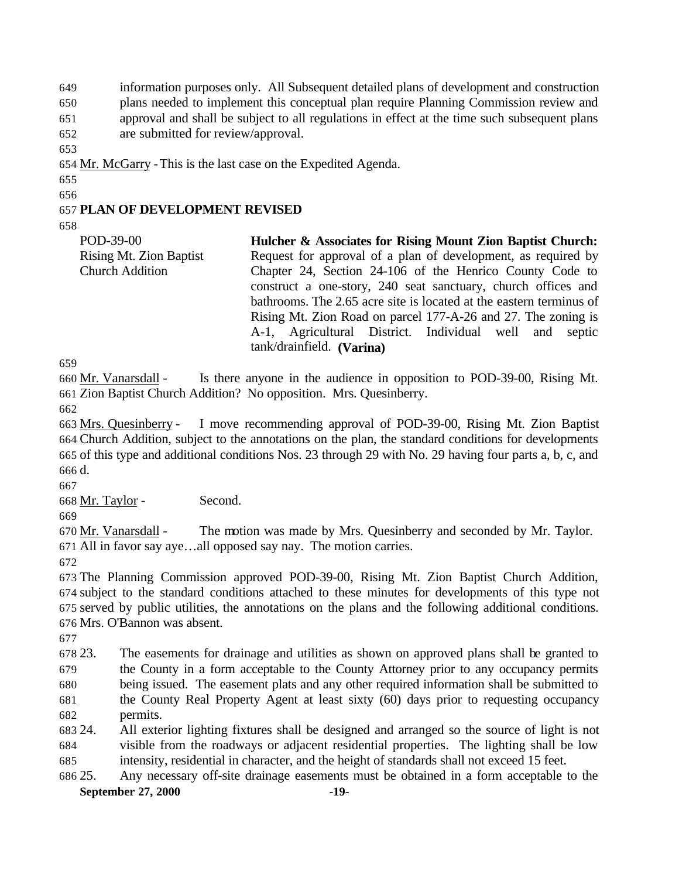information purposes only. All Subsequent detailed plans of development and construction plans needed to implement this conceptual plan require Planning Commission review and approval and shall be subject to all regulations in effect at the time such subsequent plans are submitted for review/approval.

Mr. McGarry -This is the last case on the Expedited Agenda.

#### **PLAN OF DEVELOPMENT REVISED**

POD-39-00 Rising Mt. Zion Baptist Church Addition **Hulcher & Associates for Rising Mount Zion Baptist Church:** Request for approval of a plan of development, as required by Chapter 24, Section 24-106 of the Henrico County Code to construct a one-story, 240 seat sanctuary, church offices and bathrooms. The 2.65 acre site is located at the eastern terminus of Rising Mt. Zion Road on parcel 177-A-26 and 27. The zoning is A-1, Agricultural District. Individual well and septic tank/drainfield. **(Varina)**

 Mr. Vanarsdall - Is there anyone in the audience in opposition to POD-39-00, Rising Mt. Zion Baptist Church Addition? No opposition. Mrs. Quesinberry.

 Mrs. Quesinberry - I move recommending approval of POD-39-00, Rising Mt. Zion Baptist Church Addition, subject to the annotations on the plan, the standard conditions for developments of this type and additional conditions Nos. 23 through 29 with No. 29 having four parts a, b, c, and d.

Mr. Taylor - Second.

 Mr. Vanarsdall - The motion was made by Mrs. Quesinberry and seconded by Mr. Taylor. All in favor say aye…all opposed say nay. The motion carries.

 The Planning Commission approved POD-39-00, Rising Mt. Zion Baptist Church Addition, subject to the standard conditions attached to these minutes for developments of this type not served by public utilities, the annotations on the plans and the following additional conditions. Mrs. O'Bannon was absent.

 23. The easements for drainage and utilities as shown on approved plans shall be granted to the County in a form acceptable to the County Attorney prior to any occupancy permits being issued. The easement plats and any other required information shall be submitted to the County Real Property Agent at least sixty (60) days prior to requesting occupancy permits.

 24. All exterior lighting fixtures shall be designed and arranged so the source of light is not visible from the roadways or adjacent residential properties. The lighting shall be low intensity, residential in character, and the height of standards shall not exceed 15 feet.

**September 27, 2000 -19-** 25. Any necessary off-site drainage easements must be obtained in a form acceptable to the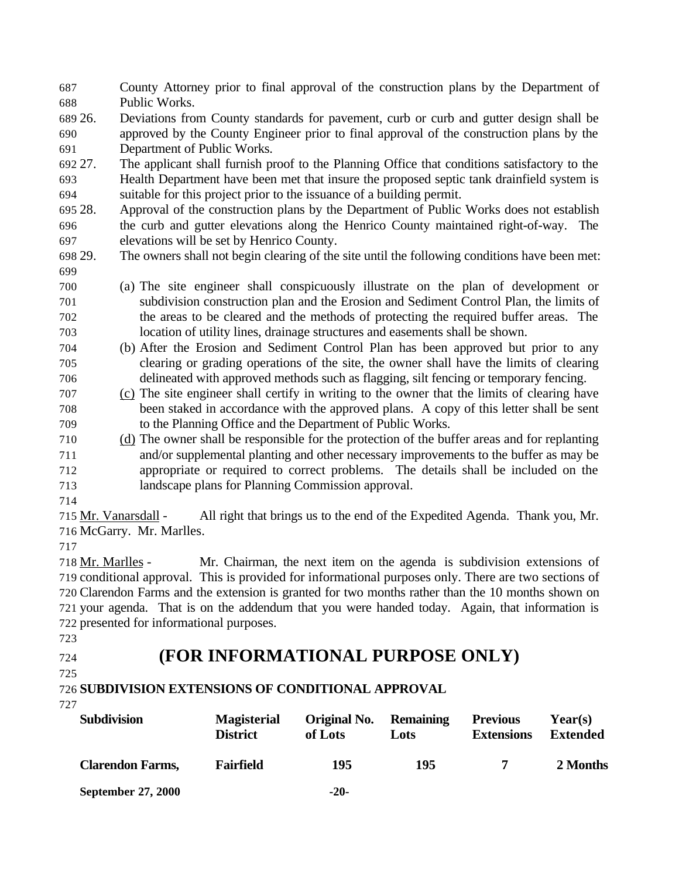County Attorney prior to final approval of the construction plans by the Department of Public Works.

 26. Deviations from County standards for pavement, curb or curb and gutter design shall be approved by the County Engineer prior to final approval of the construction plans by the Department of Public Works.

 27. The applicant shall furnish proof to the Planning Office that conditions satisfactory to the Health Department have been met that insure the proposed septic tank drainfield system is suitable for this project prior to the issuance of a building permit.

 28. Approval of the construction plans by the Department of Public Works does not establish the curb and gutter elevations along the Henrico County maintained right-of-way. The elevations will be set by Henrico County.

 29. The owners shall not begin clearing of the site until the following conditions have been met: 

- (a) The site engineer shall conspicuously illustrate on the plan of development or subdivision construction plan and the Erosion and Sediment Control Plan, the limits of the areas to be cleared and the methods of protecting the required buffer areas. The location of utility lines, drainage structures and easements shall be shown.
- (b) After the Erosion and Sediment Control Plan has been approved but prior to any clearing or grading operations of the site, the owner shall have the limits of clearing delineated with approved methods such as flagging, silt fencing or temporary fencing.
- (c) The site engineer shall certify in writing to the owner that the limits of clearing have been staked in accordance with the approved plans. A copy of this letter shall be sent to the Planning Office and the Department of Public Works.
- (d) The owner shall be responsible for the protection of the buffer areas and for replanting and/or supplemental planting and other necessary improvements to the buffer as may be appropriate or required to correct problems. The details shall be included on the landscape plans for Planning Commission approval.
- 

715 Mr. Vanarsdall - All right that brings us to the end of the Expedited Agenda. Thank you, Mr. McGarry. Mr. Marlles.

 Mr. Marlles - Mr. Chairman, the next item on the agenda is subdivision extensions of conditional approval. This is provided for informational purposes only. There are two sections of Clarendon Farms and the extension is granted for two months rather than the 10 months shown on your agenda. That is on the addendum that you were handed today. Again, that information is presented for informational purposes.

# **(FOR INFORMATIONAL PURPOSE ONLY)**

**SUBDIVISION EXTENSIONS OF CONDITIONAL APPROVAL**

| <b>Subdivision</b>        | <b>Magisterial</b><br><b>District</b> | Original No.<br>of Lots | <b>Remaining</b><br>Lots | <b>Previous</b><br><b>Extensions</b> | Year(s)<br>Extended |
|---------------------------|---------------------------------------|-------------------------|--------------------------|--------------------------------------|---------------------|
| <b>Clarendon Farms,</b>   | <b>Fairfield</b>                      | 195                     | 195                      |                                      | 2 Months            |
| <b>September 27, 2000</b> |                                       | $-20-$                  |                          |                                      |                     |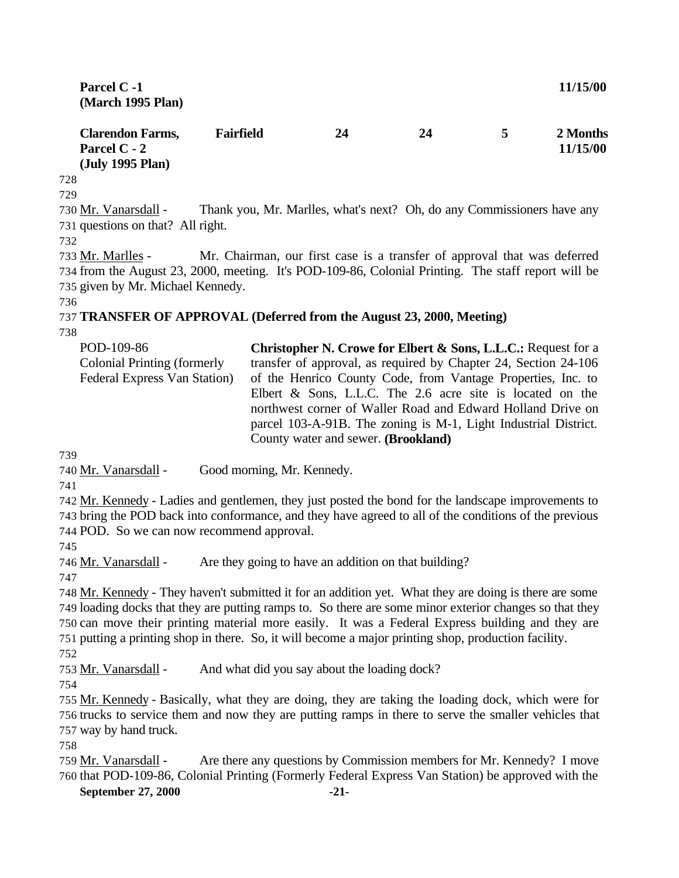| Parcel C -1<br>(March 1995 Plan)                            |                                        |                                                                        | 11/15/00 |                         |                      |
|-------------------------------------------------------------|----------------------------------------|------------------------------------------------------------------------|----------|-------------------------|----------------------|
| <b>Clarendon Farms,</b><br>Parcel C - 2<br>(July 1995 Plan) | <b>Fairfield</b>                       | 24                                                                     | 24       | 5                       | 2 Months<br>11/15/00 |
| 728                                                         |                                        |                                                                        |          |                         |                      |
| 729                                                         |                                        |                                                                        |          |                         |                      |
| 730 Mr. Vanarsdall -                                        |                                        | Thank you, Mr. Marlles, what's next? Oh, do any Commissioners have any |          |                         |                      |
| 731 questions on that? All right.                           |                                        |                                                                        |          |                         |                      |
| 732                                                         |                                        |                                                                        |          |                         |                      |
| - - - 11 11 11                                              | $\mathbf{M}$ $\mathbf{M}$ $\mathbf{M}$ |                                                                        |          | $1 \cdot 1 \cdot \cdot$ |                      |

733 Mr. Marlles - Mr. Chairman, our first case is a transfer of approval that was deferred 734 from the August 23, 2000, meeting. It's POD-109-86, Colonial Printing. The staff report will be 735 given by Mr. Michael Kennedy.

736

#### 737 **TRANSFER OF APPROVAL (Deferred from the August 23, 2000, Meeting)**

738

| POD-109-86                   | Christopher N. Crowe for Elbert & Sons, L.L.C.: Request for a   |
|------------------------------|-----------------------------------------------------------------|
| Colonial Printing (formerly  | transfer of approval, as required by Chapter 24, Section 24-106 |
| Federal Express Van Station) | of the Henrico County Code, from Vantage Properties, Inc. to    |
|                              | Elbert $\&$ Sons, L.L.C. The 2.6 acre site is located on the    |
|                              | northwest corner of Waller Road and Edward Holland Drive on     |
|                              | parcel 103-A-91B. The zoning is M-1, Light Industrial District. |
|                              | County water and sewer. (Brookland)                             |

739

740 Mr. Vanarsdall - Good morning, Mr. Kennedy.

741

742 Mr. Kennedy - Ladies and gentlemen, they just posted the bond for the landscape improvements to 743 bring the POD back into conformance, and they have agreed to all of the conditions of the previous 744 POD. So we can now recommend approval.

745

746 Mr. Vanarsdall - Are they going to have an addition on that building?

747

 Mr. Kennedy - They haven't submitted it for an addition yet. What they are doing is there are some loading docks that they are putting ramps to. So there are some minor exterior changes so that they can move their printing material more easily. It was a Federal Express building and they are putting a printing shop in there. So, it will become a major printing shop, production facility. 752

753 Mr. Vanarsdall - And what did you say about the loading dock?

754

755 Mr. Kennedy - Basically, what they are doing, they are taking the loading dock, which were for 756 trucks to service them and now they are putting ramps in there to serve the smaller vehicles that 757 way by hand truck.

758

759 Mr. Vanarsdall - Are there any questions by Commission members for Mr. Kennedy? I move 760 that POD-109-86, Colonial Printing (Formerly Federal Express Van Station) be approved with the

#### **September 27, 2000 -21-**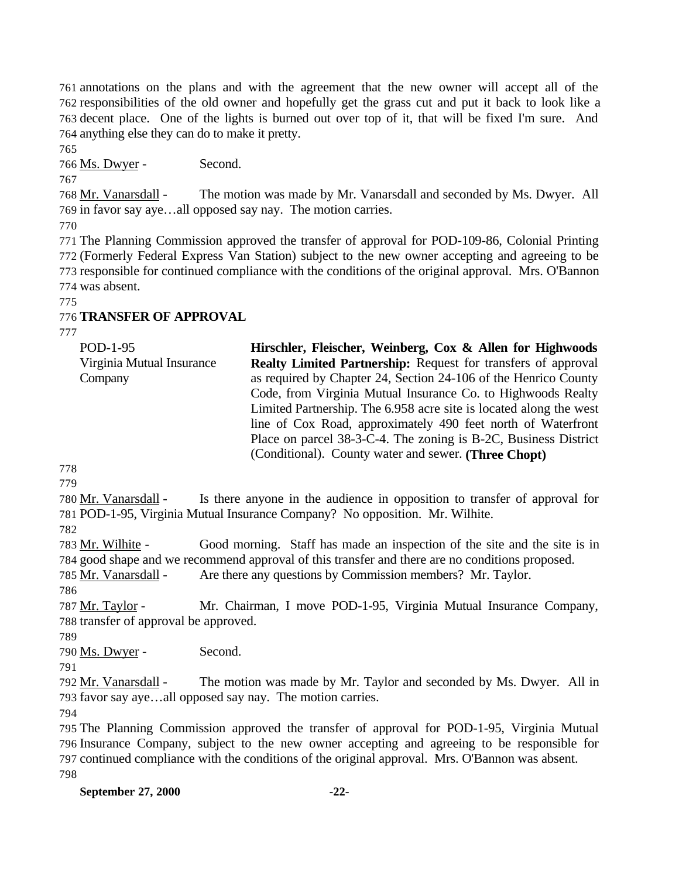annotations on the plans and with the agreement that the new owner will accept all of the responsibilities of the old owner and hopefully get the grass cut and put it back to look like a decent place. One of the lights is burned out over top of it, that will be fixed I'm sure. And anything else they can do to make it pretty.

Ms. Dwyer - Second.

768 Mr. Vanarsdall - The motion was made by Mr. Vanarsdall and seconded by Ms. Dwyer. All in favor say aye…all opposed say nay. The motion carries.

 The Planning Commission approved the transfer of approval for POD-109-86, Colonial Printing (Formerly Federal Express Van Station) subject to the new owner accepting and agreeing to be responsible for continued compliance with the conditions of the original approval. Mrs. O'Bannon was absent.

# **TRANSFER OF APPROVAL**

| POD-1-95                  | Hirschler, Fleischer, Weinberg, Cox & Allen for Highwoods          |
|---------------------------|--------------------------------------------------------------------|
| Virginia Mutual Insurance | Realty Limited Partnership: Request for transfers of approval      |
| Company                   | as required by Chapter 24, Section 24-106 of the Henrico County    |
|                           | Code, from Virginia Mutual Insurance Co. to Highwoods Realty       |
|                           | Limited Partnership. The 6.958 acre site is located along the west |
|                           | line of Cox Road, approximately 490 feet north of Waterfront       |
|                           | Place on parcel 38-3-C-4. The zoning is B-2C, Business District    |
|                           | (Conditional). County water and sewer. (Three Chopt)               |
|                           |                                                                    |

 Mr. Vanarsdall - Is there anyone in the audience in opposition to transfer of approval for POD-1-95, Virginia Mutual Insurance Company? No opposition. Mr. Wilhite.

 Mr. Wilhite - Good morning. Staff has made an inspection of the site and the site is in good shape and we recommend approval of this transfer and there are no conditions proposed.

Mr. Vanarsdall - Are there any questions by Commission members? Mr. Taylor.

 Mr. Taylor - Mr. Chairman, I move POD-1-95, Virginia Mutual Insurance Company, transfer of approval be approved.

Ms. Dwyer - Second.

792 Mr. Vanarsdall - The motion was made by Mr. Taylor and seconded by Ms. Dwyer. All in favor say aye…all opposed say nay. The motion carries.

 The Planning Commission approved the transfer of approval for POD-1-95, Virginia Mutual Insurance Company, subject to the new owner accepting and agreeing to be responsible for continued compliance with the conditions of the original approval. Mrs. O'Bannon was absent.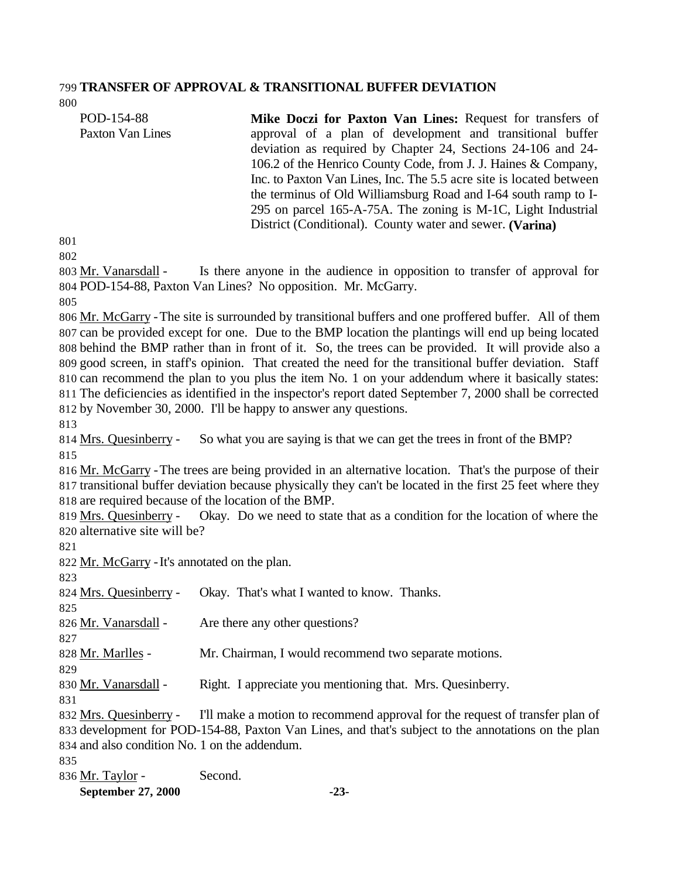#### **TRANSFER OF APPROVAL & TRANSITIONAL BUFFER DEVIATION**

| POD-154-88                        | Mike Doczi for Paxton Van Lines: Request for transfers of           |  |  |
|-----------------------------------|---------------------------------------------------------------------|--|--|
| Paxton Van Lines                  | approval of a plan of development and transitional buffer           |  |  |
|                                   | deviation as required by Chapter 24, Sections 24-106 and 24-        |  |  |
|                                   | 106.2 of the Henrico County Code, from J. J. Haines & Company,      |  |  |
|                                   | Inc. to Paxton Van Lines, Inc. The 5.5 acre site is located between |  |  |
|                                   | the terminus of Old Williamsburg Road and I-64 south ramp to I-     |  |  |
|                                   | 295 on parcel 165-A-75A. The zoning is M-1C, Light Industrial       |  |  |
|                                   | District (Conditional). County water and sewer. (Varina)            |  |  |
| $^{\small \textsf{\textbf{N}}}$ 1 |                                                                     |  |  |

803 Mr. Vanarsdall - Is there anyone in the audience in opposition to transfer of approval for POD-154-88, Paxton Van Lines? No opposition. Mr. McGarry.

 Mr. McGarry -The site is surrounded by transitional buffers and one proffered buffer. All of them can be provided except for one. Due to the BMP location the plantings will end up being located behind the BMP rather than in front of it. So, the trees can be provided. It will provide also a good screen, in staff's opinion. That created the need for the transitional buffer deviation. Staff can recommend the plan to you plus the item No. 1 on your addendum where it basically states: The deficiencies as identified in the inspector's report dated September 7, 2000 shall be corrected by November 30, 2000. I'll be happy to answer any questions.

 Mrs. Quesinberry - So what you are saying is that we can get the trees in front of the BMP? 

 Mr. McGarry -The trees are being provided in an alternative location. That's the purpose of their transitional buffer deviation because physically they can't be located in the first 25 feet where they are required because of the location of the BMP.

 Mrs. Quesinberry - Okay. Do we need to state that as a condition for the location of where the alternative site will be?

822 Mr. McGarry - It's annotated on the plan.

 Mrs. Quesinberry - Okay. That's what I wanted to know. Thanks. 826 Mr. Vanarsdall - Are there any other questions? Mr. Marlles - Mr. Chairman, I would recommend two separate motions. Mr. Vanarsdall - Right. I appreciate you mentioning that. Mrs. Quesinberry. Mrs. Quesinberry - I'll make a motion to recommend approval for the request of transfer plan of development for POD-154-88, Paxton Van Lines, and that's subject to the annotations on the plan and also condition No. 1 on the addendum. Mr. Taylor - Second.

**September 27, 2000 -23-**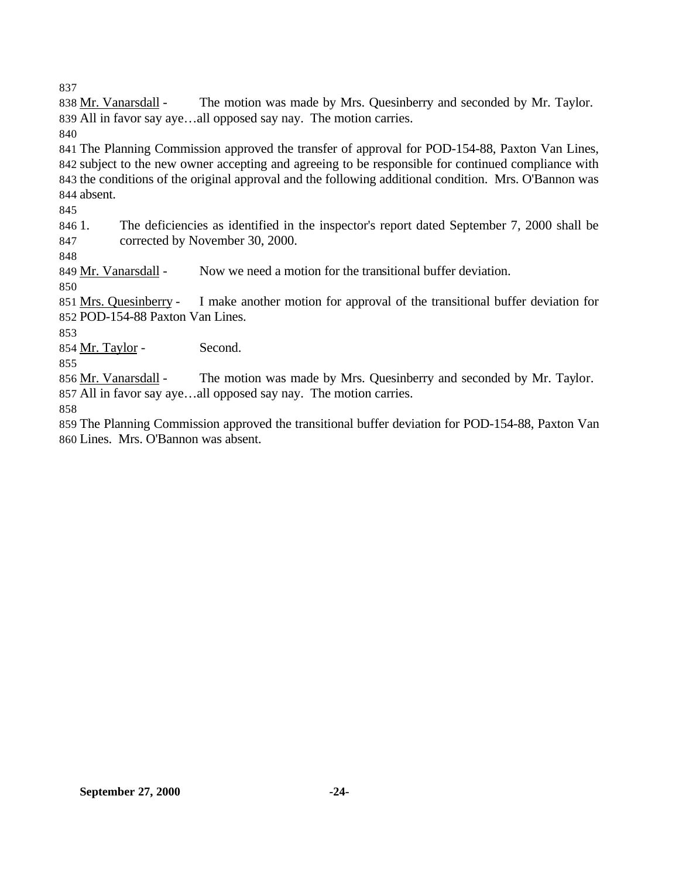838 Mr. Vanarsdall - The motion was made by Mrs. Quesinberry and seconded by Mr. Taylor. All in favor say aye…all opposed say nay. The motion carries.

 The Planning Commission approved the transfer of approval for POD-154-88, Paxton Van Lines, subject to the new owner accepting and agreeing to be responsible for continued compliance with the conditions of the original approval and the following additional condition. Mrs. O'Bannon was absent.

 1. The deficiencies as identified in the inspector's report dated September 7, 2000 shall be corrected by November 30, 2000.

849 Mr. Vanarsdall - Now we need a motion for the transitional buffer deviation.

 Mrs. Quesinberry - I make another motion for approval of the transitional buffer deviation for POD-154-88 Paxton Van Lines.

854 Mr. Taylor - Second.

856 Mr. Vanarsdall - The motion was made by Mrs. Quesinberry and seconded by Mr. Taylor. All in favor say aye…all opposed say nay. The motion carries.

 The Planning Commission approved the transitional buffer deviation for POD-154-88, Paxton Van Lines. Mrs. O'Bannon was absent.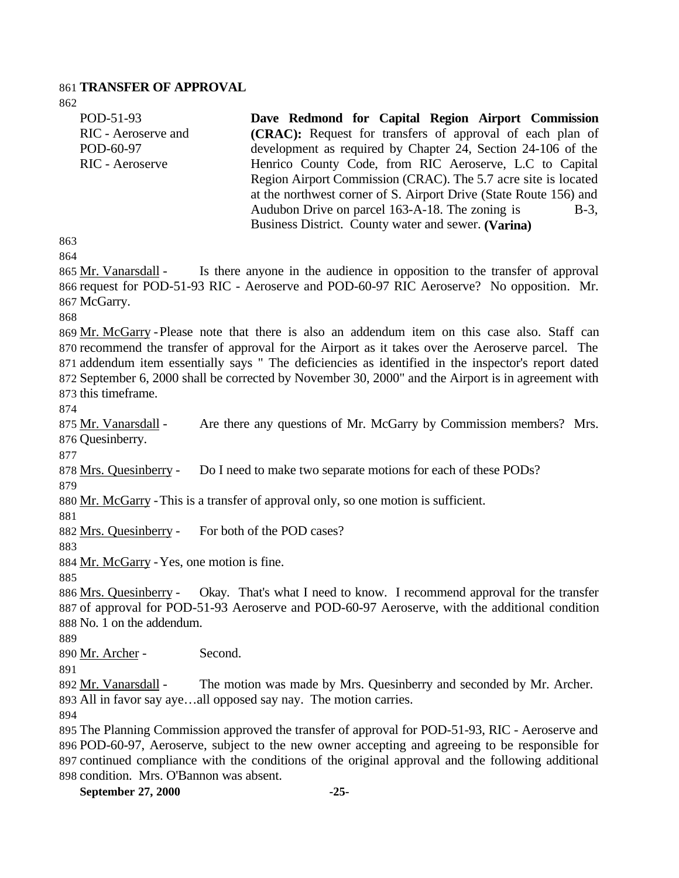#### **TRANSFER OF APPROVAL**

POD-51-93 RIC - Aeroserve and POD-60-97 RIC - Aeroserve **Dave Redmond for Capital Region Airport Commission (CRAC):** Request for transfers of approval of each plan of development as required by Chapter 24, Section 24-106 of the Henrico County Code, from RIC Aeroserve, L.C to Capital Region Airport Commission (CRAC). The 5.7 acre site is located at the northwest corner of S. Airport Drive (State Route 156) and Audubon Drive on parcel  $163-A-18$ . The zoning is  $B-3$ , Business District. County water and sewer. **(Varina)**  

 Mr. Vanarsdall - Is there anyone in the audience in opposition to the transfer of approval request for POD-51-93 RIC - Aeroserve and POD-60-97 RIC Aeroserve? No opposition. Mr. McGarry.

 Mr. McGarry -Please note that there is also an addendum item on this case also. Staff can recommend the transfer of approval for the Airport as it takes over the Aeroserve parcel. The addendum item essentially says " The deficiencies as identified in the inspector's report dated September 6, 2000 shall be corrected by November 30, 2000" and the Airport is in agreement with this timeframe.

875 Mr. Vanarsdall - Are there any questions of Mr. McGarry by Commission members? Mrs. Quesinberry.

Mrs. Quesinberry - Do I need to make two separate motions for each of these PODs?

Mr. McGarry -This is a transfer of approval only, so one motion is sufficient.

Mrs. Quesinberry - For both of the POD cases?

Mr. McGarry -Yes, one motion is fine.

 Mrs. Quesinberry - Okay. That's what I need to know. I recommend approval for the transfer of approval for POD-51-93 Aeroserve and POD-60-97 Aeroserve, with the additional condition No. 1 on the addendum.

Mr. Archer - Second.

 Mr. Vanarsdall - The motion was made by Mrs. Quesinberry and seconded by Mr. Archer. All in favor say aye…all opposed say nay. The motion carries.

 The Planning Commission approved the transfer of approval for POD-51-93, RIC - Aeroserve and POD-60-97, Aeroserve, subject to the new owner accepting and agreeing to be responsible for continued compliance with the conditions of the original approval and the following additional condition. Mrs. O'Bannon was absent.

**September 27, 2000 -25-**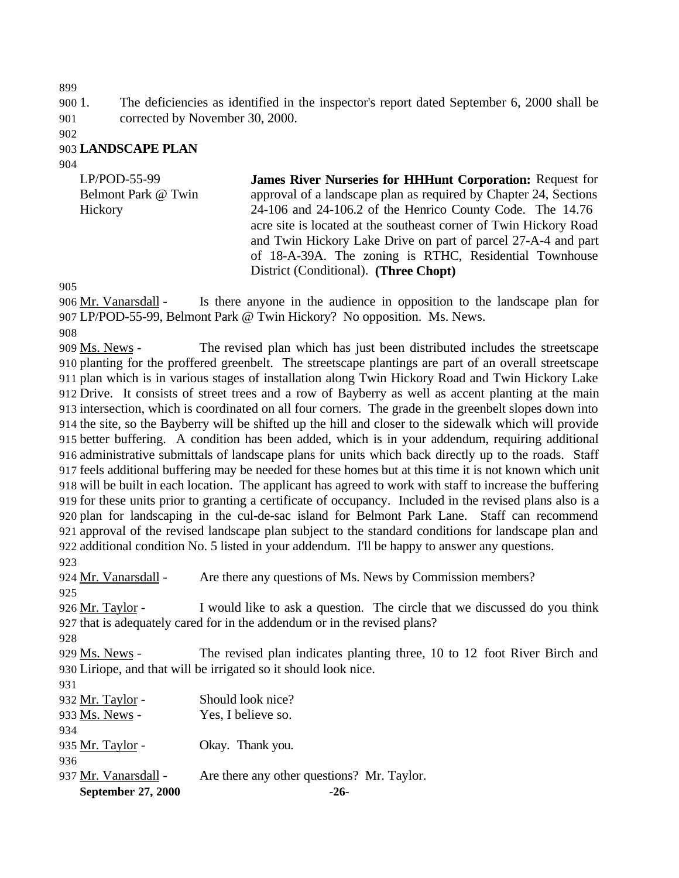1. The deficiencies as identified in the inspector's report dated September 6, 2000 shall be corrected by November 30, 2000.

#### **LANDSCAPE PLAN**

| $LP/POD-55-99$<br>Belmont Park @ Twin<br>Hickory | <b>James River Nurseries for HHHunt Corporation: Request for</b><br>approval of a landscape plan as required by Chapter 24, Sections<br>24-106 and 24-106.2 of the Henrico County Code. The 14.76<br>acre site is located at the southeast corner of Twin Hickory Road |
|--------------------------------------------------|------------------------------------------------------------------------------------------------------------------------------------------------------------------------------------------------------------------------------------------------------------------------|
|                                                  | and Twin Hickory Lake Drive on part of parcel 27-A-4 and part<br>of 18-A-39A. The zoning is RTHC, Residential Townhouse<br>District (Conditional). (Three Chopt)                                                                                                       |
|                                                  |                                                                                                                                                                                                                                                                        |

 Mr. Vanarsdall - Is there anyone in the audience in opposition to the landscape plan for LP/POD-55-99, Belmont Park @ Twin Hickory? No opposition. Ms. News.

909 Ms. News - The revised plan which has just been distributed includes the streetscape planting for the proffered greenbelt. The streetscape plantings are part of an overall streetscape plan which is in various stages of installation along Twin Hickory Road and Twin Hickory Lake Drive. It consists of street trees and a row of Bayberry as well as accent planting at the main intersection, which is coordinated on all four corners. The grade in the greenbelt slopes down into the site, so the Bayberry will be shifted up the hill and closer to the sidewalk which will provide better buffering. A condition has been added, which is in your addendum, requiring additional administrative submittals of landscape plans for units which back directly up to the roads. Staff feels additional buffering may be needed for these homes but at this time it is not known which unit will be built in each location. The applicant has agreed to work with staff to increase the buffering for these units prior to granting a certificate of occupancy. Included in the revised plans also is a plan for landscaping in the cul-de-sac island for Belmont Park Lane. Staff can recommend approval of the revised landscape plan subject to the standard conditions for landscape plan and additional condition No. 5 listed in your addendum. I'll be happy to answer any questions. 

| <b>September 27, 2000</b> | $-26-$                                                                    |
|---------------------------|---------------------------------------------------------------------------|
| 937 Mr. Vanarsdall -      | Are there any other questions? Mr. Taylor.                                |
| 936                       |                                                                           |
| 935 Mr. Taylor -          | Okay. Thank you.                                                          |
| 934                       |                                                                           |
| 933 Ms. News -            | Yes, I believe so.                                                        |
| 932 Mr. Taylor -          | Should look nice?                                                         |
| 931                       |                                                                           |
|                           | 930 Liriope, and that will be irrigated so it should look nice.           |
| 929 Ms. News -            | The revised plan indicates planting three, 10 to 12 foot River Birch and  |
| 928                       |                                                                           |
|                           | 927 that is adequately cared for in the addendum or in the revised plans? |
| 926 Mr. Taylor -          | I would like to ask a question. The circle that we discussed do you think |
| 925                       |                                                                           |
| 924 Mr. Vanarsdall -      | Are there any questions of Ms. News by Commission members?                |
| ر بے ر                    |                                                                           |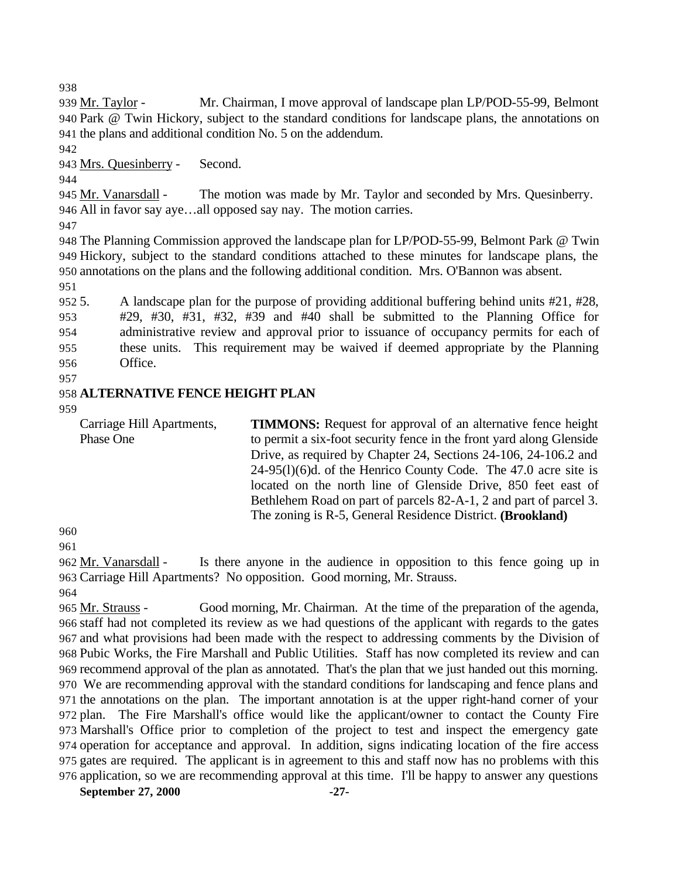939 Mr. Taylor - Mr. Chairman, I move approval of landscape plan LP/POD-55-99, Belmont Park @ Twin Hickory, subject to the standard conditions for landscape plans, the annotations on the plans and additional condition No. 5 on the addendum.

Mrs. Quesinberry - Second.

945 Mr. Vanarsdall - The motion was made by Mr. Taylor and seconded by Mrs. Quesinberry. All in favor say aye…all opposed say nay. The motion carries.

 The Planning Commission approved the landscape plan for LP/POD-55-99, Belmont Park @ Twin Hickory, subject to the standard conditions attached to these minutes for landscape plans, the annotations on the plans and the following additional condition. Mrs. O'Bannon was absent.

 5. A landscape plan for the purpose of providing additional buffering behind units #21, #28, #29, #30, #31, #32, #39 and #40 shall be submitted to the Planning Office for administrative review and approval prior to issuance of occupancy permits for each of these units. This requirement may be waived if deemed appropriate by the Planning Office.

# **ALTERNATIVE FENCE HEIGHT PLAN**

Carriage Hill Apartments, Phase One

**TIMMONS:** Request for approval of an alternative fence height to permit a six-foot security fence in the front yard along Glenside Drive, as required by Chapter 24, Sections 24-106, 24-106.2 and 24-95(l)(6)d. of the Henrico County Code. The 47.0 acre site is located on the north line of Glenside Drive, 850 feet east of Bethlehem Road on part of parcels 82-A-1, 2 and part of parcel 3. The zoning is R-5, General Residence District. **(Brookland)** 

 Mr. Vanarsdall - Is there anyone in the audience in opposition to this fence going up in Carriage Hill Apartments? No opposition. Good morning, Mr. Strauss.

 Mr. Strauss - Good morning, Mr. Chairman. At the time of the preparation of the agenda, staff had not completed its review as we had questions of the applicant with regards to the gates and what provisions had been made with the respect to addressing comments by the Division of Pubic Works, the Fire Marshall and Public Utilities. Staff has now completed its review and can recommend approval of the plan as annotated. That's the plan that we just handed out this morning. We are recommending approval with the standard conditions for landscaping and fence plans and the annotations on the plan. The important annotation is at the upper right-hand corner of your plan. The Fire Marshall's office would like the applicant/owner to contact the County Fire Marshall's Office prior to completion of the project to test and inspect the emergency gate operation for acceptance and approval. In addition, signs indicating location of the fire access gates are required. The applicant is in agreement to this and staff now has no problems with this application, so we are recommending approval at this time. I'll be happy to answer any questions

**September 27, 2000 -27-**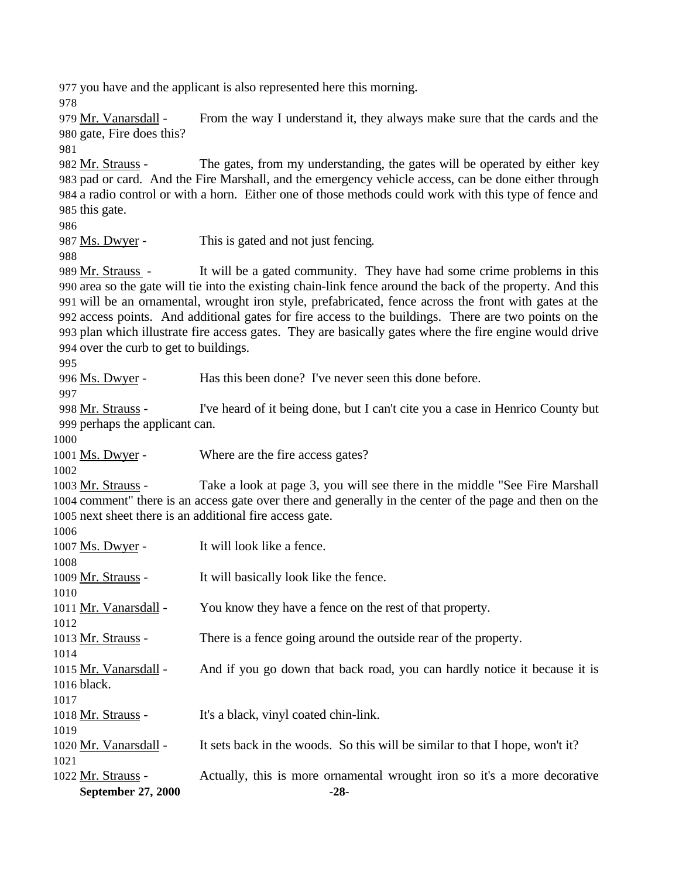you have and the applicant is also represented here this morning.

 Mr. Vanarsdall - From the way I understand it, they always make sure that the cards and the gate, Fire does this?

 Mr. Strauss - The gates, from my understanding, the gates will be operated by either key pad or card. And the Fire Marshall, and the emergency vehicle access, can be done either through a radio control or with a horn. Either one of those methods could work with this type of fence and this gate.

Ms. Dwyer - This is gated and not just fencing.

 Mr. Strauss - It will be a gated community. They have had some crime problems in this area so the gate will tie into the existing chain-link fence around the back of the property. And this will be an ornamental, wrought iron style, prefabricated, fence across the front with gates at the access points. And additional gates for fire access to the buildings. There are two points on the plan which illustrate fire access gates. They are basically gates where the fire engine would drive over the curb to get to buildings.

996 Ms. Dwyer - Has this been done? I've never seen this done before.

 Mr. Strauss - I've heard of it being done, but I can't cite you a case in Henrico County but perhaps the applicant can.

1001 <u>Ms. Dwyer</u> - Where are the fire access gates?

 Mr. Strauss - Take a look at page 3, you will see there in the middle "See Fire Marshall comment" there is an access gate over there and generally in the center of the page and then on the next sheet there is an additional fire access gate.

| ł<br>i<br>I |
|-------------|
|-------------|

| September 27, 2000    | $-28-$                                                                       |
|-----------------------|------------------------------------------------------------------------------|
| 1022 Mr. Strauss -    | Actually, this is more ornamental wrought iron so it's a more decorative     |
| 1021                  |                                                                              |
| 1020 Mr. Vanarsdall - | It sets back in the woods. So this will be similar to that I hope, won't it? |
| 1019                  |                                                                              |
| 1018 Mr. Strauss -    | It's a black, vinyl coated chin-link.                                        |
| 1017                  |                                                                              |
| 1016 black.           |                                                                              |
| 1015 Mr. Vanarsdall - | And if you go down that back road, you can hardly notice it because it is    |
| 1014                  |                                                                              |
| 1013 Mr. Strauss -    | There is a fence going around the outside rear of the property.              |
| 1012                  |                                                                              |
| 1011 Mr. Vanarsdall - | You know they have a fence on the rest of that property.                     |
| 1010                  |                                                                              |
| 1009 Mr. Strauss -    | It will basically look like the fence.                                       |
| 1008                  |                                                                              |
| 1007 Ms. Dwyer -      | It will look like a fence.                                                   |
| 1000                  |                                                                              |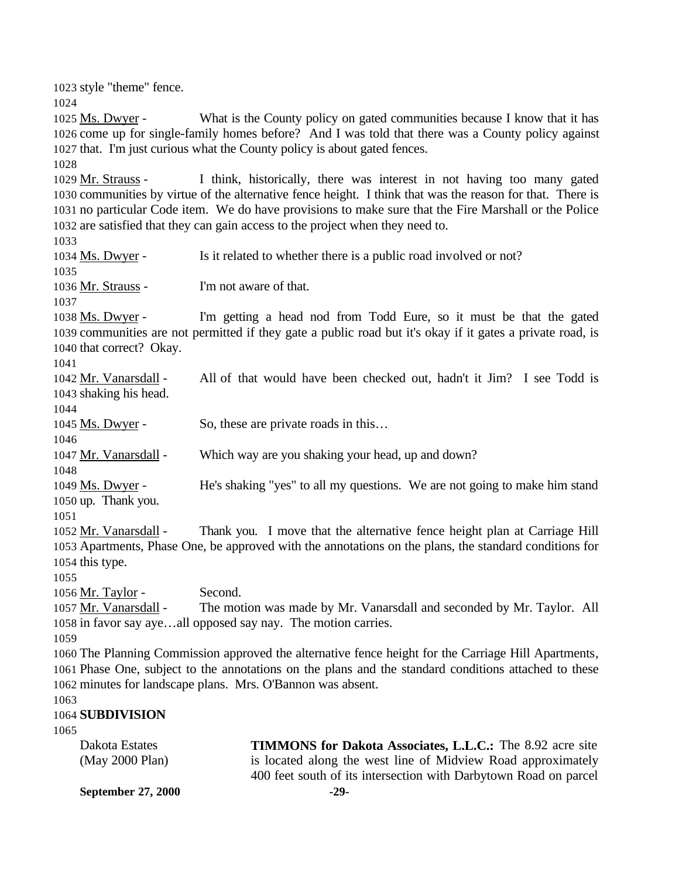**September 27, 2000 -29-** style "theme" fence. 1025 Ms. Dwyer - What is the County policy on gated communities because I know that it has come up for single-family homes before? And I was told that there was a County policy against that. I'm just curious what the County policy is about gated fences. Mr. Strauss - I think, historically, there was interest in not having too many gated communities by virtue of the alternative fence height. I think that was the reason for that. There is no particular Code item. We do have provisions to make sure that the Fire Marshall or the Police are satisfied that they can gain access to the project when they need to. 1034 Ms. Dwyer - Is it related to whether there is a public road involved or not? Mr. Strauss - I'm not aware of that. Ms. Dwyer - I'm getting a head nod from Todd Eure, so it must be that the gated communities are not permitted if they gate a public road but it's okay if it gates a private road, is that correct? Okay. Mr. Vanarsdall - All of that would have been checked out, hadn't it Jim? I see Todd is shaking his head. 1045 Ms. Dwyer - So, these are private roads in this... 1047 Mr. Vanarsdall - Which way are you shaking your head, up and down? Ms. Dwyer - He's shaking "yes" to all my questions. We are not going to make him stand up. Thank you. Mr. Vanarsdall - Thank you. I move that the alternative fence height plan at Carriage Hill Apartments, Phase One, be approved with the annotations on the plans, the standard conditions for this type. 1056 Mr. Taylor - Second. Mr. Vanarsdall - The motion was made by Mr. Vanarsdall and seconded by Mr. Taylor. All in favor say aye…all opposed say nay. The motion carries. The Planning Commission approved the alternative fence height for the Carriage Hill Apartments, Phase One, subject to the annotations on the plans and the standard conditions attached to these minutes for landscape plans. Mrs. O'Bannon was absent. **SUBDIVISION** Dakota Estates (May 2000 Plan) **TIMMONS for Dakota Associates, L.L.C.:** The 8.92 acre site is located along the west line of Midview Road approximately 400 feet south of its intersection with Darbytown Road on parcel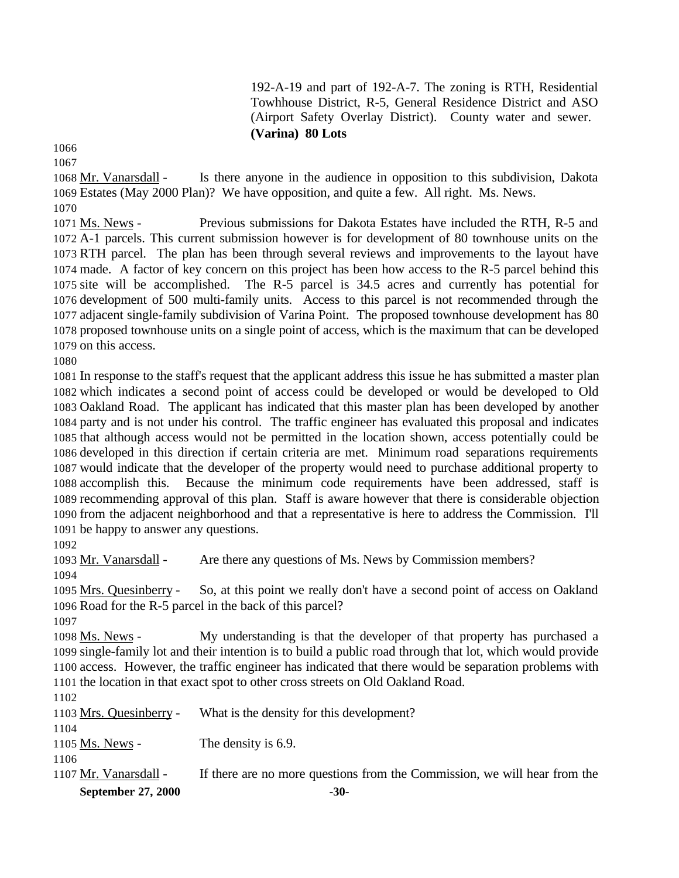192-A-19 and part of 192-A-7. The zoning is RTH, Residential Towhhouse District, R-5, General Residence District and ASO (Airport Safety Overlay District). County water and sewer. **(Varina) 80 Lots** 

 

 Mr. Vanarsdall - Is there anyone in the audience in opposition to this subdivision, Dakota Estates (May 2000 Plan)? We have opposition, and quite a few. All right. Ms. News.

 Ms. News - Previous submissions for Dakota Estates have included the RTH, R-5 and A-1 parcels. This current submission however is for development of 80 townhouse units on the RTH parcel. The plan has been through several reviews and improvements to the layout have made. A factor of key concern on this project has been how access to the R-5 parcel behind this site will be accomplished. The R-5 parcel is 34.5 acres and currently has potential for development of 500 multi-family units. Access to this parcel is not recommended through the adjacent single-family subdivision of Varina Point. The proposed townhouse development has 80 proposed townhouse units on a single point of access, which is the maximum that can be developed on this access.

 In response to the staff's request that the applicant address this issue he has submitted a master plan which indicates a second point of access could be developed or would be developed to Old Oakland Road. The applicant has indicated that this master plan has been developed by another party and is not under his control. The traffic engineer has evaluated this proposal and indicates that although access would not be permitted in the location shown, access potentially could be developed in this direction if certain criteria are met. Minimum road separations requirements would indicate that the developer of the property would need to purchase additional property to accomplish this. Because the minimum code requirements have been addressed, staff is recommending approval of this plan. Staff is aware however that there is considerable objection from the adjacent neighborhood and that a representative is here to address the Commission. I'll be happy to answer any questions.

Mr. Vanarsdall - Are there any questions of Ms. News by Commission members?

 Mrs. Quesinberry - So, at this point we really don't have a second point of access on Oakland Road for the R-5 parcel in the back of this parcel?

 Ms. News - My understanding is that the developer of that property has purchased a single-family lot and their intention is to build a public road through that lot, which would provide access. However, the traffic engineer has indicated that there would be separation problems with the location in that exact spot to other cross streets on Old Oakland Road.

| <b>September 27, 2000</b> | $-30-$                                                                    |
|---------------------------|---------------------------------------------------------------------------|
| 1107 Mr. Vanarsdall -     | If there are no more questions from the Commission, we will hear from the |
| 1106                      |                                                                           |
| 1105 Ms. News -           | The density is 6.9.                                                       |
| 1104                      |                                                                           |
| 1103 Mrs. Quesinberry -   | What is the density for this development?                                 |
| 1102                      |                                                                           |
|                           |                                                                           |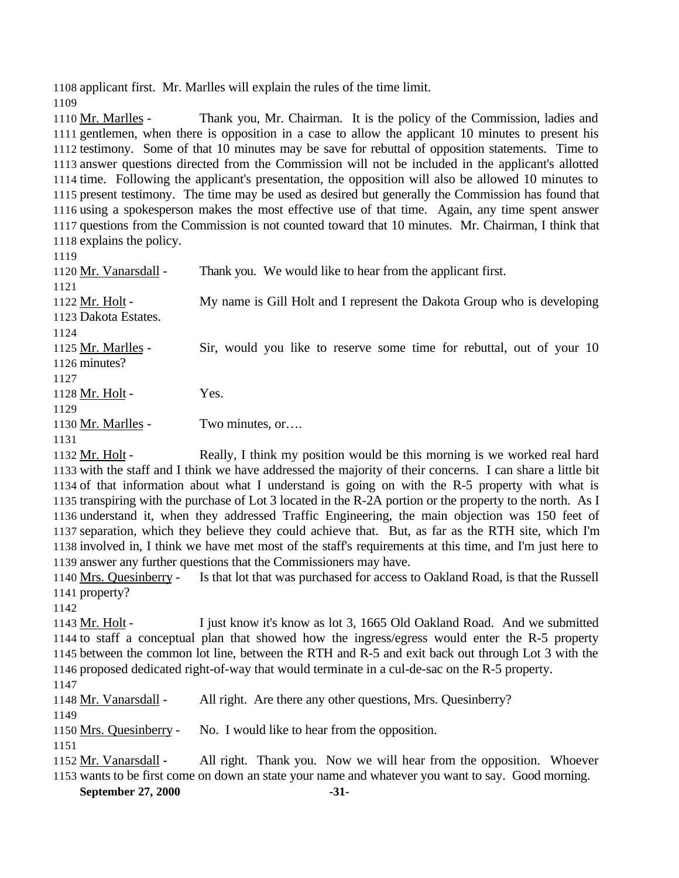applicant first. Mr. Marlles will explain the rules of the time limit.

1110 Mr. Marlles - Thank you, Mr. Chairman. It is the policy of the Commission, ladies and gentlemen, when there is opposition in a case to allow the applicant 10 minutes to present his testimony. Some of that 10 minutes may be save for rebuttal of opposition statements. Time to answer questions directed from the Commission will not be included in the applicant's allotted time. Following the applicant's presentation, the opposition will also be allowed 10 minutes to present testimony. The time may be used as desired but generally the Commission has found that using a spokesperson makes the most effective use of that time. Again, any time spent answer questions from the Commission is not counted toward that 10 minutes. Mr. Chairman, I think that explains the policy. 1120 Mr. Vanarsdall - Thank you. We would like to hear from the applicant first. Mr. Holt - My name is Gill Holt and I represent the Dakota Group who is developing Dakota Estates. 1125 Mr. Marlles - Sir, would you like to reserve some time for rebuttal, out of your 10 minutes? 1128 Mr. Holt - Yes. 1130 Mr. Marlles - Two minutes, or…. 1132 Mr. Holt - Really, I think my position would be this morning is we worked real hard with the staff and I think we have addressed the majority of their concerns. I can share a little bit of that information about what I understand is going on with the R-5 property with what is transpiring with the purchase of Lot 3 located in the R-2A portion or the property to the north. As I understand it, when they addressed Traffic Engineering, the main objection was 150 feet of separation, which they believe they could achieve that. But, as far as the RTH site, which I'm involved in, I think we have met most of the staff's requirements at this time, and I'm just here to

answer any further questions that the Commissioners may have.

 Mrs. Quesinberry - Is that lot that was purchased for access to Oakland Road, is that the Russell property?

 Mr. Holt - I just know it's know as lot 3, 1665 Old Oakland Road. And we submitted to staff a conceptual plan that showed how the ingress/egress would enter the R-5 property between the common lot line, between the RTH and R-5 and exit back out through Lot 3 with the proposed dedicated right-of-way that would terminate in a cul-de-sac on the R-5 property.

Mr. Vanarsdall - All right. Are there any other questions, Mrs. Quesinberry?

Mrs. Quesinberry - No. I would like to hear from the opposition.

1152 Mr. Vanarsdall - All right. Thank you. Now we will hear from the opposition. Whoever wants to be first come on down an state your name and whatever you want to say. Good morning.

**September 27, 2000 -31-**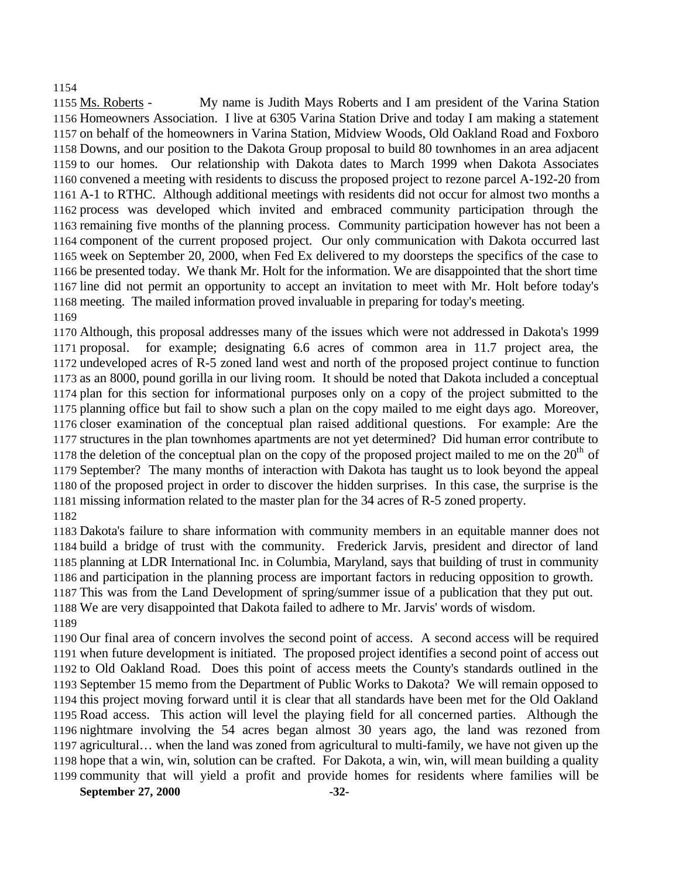#### 

 Ms. Roberts - My name is Judith Mays Roberts and I am president of the Varina Station Homeowners Association. I live at 6305 Varina Station Drive and today I am making a statement on behalf of the homeowners in Varina Station, Midview Woods, Old Oakland Road and Foxboro Downs, and our position to the Dakota Group proposal to build 80 townhomes in an area adjacent to our homes. Our relationship with Dakota dates to March 1999 when Dakota Associates convened a meeting with residents to discuss the proposed project to rezone parcel A-192-20 from A-1 to RTHC. Although additional meetings with residents did not occur for almost two months a process was developed which invited and embraced community participation through the remaining five months of the planning process. Community participation however has not been a component of the current proposed project. Our only communication with Dakota occurred last week on September 20, 2000, when Fed Ex delivered to my doorsteps the specifics of the case to be presented today. We thank Mr. Holt for the information. We are disappointed that the short time line did not permit an opportunity to accept an invitation to meet with Mr. Holt before today's meeting. The mailed information proved invaluable in preparing for today's meeting. 

 Although, this proposal addresses many of the issues which were not addressed in Dakota's 1999 proposal. for example; designating 6.6 acres of common area in 11.7 project area, the undeveloped acres of R-5 zoned land west and north of the proposed project continue to function as an 8000, pound gorilla in our living room. It should be noted that Dakota included a conceptual plan for this section for informational purposes only on a copy of the project submitted to the planning office but fail to show such a plan on the copy mailed to me eight days ago. Moreover, closer examination of the conceptual plan raised additional questions. For example: Are the structures in the plan townhomes apartments are not yet determined? Did human error contribute to 1178 the deletion of the conceptual plan on the copy of the proposed project mailed to me on the  $20<sup>th</sup>$  of September? The many months of interaction with Dakota has taught us to look beyond the appeal of the proposed project in order to discover the hidden surprises. In this case, the surprise is the missing information related to the master plan for the 34 acres of R-5 zoned property. 

 Dakota's failure to share information with community members in an equitable manner does not build a bridge of trust with the community. Frederick Jarvis, president and director of land planning at LDR International Inc. in Columbia, Maryland, says that building of trust in community and participation in the planning process are important factors in reducing opposition to growth. This was from the Land Development of spring/summer issue of a publication that they put out. We are very disappointed that Dakota failed to adhere to Mr. Jarvis' words of wisdom. 

 Our final area of concern involves the second point of access. A second access will be required when future development is initiated. The proposed project identifies a second point of access out to Old Oakland Road. Does this point of access meets the County's standards outlined in the September 15 memo from the Department of Public Works to Dakota? We will remain opposed to this project moving forward until it is clear that all standards have been met for the Old Oakland Road access. This action will level the playing field for all concerned parties. Although the nightmare involving the 54 acres began almost 30 years ago, the land was rezoned from agricultural… when the land was zoned from agricultural to multi-family, we have not given up the hope that a win, win, solution can be crafted. For Dakota, a win, win, will mean building a quality community that will yield a profit and provide homes for residents where families will be

**September 27, 2000 -32-**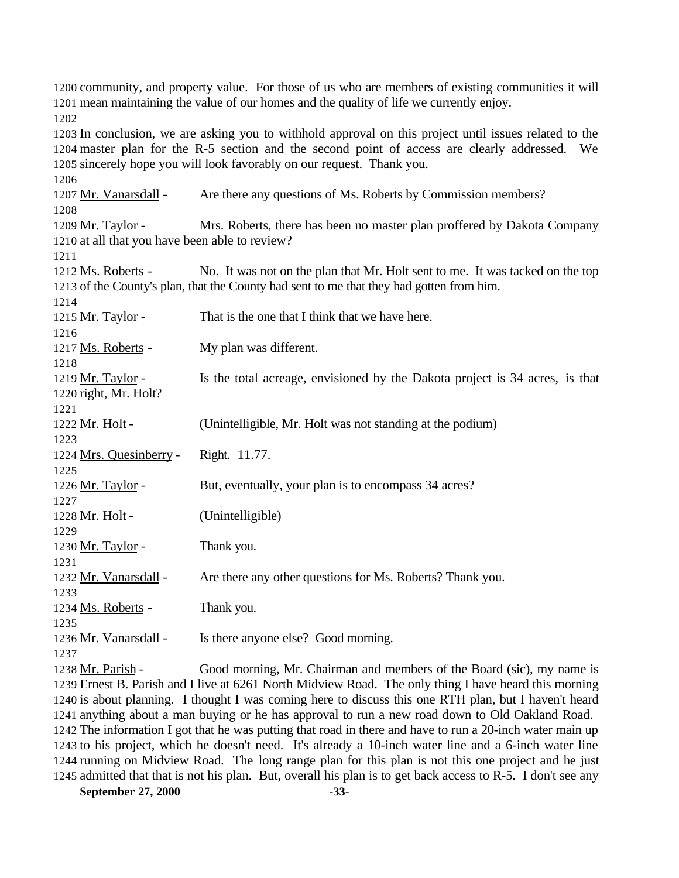community, and property value. For those of us who are members of existing communities it will mean maintaining the value of our homes and the quality of life we currently enjoy. In conclusion, we are asking you to withhold approval on this project until issues related to the master plan for the R-5 section and the second point of access are clearly addressed. We sincerely hope you will look favorably on our request. Thank you. 1207 Mr. Vanarsdall - Are there any questions of Ms. Roberts by Commission members? 1209 Mr. Taylor - Mrs. Roberts, there has been no master plan proffered by Dakota Company at all that you have been able to review? 1212 Ms. Roberts - No. It was not on the plan that Mr. Holt sent to me. It was tacked on the top of the County's plan, that the County had sent to me that they had gotten from him. 1215 Mr. Taylor - That is the one that I think that we have here. 1217 Ms. Roberts - My plan was different. 1219 Mr. Taylor - Is the total acreage, envisioned by the Dakota project is 34 acres, is that right, Mr. Holt? 1222 Mr. Holt - (Unintelligible, Mr. Holt was not standing at the podium) Mrs. Quesinberry - Right. 11.77. 1226 Mr. Taylor - But, eventually, your plan is to encompass 34 acres? 1228 Mr. Holt - (Unintelligible) 1230 Mr. Taylor - Thank you. 1232 Mr. Vanarsdall - Are there any other questions for Ms. Roberts? Thank you. 1234 Ms. Roberts - Thank you. 1236 Mr. Vanarsdall - Is there anyone else? Good morning. Mr. Parish - Good morning, Mr. Chairman and members of the Board (sic), my name is Ernest B. Parish and I live at 6261 North Midview Road. The only thing I have heard this morning is about planning. I thought I was coming here to discuss this one RTH plan, but I haven't heard anything about a man buying or he has approval to run a new road down to Old Oakland Road.

 The information I got that he was putting that road in there and have to run a 20-inch water main up to his project, which he doesn't need. It's already a 10-inch water line and a 6-inch water line running on Midview Road. The long range plan for this plan is not this one project and he just admitted that that is not his plan. But, overall his plan is to get back access to R-5. I don't see any

**September 27, 2000 -33-**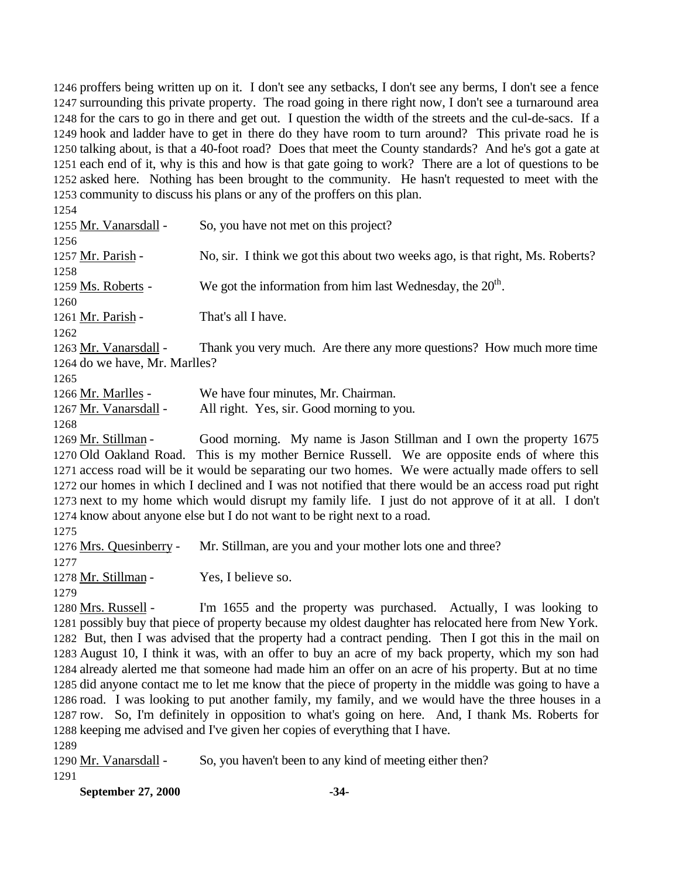proffers being written up on it. I don't see any setbacks, I don't see any berms, I don't see a fence surrounding this private property. The road going in there right now, I don't see a turnaround area for the cars to go in there and get out. I question the width of the streets and the cul-de-sacs. If a hook and ladder have to get in there do they have room to turn around? This private road he is talking about, is that a 40-foot road? Does that meet the County standards? And he's got a gate at each end of it, why is this and how is that gate going to work? There are a lot of questions to be asked here. Nothing has been brought to the community. He hasn't requested to meet with the community to discuss his plans or any of the proffers on this plan.

 1255 Mr. Vanarsdall - So, you have not met on this project? 1257 Mr. Parish - No, sir. I think we got this about two weeks ago, is that right, Ms. Roberts? 1259  $\text{Ms}$ . Roberts - We got the information from him last Wednesday, the  $20^{\text{th}}$ . 1261 Mr. Parish - That's all I have. 1263 Mr. Vanarsdall - Thank you very much. Are there any more questions? How much more time do we have, Mr. Marlles? Mr. Marlles - We have four minutes, Mr. Chairman. Mr. Vanarsdall - All right. Yes, sir. Good morning to you. Mr. Stillman - Good morning. My name is Jason Stillman and I own the property 1675 Old Oakland Road. This is my mother Bernice Russell. We are opposite ends of where this access road will be it would be separating our two homes. We were actually made offers to sell our homes in which I declined and I was not notified that there would be an access road put right next to my home which would disrupt my family life. I just do not approve of it at all. I don't know about anyone else but I do not want to be right next to a road. Mrs. Quesinberry - Mr. Stillman, are you and your mother lots one and three? 1278 Mr. Stillman - Yes, I believe so. Mrs. Russell - I'm 1655 and the property was purchased. Actually, I was looking to possibly buy that piece of property because my oldest daughter has relocated here from New York. But, then I was advised that the property had a contract pending. Then I got this in the mail on August 10, I think it was, with an offer to buy an acre of my back property, which my son had already alerted me that someone had made him an offer on an acre of his property. But at no time did anyone contact me to let me know that the piece of property in the middle was going to have a road. I was looking to put another family, my family, and we would have the three houses in a row. So, I'm definitely in opposition to what's going on here. And, I thank Ms. Roberts for keeping me advised and I've given her copies of everything that I have.

Mr. Vanarsdall - So, you haven't been to any kind of meeting either then?

**September 27, 2000 -34-**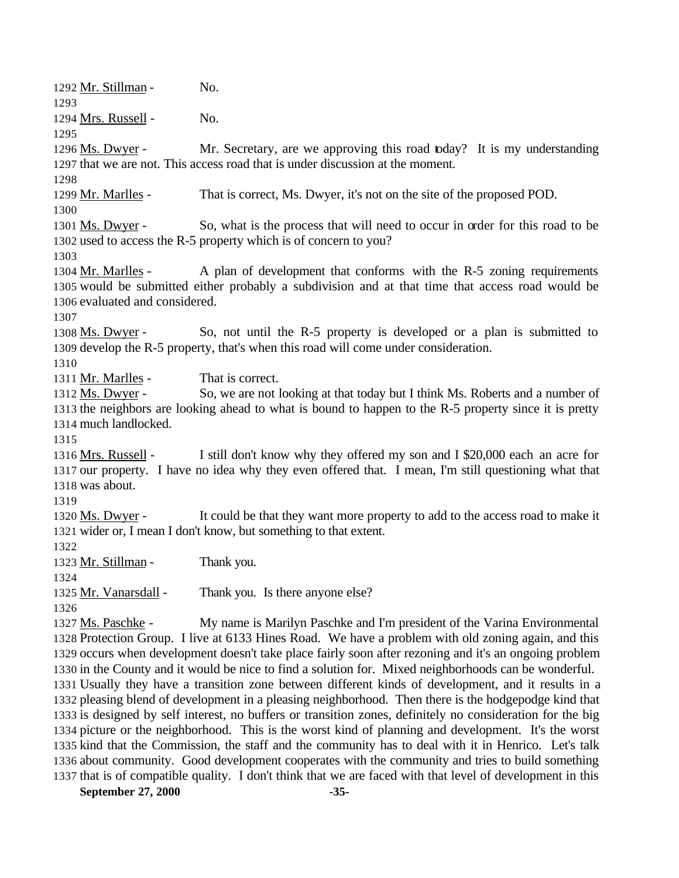Mr. Stillman - No. 1294 Mrs. Russell - No. 1296 Ms. Dwyer - Mr. Secretary, are we approving this road today? It is my understanding that we are not. This access road that is under discussion at the moment. 1299 Mr. Marlles - That is correct, Ms. Dwyer, it's not on the site of the proposed POD. 1301 Ms. Dwyer - So, what is the process that will need to occur in order for this road to be used to access the R-5 property which is of concern to you? 1304 Mr. Marlles - A plan of development that conforms with the R-5 zoning requirements would be submitted either probably a subdivision and at that time that access road would be evaluated and considered. Ms. Dwyer - So, not until the R-5 property is developed or a plan is submitted to develop the R-5 property, that's when this road will come under consideration. 1311 Mr. Marlles - That is correct. Ms. Dwyer - So, we are not looking at that today but I think Ms. Roberts and a number of the neighbors are looking ahead to what is bound to happen to the R-5 property since it is pretty much landlocked. Mrs. Russell - I still don't know why they offered my son and I \$20,000 each an acre for our property. I have no idea why they even offered that. I mean, I'm still questioning what that was about. 1320 Ms. Dwyer - It could be that they want more property to add to the access road to make it wider or, I mean I don't know, but something to that extent. 1323 Mr. Stillman - Thank you. Mr. Vanarsdall - Thank you. Is there anyone else? Ms. Paschke - My name is Marilyn Paschke and I'm president of the Varina Environmental Protection Group. I live at 6133 Hines Road. We have a problem with old zoning again, and this occurs when development doesn't take place fairly soon after rezoning and it's an ongoing problem in the County and it would be nice to find a solution for. Mixed neighborhoods can be wonderful. Usually they have a transition zone between different kinds of development, and it results in a pleasing blend of development in a pleasing neighborhood. Then there is the hodgepodge kind that is designed by self interest, no buffers or transition zones, definitely no consideration for the big picture or the neighborhood. This is the worst kind of planning and development. It's the worst kind that the Commission, the staff and the community has to deal with it in Henrico. Let's talk about community. Good development cooperates with the community and tries to build something

**September 27, 2000 -35-** that is of compatible quality. I don't think that we are faced with that level of development in this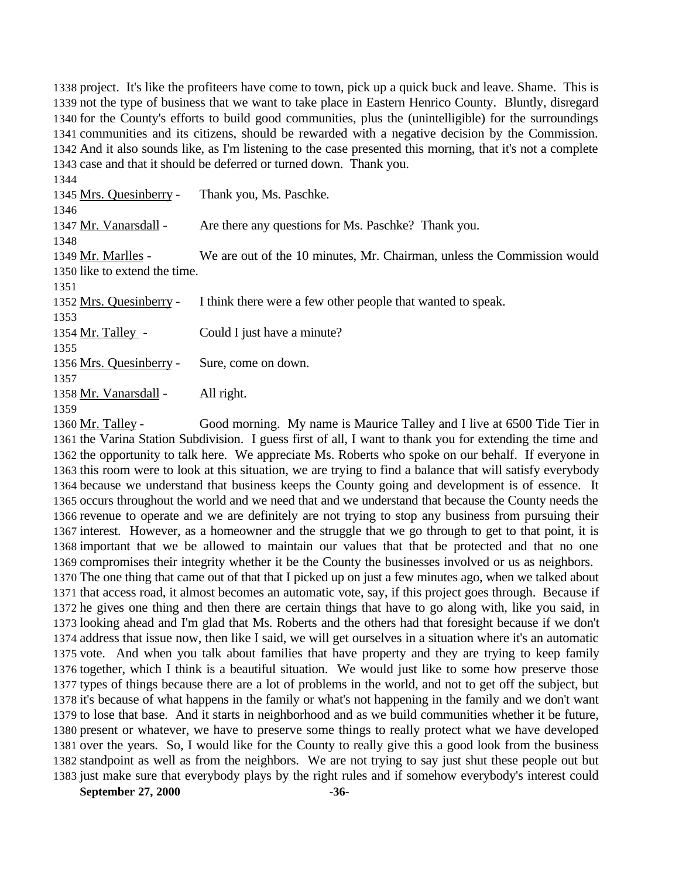project. It's like the profiteers have come to town, pick up a quick buck and leave. Shame. This is not the type of business that we want to take place in Eastern Henrico County. Bluntly, disregard for the County's efforts to build good communities, plus the (unintelligible) for the surroundings communities and its citizens, should be rewarded with a negative decision by the Commission. And it also sounds like, as I'm listening to the case presented this morning, that it's not a complete case and that it should be deferred or turned down. Thank you.

| 1344                          |                                                                         |
|-------------------------------|-------------------------------------------------------------------------|
| 1345 Mrs. Quesinberry -       | Thank you, Ms. Paschke.                                                 |
| 1346                          |                                                                         |
| 1347 Mr. Vanarsdall -         | Are there any questions for Ms. Paschke? Thank you.                     |
| 1348                          |                                                                         |
| 1349 Mr. Marlles -            | We are out of the 10 minutes, Mr. Chairman, unless the Commission would |
| 1350 like to extend the time. |                                                                         |
| 1351                          |                                                                         |
| 1352 Mrs. Quesinberry -       | I think there were a few other people that wanted to speak.             |
| 1353                          |                                                                         |
| 1354 Mr. Talley -             | Could I just have a minute?                                             |
| 1355                          |                                                                         |
| 1356 Mrs. Quesinberry -       | Sure, come on down.                                                     |
| 1357                          |                                                                         |
| 1358 Mr. Vanarsdall -         | All right.                                                              |
| 1359                          |                                                                         |

1360 Mr. Talley - Good morning. My name is Maurice Talley and I live at 6500 Tide Tier in the Varina Station Subdivision. I guess first of all, I want to thank you for extending the time and the opportunity to talk here. We appreciate Ms. Roberts who spoke on our behalf. If everyone in this room were to look at this situation, we are trying to find a balance that will satisfy everybody because we understand that business keeps the County going and development is of essence. It occurs throughout the world and we need that and we understand that because the County needs the revenue to operate and we are definitely are not trying to stop any business from pursuing their interest. However, as a homeowner and the struggle that we go through to get to that point, it is important that we be allowed to maintain our values that that be protected and that no one compromises their integrity whether it be the County the businesses involved or us as neighbors. The one thing that came out of that that I picked up on just a few minutes ago, when we talked about that access road, it almost becomes an automatic vote, say, if this project goes through. Because if he gives one thing and then there are certain things that have to go along with, like you said, in looking ahead and I'm glad that Ms. Roberts and the others had that foresight because if we don't address that issue now, then like I said, we will get ourselves in a situation where it's an automatic vote. And when you talk about families that have property and they are trying to keep family together, which I think is a beautiful situation. We would just like to some how preserve those types of things because there are a lot of problems in the world, and not to get off the subject, but it's because of what happens in the family or what's not happening in the family and we don't want to lose that base. And it starts in neighborhood and as we build communities whether it be future, present or whatever, we have to preserve some things to really protect what we have developed over the years. So, I would like for the County to really give this a good look from the business standpoint as well as from the neighbors. We are not trying to say just shut these people out but just make sure that everybody plays by the right rules and if somehow everybody's interest could

**September 27, 2000 -36-**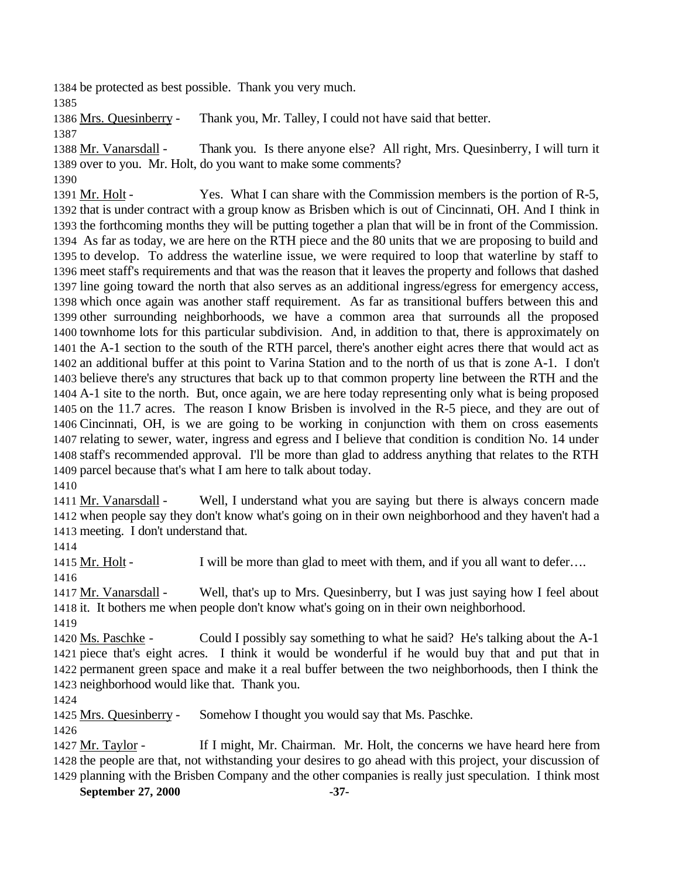be protected as best possible. Thank you very much.

Mrs. Quesinberry - Thank you, Mr. Talley, I could not have said that better.

 Mr. Vanarsdall - Thank you. Is there anyone else? All right, Mrs. Quesinberry, I will turn it over to you. Mr. Holt, do you want to make some comments?

 1391 Mr. Holt - Yes. What I can share with the Commission members is the portion of R-5, that is under contract with a group know as Brisben which is out of Cincinnati, OH. And I think in the forthcoming months they will be putting together a plan that will be in front of the Commission. As far as today, we are here on the RTH piece and the 80 units that we are proposing to build and to develop. To address the waterline issue, we were required to loop that waterline by staff to meet staff's requirements and that was the reason that it leaves the property and follows that dashed line going toward the north that also serves as an additional ingress/egress for emergency access, which once again was another staff requirement. As far as transitional buffers between this and other surrounding neighborhoods, we have a common area that surrounds all the proposed townhome lots for this particular subdivision. And, in addition to that, there is approximately on the A-1 section to the south of the RTH parcel, there's another eight acres there that would act as an additional buffer at this point to Varina Station and to the north of us that is zone A-1. I don't believe there's any structures that back up to that common property line between the RTH and the A-1 site to the north. But, once again, we are here today representing only what is being proposed on the 11.7 acres. The reason I know Brisben is involved in the R-5 piece, and they are out of Cincinnati, OH, is we are going to be working in conjunction with them on cross easements relating to sewer, water, ingress and egress and I believe that condition is condition No. 14 under staff's recommended approval. I'll be more than glad to address anything that relates to the RTH parcel because that's what I am here to talk about today.

 Mr. Vanarsdall - Well, I understand what you are saying but there is always concern made when people say they don't know what's going on in their own neighborhood and they haven't had a meeting. I don't understand that.

1415 Mr. Holt - I will be more than glad to meet with them, and if you all want to defer...

 Mr. Vanarsdall - Well, that's up to Mrs. Quesinberry, but I was just saying how I feel about it. It bothers me when people don't know what's going on in their own neighborhood. 

 Ms. Paschke - Could I possibly say something to what he said? He's talking about the A-1 piece that's eight acres. I think it would be wonderful if he would buy that and put that in permanent green space and make it a real buffer between the two neighborhoods, then I think the neighborhood would like that. Thank you.

Mrs. Quesinberry - Somehow I thought you would say that Ms. Paschke.

 Mr. Taylor - If I might, Mr. Chairman. Mr. Holt, the concerns we have heard here from the people are that, not withstanding your desires to go ahead with this project, your discussion of planning with the Brisben Company and the other companies is really just speculation. I think most

**September 27, 2000 -37-**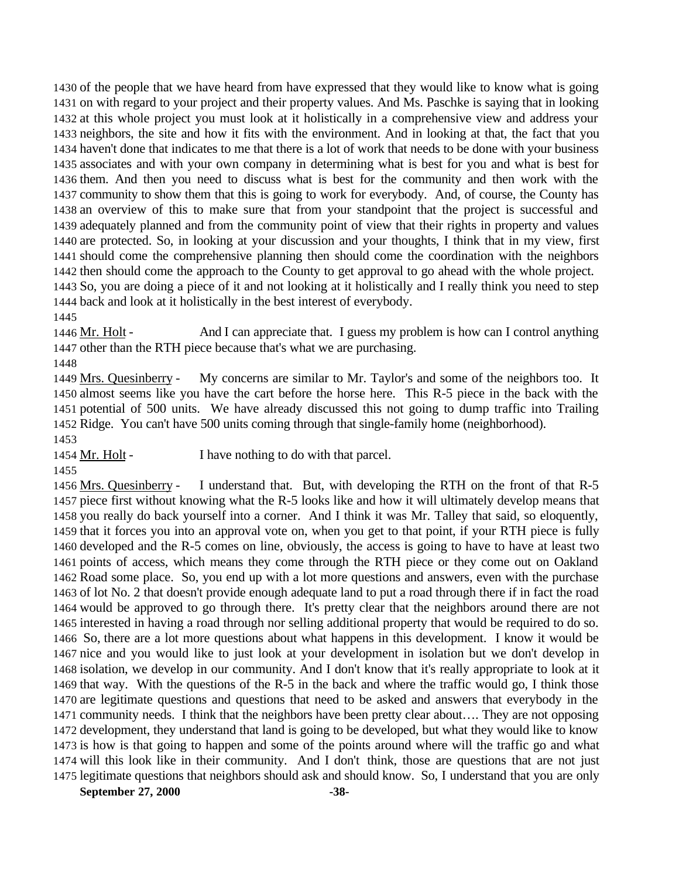of the people that we have heard from have expressed that they would like to know what is going on with regard to your project and their property values. And Ms. Paschke is saying that in looking at this whole project you must look at it holistically in a comprehensive view and address your neighbors, the site and how it fits with the environment. And in looking at that, the fact that you haven't done that indicates to me that there is a lot of work that needs to be done with your business associates and with your own company in determining what is best for you and what is best for them. And then you need to discuss what is best for the community and then work with the community to show them that this is going to work for everybody. And, of course, the County has an overview of this to make sure that from your standpoint that the project is successful and adequately planned and from the community point of view that their rights in property and values are protected. So, in looking at your discussion and your thoughts, I think that in my view, first should come the comprehensive planning then should come the coordination with the neighbors then should come the approach to the County to get approval to go ahead with the whole project. So, you are doing a piece of it and not looking at it holistically and I really think you need to step back and look at it holistically in the best interest of everybody. 

 Mr. Holt - And I can appreciate that. I guess my problem is how can I control anything other than the RTH piece because that's what we are purchasing.

 Mrs. Quesinberry - My concerns are similar to Mr. Taylor's and some of the neighbors too. It almost seems like you have the cart before the horse here. This R-5 piece in the back with the potential of 500 units. We have already discussed this not going to dump traffic into Trailing Ridge. You can't have 500 units coming through that single-family home (neighborhood).

1454 Mr. Holt - I have nothing to do with that parcel.

## 

 Mrs. Quesinberry - I understand that. But, with developing the RTH on the front of that R-5 piece first without knowing what the R-5 looks like and how it will ultimately develop means that you really do back yourself into a corner. And I think it was Mr. Talley that said, so eloquently, that it forces you into an approval vote on, when you get to that point, if your RTH piece is fully developed and the R-5 comes on line, obviously, the access is going to have to have at least two points of access, which means they come through the RTH piece or they come out on Oakland Road some place. So, you end up with a lot more questions and answers, even with the purchase of lot No. 2 that doesn't provide enough adequate land to put a road through there if in fact the road would be approved to go through there. It's pretty clear that the neighbors around there are not interested in having a road through nor selling additional property that would be required to do so. So, there are a lot more questions about what happens in this development. I know it would be nice and you would like to just look at your development in isolation but we don't develop in isolation, we develop in our community. And I don't know that it's really appropriate to look at it that way. With the questions of the R-5 in the back and where the traffic would go, I think those are legitimate questions and questions that need to be asked and answers that everybody in the community needs. I think that the neighbors have been pretty clear about…. They are not opposing development, they understand that land is going to be developed, but what they would like to know is how is that going to happen and some of the points around where will the traffic go and what will this look like in their community. And I don't think, those are questions that are not just legitimate questions that neighbors should ask and should know. So, I understand that you are only

**September 27, 2000 -38-**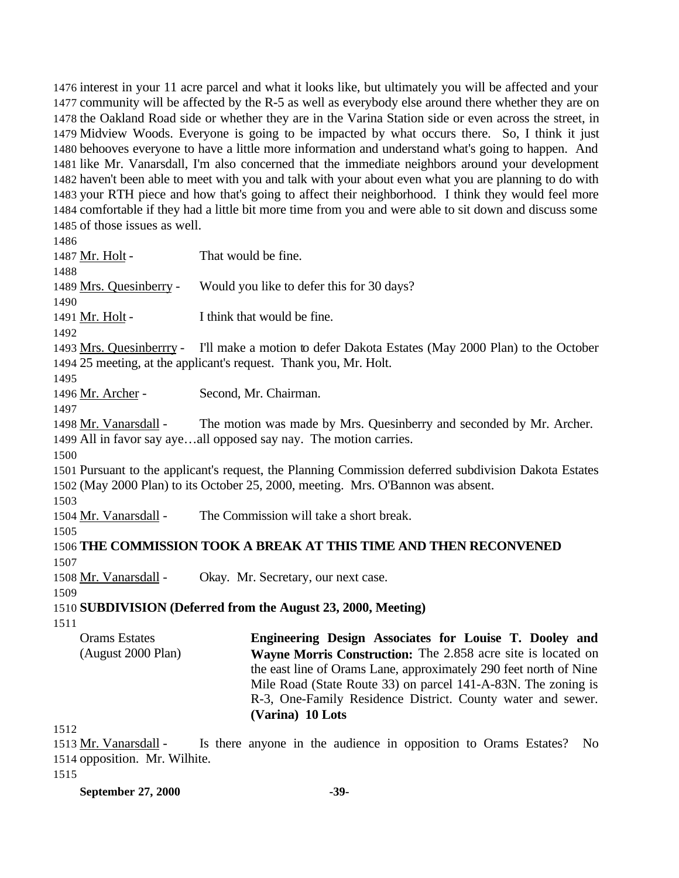interest in your 11 acre parcel and what it looks like, but ultimately you will be affected and your community will be affected by the R-5 as well as everybody else around there whether they are on the Oakland Road side or whether they are in the Varina Station side or even across the street, in Midview Woods. Everyone is going to be impacted by what occurs there. So, I think it just behooves everyone to have a little more information and understand what's going to happen. And like Mr. Vanarsdall, I'm also concerned that the immediate neighbors around your development haven't been able to meet with you and talk with your about even what you are planning to do with your RTH piece and how that's going to affect their neighborhood. I think they would feel more comfortable if they had a little bit more time from you and were able to sit down and discuss some of those issues as well.

 1487 Mr. Holt - That would be fine. 1489 Mrs. Quesinberry - Would you like to defer this for 30 days? 1491 Mr. Holt - I think that would be fine. Mrs. Quesinberrry - I'll make a motion to defer Dakota Estates (May 2000 Plan) to the October 25 meeting, at the applicant's request. Thank you, Mr. Holt. Mr. Archer - Second, Mr. Chairman. 1498 Mr. Vanarsdall - The motion was made by Mrs. Quesinberry and seconded by Mr. Archer. All in favor say aye…all opposed say nay. The motion carries. Pursuant to the applicant's request, the Planning Commission deferred subdivision Dakota Estates (May 2000 Plan) to its October 25, 2000, meeting. Mrs. O'Bannon was absent. Mr. Vanarsdall - The Commission will take a short break. **THE COMMISSION TOOK A BREAK AT THIS TIME AND THEN RECONVENED** Mr. Vanarsdall - Okay. Mr. Secretary, our next case. **SUBDIVISION (Deferred from the August 23, 2000, Meeting)** Orams Estates (August 2000 Plan) **Engineering Design Associates for Louise T. Dooley and Wayne Morris Construction:** The 2.858 acre site is located on the east line of Orams Lane, approximately 290 feet north of Nine Mile Road (State Route 33) on parcel 141-A-83N. The zoning is R-3, One-Family Residence District. County water and sewer. **(Varina) 10 Lots**  

1513 Mr. Vanarsdall - Is there anyone in the audience in opposition to Orams Estates? No opposition. Mr. Wilhite.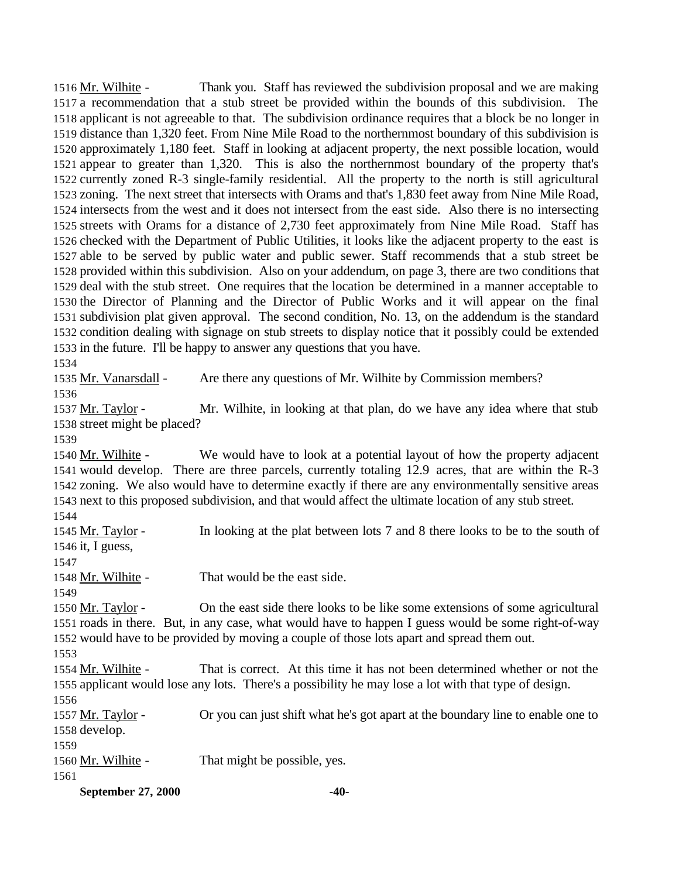Mr. Wilhite - Thank you. Staff has reviewed the subdivision proposal and we are making a recommendation that a stub street be provided within the bounds of this subdivision. The applicant is not agreeable to that. The subdivision ordinance requires that a block be no longer in distance than 1,320 feet. From Nine Mile Road to the northernmost boundary of this subdivision is approximately 1,180 feet. Staff in looking at adjacent property, the next possible location, would appear to greater than 1,320. This is also the northernmost boundary of the property that's currently zoned R-3 single-family residential. All the property to the north is still agricultural zoning. The next street that intersects with Orams and that's 1,830 feet away from Nine Mile Road, intersects from the west and it does not intersect from the east side. Also there is no intersecting streets with Orams for a distance of 2,730 feet approximately from Nine Mile Road. Staff has checked with the Department of Public Utilities, it looks like the adjacent property to the east is able to be served by public water and public sewer. Staff recommends that a stub street be provided within this subdivision. Also on your addendum, on page 3, there are two conditions that deal with the stub street. One requires that the location be determined in a manner acceptable to the Director of Planning and the Director of Public Works and it will appear on the final subdivision plat given approval. The second condition, No. 13, on the addendum is the standard condition dealing with signage on stub streets to display notice that it possibly could be extended in the future. I'll be happy to answer any questions that you have.

 Mr. Vanarsdall - Are there any questions of Mr. Wilhite by Commission members? 

 Mr. Taylor - Mr. Wilhite, in looking at that plan, do we have any idea where that stub street might be placed?

1540 Mr. Wilhite - We would have to look at a potential layout of how the property adjacent would develop. There are three parcels, currently totaling 12.9 acres, that are within the R-3 zoning. We also would have to determine exactly if there are any environmentally sensitive areas next to this proposed subdivision, and that would affect the ultimate location of any stub street.

**September 27, 2000 -40-** 1545 Mr. Taylor - In looking at the plat between lots 7 and 8 there looks to be to the south of it, I guess, 1548 Mr. Wilhite - That would be the east side. Mr. Taylor - On the east side there looks to be like some extensions of some agricultural roads in there. But, in any case, what would have to happen I guess would be some right-of-way would have to be provided by moving a couple of those lots apart and spread them out. Mr. Wilhite - That is correct. At this time it has not been determined whether or not the applicant would lose any lots. There's a possibility he may lose a lot with that type of design. Mr. Taylor - Or you can just shift what he's got apart at the boundary line to enable one to develop. 1560 Mr. Wilhite - That might be possible, yes.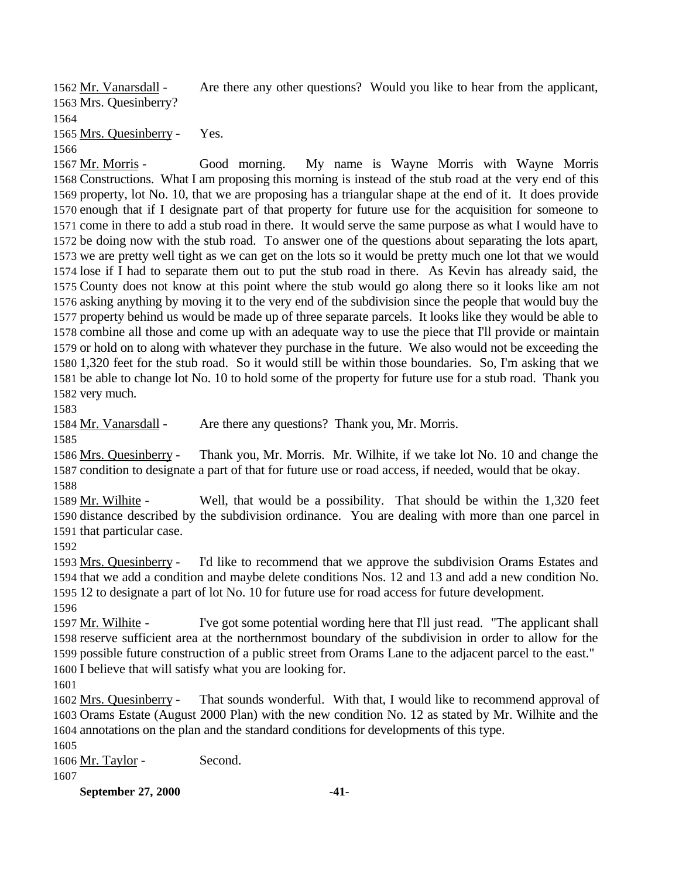Mr. Vanarsdall - Are there any other questions? Would you like to hear from the applicant, Mrs. Quesinberry?

Mrs. Quesinberry - Yes.

 Mr. Morris - Good morning. My name is Wayne Morris with Wayne Morris Constructions. What I am proposing this morning is instead of the stub road at the very end of this property, lot No. 10, that we are proposing has a triangular shape at the end of it. It does provide enough that if I designate part of that property for future use for the acquisition for someone to come in there to add a stub road in there. It would serve the same purpose as what I would have to be doing now with the stub road. To answer one of the questions about separating the lots apart, we are pretty well tight as we can get on the lots so it would be pretty much one lot that we would lose if I had to separate them out to put the stub road in there. As Kevin has already said, the County does not know at this point where the stub would go along there so it looks like am not asking anything by moving it to the very end of the subdivision since the people that would buy the property behind us would be made up of three separate parcels. It looks like they would be able to combine all those and come up with an adequate way to use the piece that I'll provide or maintain or hold on to along with whatever they purchase in the future. We also would not be exceeding the 1,320 feet for the stub road. So it would still be within those boundaries. So, I'm asking that we be able to change lot No. 10 to hold some of the property for future use for a stub road. Thank you very much.

1584 Mr. Vanarsdall - Are there any questions? Thank you, Mr. Morris.

 Mrs. Quesinberry - Thank you, Mr. Morris. Mr. Wilhite, if we take lot No. 10 and change the condition to designate a part of that for future use or road access, if needed, would that be okay. 

1589 Mr. Wilhite - Well, that would be a possibility. That should be within the 1,320 feet distance described by the subdivision ordinance. You are dealing with more than one parcel in that particular case.

 Mrs. Quesinberry - I'd like to recommend that we approve the subdivision Orams Estates and that we add a condition and maybe delete conditions Nos. 12 and 13 and add a new condition No. 12 to designate a part of lot No. 10 for future use for road access for future development. 

 Mr. Wilhite - I've got some potential wording here that I'll just read. "The applicant shall reserve sufficient area at the northernmost boundary of the subdivision in order to allow for the possible future construction of a public street from Orams Lane to the adjacent parcel to the east." I believe that will satisfy what you are looking for.

 Mrs. Quesinberry - That sounds wonderful. With that, I would like to recommend approval of Orams Estate (August 2000 Plan) with the new condition No. 12 as stated by Mr. Wilhite and the annotations on the plan and the standard conditions for developments of this type.

 Mr. Taylor - Second. 

**September 27, 2000 -41-**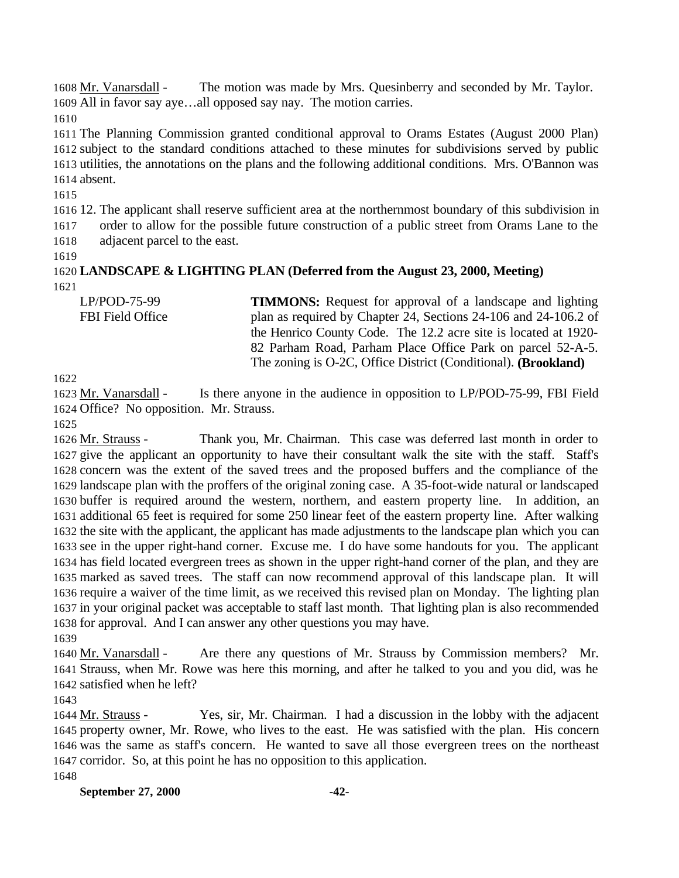1608 Mr. Vanarsdall - The motion was made by Mrs. Quesinberry and seconded by Mr. Taylor. All in favor say aye…all opposed say nay. The motion carries.

 The Planning Commission granted conditional approval to Orams Estates (August 2000 Plan) subject to the standard conditions attached to these minutes for subdivisions served by public utilities, the annotations on the plans and the following additional conditions. Mrs. O'Bannon was absent.

 12. The applicant shall reserve sufficient area at the northernmost boundary of this subdivision in order to allow for the possible future construction of a public street from Orams Lane to the adjacent parcel to the east.

 **LANDSCAPE & LIGHTING PLAN (Deferred from the August 23, 2000, Meeting)** 

| $LP/POD-75-99$          | <b>TIMMONS:</b> Request for approval of a landscape and lighting        |
|-------------------------|-------------------------------------------------------------------------|
| <b>FBI</b> Field Office | plan as required by Chapter 24, Sections 24-106 and 24-106.2 of         |
|                         | the Henrico County Code. The 12.2 acre site is located at 1920-         |
|                         | 82 Parham Road, Parham Place Office Park on parcel 52-A-5.              |
|                         | The zoning is O-2C, Office District (Conditional). ( <b>Brookland</b> ) |

 Mr. Vanarsdall - Is there anyone in the audience in opposition to LP/POD-75-99, FBI Field Office? No opposition. Mr. Strauss.

 Mr. Strauss - Thank you, Mr. Chairman. This case was deferred last month in order to give the applicant an opportunity to have their consultant walk the site with the staff. Staff's concern was the extent of the saved trees and the proposed buffers and the compliance of the landscape plan with the proffers of the original zoning case. A 35-foot-wide natural or landscaped buffer is required around the western, northern, and eastern property line. In addition, an additional 65 feet is required for some 250 linear feet of the eastern property line. After walking the site with the applicant, the applicant has made adjustments to the landscape plan which you can see in the upper right-hand corner. Excuse me. I do have some handouts for you. The applicant has field located evergreen trees as shown in the upper right-hand corner of the plan, and they are marked as saved trees. The staff can now recommend approval of this landscape plan. It will require a waiver of the time limit, as we received this revised plan on Monday. The lighting plan in your original packet was acceptable to staff last month. That lighting plan is also recommended for approval. And I can answer any other questions you may have. 

1640 Mr. Vanarsdall - Are there any questions of Mr. Strauss by Commission members? Mr. Strauss, when Mr. Rowe was here this morning, and after he talked to you and you did, was he satisfied when he left?

1644 Mr. Strauss - Yes, sir, Mr. Chairman. I had a discussion in the lobby with the adjacent property owner, Mr. Rowe, who lives to the east. He was satisfied with the plan. His concern was the same as staff's concern. He wanted to save all those evergreen trees on the northeast corridor. So, at this point he has no opposition to this application. 

**September 27, 2000 -42-**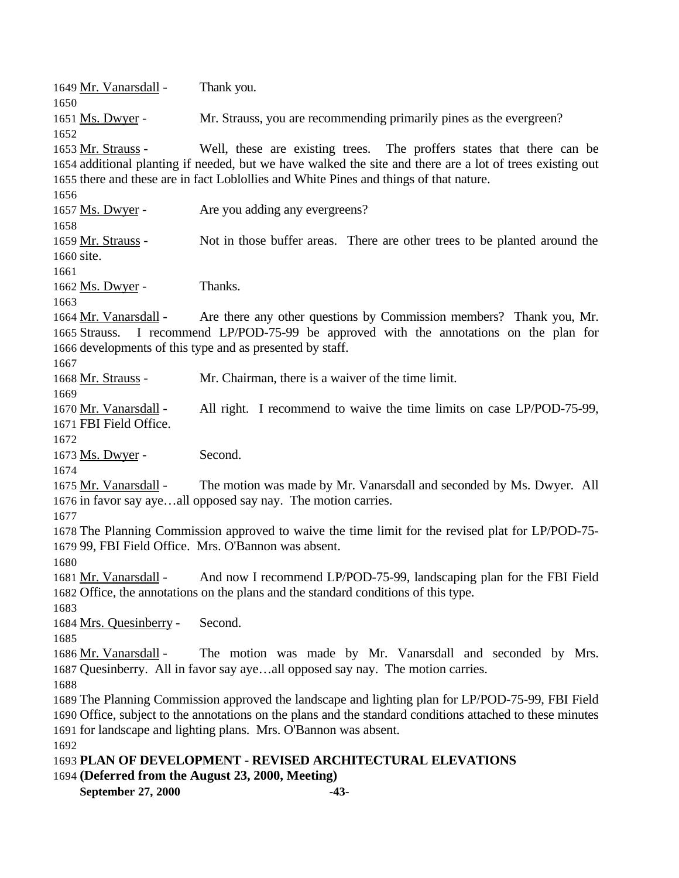**September 27, 2000 -43-** Mr. Vanarsdall - Thank you. Ms. Dwyer - Mr. Strauss, you are recommending primarily pines as the evergreen? Mr. Strauss - Well, these are existing trees. The proffers states that there can be additional planting if needed, but we have walked the site and there are a lot of trees existing out there and these are in fact Loblollies and White Pines and things of that nature. Ms. Dwyer - Are you adding any evergreens? Mr. Strauss - Not in those buffer areas. There are other trees to be planted around the site. 1662 Ms. Dwyer - Thanks. Mr. Vanarsdall - Are there any other questions by Commission members? Thank you, Mr. Strauss. I recommend LP/POD-75-99 be approved with the annotations on the plan for developments of this type and as presented by staff. 1668 Mr. Strauss - Mr. Chairman, there is a waiver of the time limit. Mr. Vanarsdall - All right. I recommend to waive the time limits on case LP/POD-75-99, FBI Field Office. 1673 Ms. Dwyer - Second. 1675 Mr. Vanarsdall - The motion was made by Mr. Vanarsdall and seconded by Ms. Dwyer. All in favor say aye…all opposed say nay. The motion carries. The Planning Commission approved to waive the time limit for the revised plat for LP/POD-75- 99, FBI Field Office. Mrs. O'Bannon was absent. Mr. Vanarsdall - And now I recommend LP/POD-75-99, landscaping plan for the FBI Field Office, the annotations on the plans and the standard conditions of this type. Mrs. Quesinberry - Second. 1686 Mr. Vanarsdall - The motion was made by Mr. Vanarsdall and seconded by Mrs. Quesinberry. All in favor say aye…all opposed say nay. The motion carries. The Planning Commission approved the landscape and lighting plan for LP/POD-75-99, FBI Field Office, subject to the annotations on the plans and the standard conditions attached to these minutes for landscape and lighting plans. Mrs. O'Bannon was absent. **PLAN OF DEVELOPMENT - REVISED ARCHITECTURAL ELEVATIONS (Deferred from the August 23, 2000, Meeting)**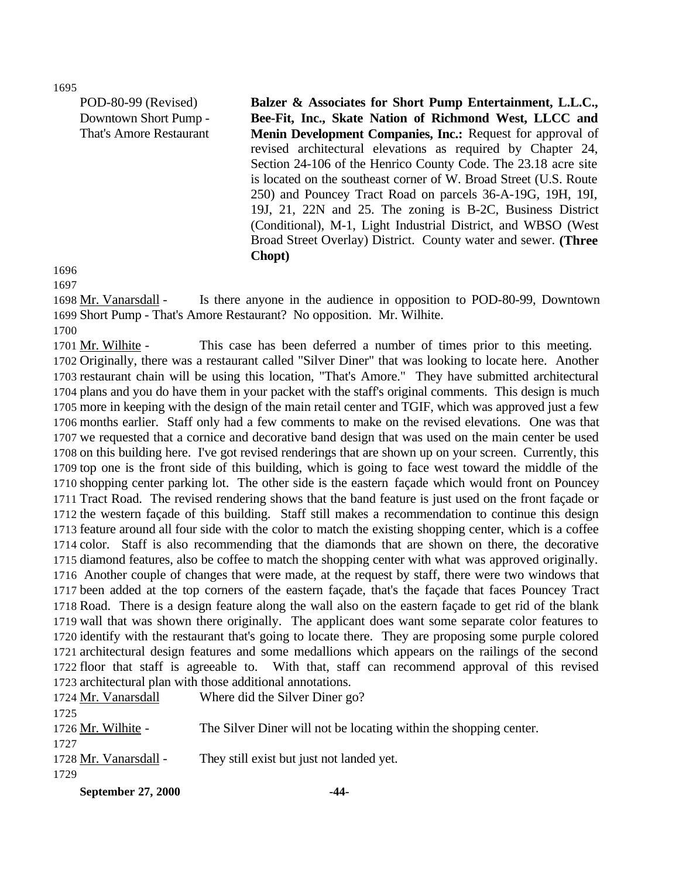POD-80-99 (Revised) Downtown Short Pump - That's Amore Restaurant **Balzer & Associates for Short Pump Entertainment, L.L.C., Bee-Fit, Inc., Skate Nation of Richmond West, LLCC and Menin Development Companies, Inc.:** Request for approval of revised architectural elevations as required by Chapter 24, Section 24-106 of the Henrico County Code. The 23.18 acre site is located on the southeast corner of W. Broad Street (U.S. Route 250) and Pouncey Tract Road on parcels 36-A-19G, 19H, 19I, 19J, 21, 22N and 25. The zoning is B-2C, Business District (Conditional), M-1, Light Industrial District, and WBSO (West Broad Street Overlay) District. County water and sewer. **(Three Chopt)**

 

 Mr. Vanarsdall - Is there anyone in the audience in opposition to POD-80-99, Downtown Short Pump - That's Amore Restaurant? No opposition. Mr. Wilhite.

1701 Mr. Wilhite - This case has been deferred a number of times prior to this meeting. Originally, there was a restaurant called "Silver Diner" that was looking to locate here. Another restaurant chain will be using this location, "That's Amore." They have submitted architectural plans and you do have them in your packet with the staff's original comments. This design is much more in keeping with the design of the main retail center and TGIF, which was approved just a few months earlier. Staff only had a few comments to make on the revised elevations. One was that we requested that a cornice and decorative band design that was used on the main center be used on this building here. I've got revised renderings that are shown up on your screen. Currently, this top one is the front side of this building, which is going to face west toward the middle of the shopping center parking lot. The other side is the eastern façade which would front on Pouncey Tract Road. The revised rendering shows that the band feature is just used on the front façade or the western façade of this building. Staff still makes a recommendation to continue this design feature around all four side with the color to match the existing shopping center, which is a coffee color. Staff is also recommending that the diamonds that are shown on there, the decorative diamond features, also be coffee to match the shopping center with what was approved originally. Another couple of changes that were made, at the request by staff, there were two windows that been added at the top corners of the eastern façade, that's the façade that faces Pouncey Tract Road. There is a design feature along the wall also on the eastern façade to get rid of the blank wall that was shown there originally. The applicant does want some separate color features to identify with the restaurant that's going to locate there. They are proposing some purple colored architectural design features and some medallions which appears on the railings of the second floor that staff is agreeable to. With that, staff can recommend approval of this revised architectural plan with those additional annotations.

| 1724 Mr. Vanarsdall   | Where did the Silver Diner go?                                    |
|-----------------------|-------------------------------------------------------------------|
| 1725                  |                                                                   |
| 1726 Mr. Wilhite -    | The Silver Diner will not be locating within the shopping center. |
| 1727                  |                                                                   |
| 1728 Mr. Vanarsdall - | They still exist but just not landed yet.                         |
| 1729                  |                                                                   |
|                       |                                                                   |

**September 27, 2000 -44-**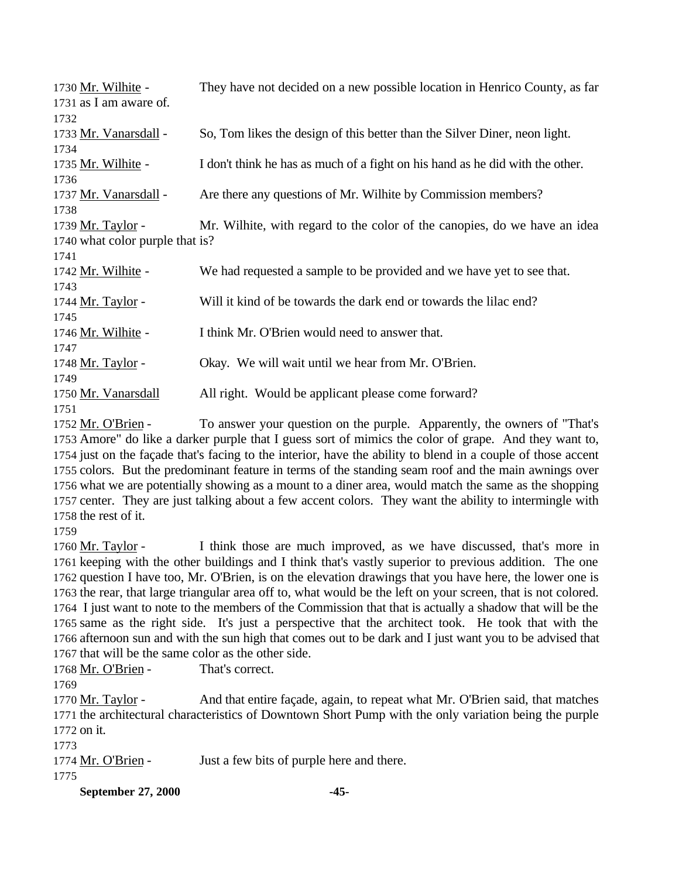| 1730 Mr. Wilhite -              | They have not decided on a new possible location in Henrico County, as far    |
|---------------------------------|-------------------------------------------------------------------------------|
| 1731 as I am aware of.          |                                                                               |
| 1732                            |                                                                               |
| 1733 Mr. Vanarsdall -           | So, Tom likes the design of this better than the Silver Diner, neon light.    |
| 1734                            |                                                                               |
| 1735 Mr. Wilhite -              | I don't think he has as much of a fight on his hand as he did with the other. |
| 1736                            |                                                                               |
| 1737 Mr. Vanarsdall -           | Are there any questions of Mr. Wilhite by Commission members?                 |
| 1738                            |                                                                               |
| 1739 Mr. Taylor -               | Mr. Wilhite, with regard to the color of the canopies, do we have an idea     |
| 1740 what color purple that is? |                                                                               |
| 1741                            |                                                                               |
| 1742 Mr. Wilhite -              | We had requested a sample to be provided and we have yet to see that.         |
| 1743                            |                                                                               |
| 1744 Mr. Taylor -               | Will it kind of be towards the dark end or towards the lilac end?             |
| 1745                            |                                                                               |
| 1746 Mr. Wilhite -              | I think Mr. O'Brien would need to answer that.                                |
| 1747                            |                                                                               |
| 1748 Mr. Taylor -               | Okay. We will wait until we hear from Mr. O'Brien.                            |
| 1749                            |                                                                               |
| 1750 Mr. Vanarsdall             | All right. Would be applicant please come forward?                            |
| 1751                            |                                                                               |

1752 Mr. O'Brien - To answer your question on the purple. Apparently, the owners of "That's Amore" do like a darker purple that I guess sort of mimics the color of grape. And they want to, just on the façade that's facing to the interior, have the ability to blend in a couple of those accent colors. But the predominant feature in terms of the standing seam roof and the main awnings over what we are potentially showing as a mount to a diner area, would match the same as the shopping center. They are just talking about a few accent colors. They want the ability to intermingle with the rest of it.

 Mr. Taylor - I think those are much improved, as we have discussed, that's more in keeping with the other buildings and I think that's vastly superior to previous addition. The one question I have too, Mr. O'Brien, is on the elevation drawings that you have here, the lower one is the rear, that large triangular area off to, what would be the left on your screen, that is not colored. I just want to note to the members of the Commission that that is actually a shadow that will be the same as the right side. It's just a perspective that the architect took. He took that with the afternoon sun and with the sun high that comes out to be dark and I just want you to be advised that that will be the same color as the other side.

1768 Mr. O'Brien - That's correct.

1770 Mr. Taylor - And that entire façade, again, to repeat what Mr. O'Brien said, that matches the architectural characteristics of Downtown Short Pump with the only variation being the purple on it.

1774 Mr. O'Brien - Just a few bits of purple here and there.

**September 27, 2000 -45-**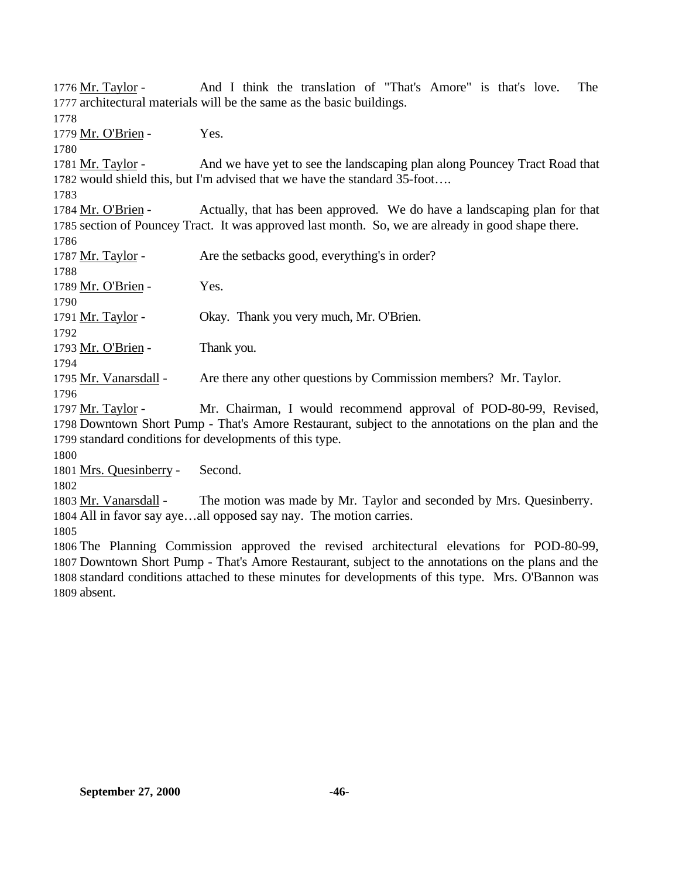Mr. Taylor - And I think the translation of "That's Amore" is that's love. The architectural materials will be the same as the basic buildings. 1779 Mr. O'Brien - Yes. Mr. Taylor - And we have yet to see the landscaping plan along Pouncey Tract Road that would shield this, but I'm advised that we have the standard 35-foot…. 1784 Mr. O'Brien - Actually, that has been approved. We do have a landscaping plan for that section of Pouncey Tract. It was approved last month. So, we are already in good shape there. 1787 Mr. Taylor - Are the setbacks good, everything's in order? 1789 Mr. O'Brien - Yes. Mr. Taylor - Okay. Thank you very much, Mr. O'Brien. 1793 Mr. O'Brien - Thank you. 1795 Mr. Vanarsdall - Are there any other questions by Commission members? Mr. Taylor. Mr. Taylor - Mr. Chairman, I would recommend approval of POD-80-99, Revised, Downtown Short Pump - That's Amore Restaurant, subject to the annotations on the plan and the standard conditions for developments of this type. Mrs. Quesinberry - Second. 1803 Mr. Vanarsdall - The motion was made by Mr. Taylor and seconded by Mrs. Quesinberry. All in favor say aye…all opposed say nay. The motion carries. The Planning Commission approved the revised architectural elevations for POD-80-99, Downtown Short Pump - That's Amore Restaurant, subject to the annotations on the plans and the standard conditions attached to these minutes for developments of this type. Mrs. O'Bannon was absent.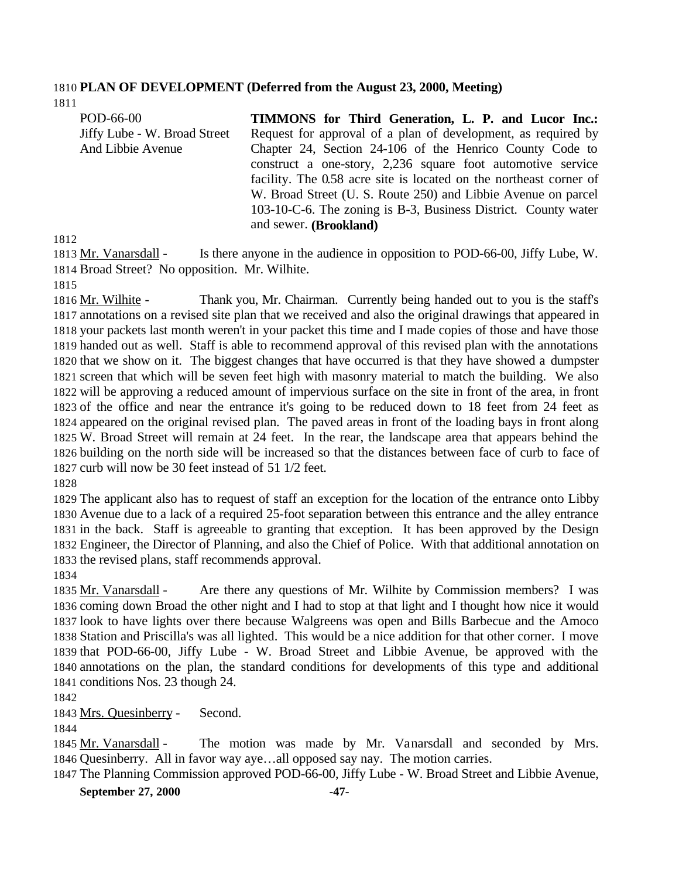## **PLAN OF DEVELOPMENT (Deferred from the August 23, 2000, Meeting)**

| POD-66-00                    | <b>TIMMONS</b> for Third Generation, L. P. and Lucor Inc.:         |
|------------------------------|--------------------------------------------------------------------|
| Jiffy Lube - W. Broad Street | Request for approval of a plan of development, as required by      |
| And Libbie Avenue            | Chapter 24, Section 24-106 of the Henrico County Code to           |
|                              | construct a one-story, 2,236 square foot automotive service        |
|                              | facility. The 0.58 acre site is located on the northeast corner of |
|                              | W. Broad Street (U. S. Route 250) and Libbie Avenue on parcel      |
|                              | 103-10-C-6. The zoning is B-3, Business District. County water     |
|                              | and sewer. (Brookland)                                             |

 Mr. Vanarsdall - Is there anyone in the audience in opposition to POD-66-00, Jiffy Lube, W. Broad Street? No opposition. Mr. Wilhite.

 Mr. Wilhite - Thank you, Mr. Chairman. Currently being handed out to you is the staff's annotations on a revised site plan that we received and also the original drawings that appeared in your packets last month weren't in your packet this time and I made copies of those and have those handed out as well. Staff is able to recommend approval of this revised plan with the annotations that we show on it. The biggest changes that have occurred is that they have showed a dumpster screen that which will be seven feet high with masonry material to match the building. We also will be approving a reduced amount of impervious surface on the site in front of the area, in front of the office and near the entrance it's going to be reduced down to 18 feet from 24 feet as appeared on the original revised plan. The paved areas in front of the loading bays in front along W. Broad Street will remain at 24 feet. In the rear, the landscape area that appears behind the building on the north side will be increased so that the distances between face of curb to face of curb will now be 30 feet instead of 51 1/2 feet.

 The applicant also has to request of staff an exception for the location of the entrance onto Libby Avenue due to a lack of a required 25-foot separation between this entrance and the alley entrance in the back. Staff is agreeable to granting that exception. It has been approved by the Design Engineer, the Director of Planning, and also the Chief of Police. With that additional annotation on the revised plans, staff recommends approval.

1835 Mr. Vanarsdall - Are there any questions of Mr. Wilhite by Commission members? I was coming down Broad the other night and I had to stop at that light and I thought how nice it would look to have lights over there because Walgreens was open and Bills Barbecue and the Amoco Station and Priscilla's was all lighted. This would be a nice addition for that other corner. I move that POD-66-00, Jiffy Lube - W. Broad Street and Libbie Avenue, be approved with the annotations on the plan, the standard conditions for developments of this type and additional conditions Nos. 23 though 24.

Mrs. Quesinberry - Second.

1845 Mr. Vanarsdall - The motion was made by Mr. Vanarsdall and seconded by Mrs. Quesinberry. All in favor way aye…all opposed say nay. The motion carries.

The Planning Commission approved POD-66-00, Jiffy Lube - W. Broad Street and Libbie Avenue,

**September 27, 2000 -47-**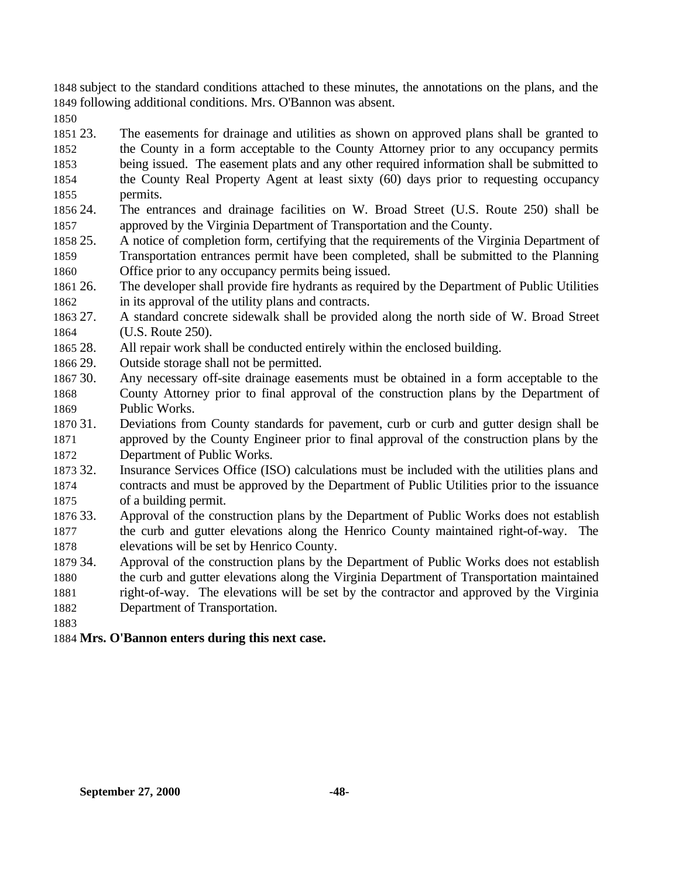subject to the standard conditions attached to these minutes, the annotations on the plans, and the following additional conditions. Mrs. O'Bannon was absent.

 23. The easements for drainage and utilities as shown on approved plans shall be granted to the County in a form acceptable to the County Attorney prior to any occupancy permits

- being issued. The easement plats and any other required information shall be submitted to the County Real Property Agent at least sixty (60) days prior to requesting occupancy
- permits.
- 24. The entrances and drainage facilities on W. Broad Street (U.S. Route 250) shall be approved by the Virginia Department of Transportation and the County.
- 25. A notice of completion form, certifying that the requirements of the Virginia Department of Transportation entrances permit have been completed, shall be submitted to the Planning Office prior to any occupancy permits being issued.
- 26. The developer shall provide fire hydrants as required by the Department of Public Utilities in its approval of the utility plans and contracts.
- 27. A standard concrete sidewalk shall be provided along the north side of W. Broad Street (U.S. Route 250).
- 28. All repair work shall be conducted entirely within the enclosed building.
- 29. Outside storage shall not be permitted.
- 30. Any necessary off-site drainage easements must be obtained in a form acceptable to the County Attorney prior to final approval of the construction plans by the Department of Public Works.
- 31. Deviations from County standards for pavement, curb or curb and gutter design shall be approved by the County Engineer prior to final approval of the construction plans by the Department of Public Works.
- 32. Insurance Services Office (ISO) calculations must be included with the utilities plans and contracts and must be approved by the Department of Public Utilities prior to the issuance of a building permit.
- 33. Approval of the construction plans by the Department of Public Works does not establish the curb and gutter elevations along the Henrico County maintained right-of-way. The elevations will be set by Henrico County.
- 34. Approval of the construction plans by the Department of Public Works does not establish the curb and gutter elevations along the Virginia Department of Transportation maintained right-of-way. The elevations will be set by the contractor and approved by the Virginia
- Department of Transportation.
- 
- **Mrs. O'Bannon enters during this next case.**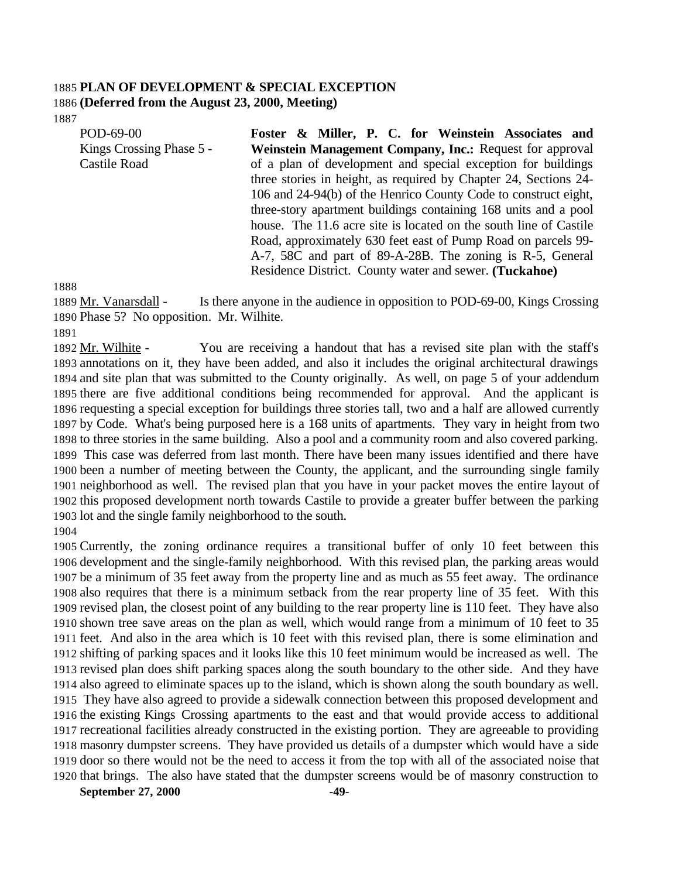# **PLAN OF DEVELOPMENT & SPECIAL EXCEPTION (Deferred from the August 23, 2000, Meeting)**

| POD-69-00                | Foster & Miller, P. C. for Weinstein Associates and               |
|--------------------------|-------------------------------------------------------------------|
| Kings Crossing Phase 5 - | Weinstein Management Company, Inc.: Request for approval          |
| <b>Castile Road</b>      | of a plan of development and special exception for buildings      |
|                          | three stories in height, as required by Chapter 24, Sections 24-  |
|                          | 106 and 24-94(b) of the Henrico County Code to construct eight,   |
|                          | three-story apartment buildings containing 168 units and a pool   |
|                          | house. The 11.6 acre site is located on the south line of Castile |
|                          | Road, approximately 630 feet east of Pump Road on parcels 99-     |
|                          | A-7, 58C and part of 89-A-28B. The zoning is R-5, General         |
|                          | Residence District. County water and sewer. (Tuckahoe)            |

 Mr. Vanarsdall - Is there anyone in the audience in opposition to POD-69-00, Kings Crossing Phase 5? No opposition. Mr. Wilhite.

1892 Mr. Wilhite - You are receiving a handout that has a revised site plan with the staff's annotations on it, they have been added, and also it includes the original architectural drawings and site plan that was submitted to the County originally. As well, on page 5 of your addendum there are five additional conditions being recommended for approval. And the applicant is requesting a special exception for buildings three stories tall, two and a half are allowed currently by Code. What's being purposed here is a 168 units of apartments. They vary in height from two to three stories in the same building. Also a pool and a community room and also covered parking. This case was deferred from last month. There have been many issues identified and there have been a number of meeting between the County, the applicant, and the surrounding single family neighborhood as well. The revised plan that you have in your packet moves the entire layout of this proposed development north towards Castile to provide a greater buffer between the parking lot and the single family neighborhood to the south.

 Currently, the zoning ordinance requires a transitional buffer of only 10 feet between this development and the single-family neighborhood. With this revised plan, the parking areas would be a minimum of 35 feet away from the property line and as much as 55 feet away. The ordinance also requires that there is a minimum setback from the rear property line of 35 feet. With this revised plan, the closest point of any building to the rear property line is 110 feet. They have also shown tree save areas on the plan as well, which would range from a minimum of 10 feet to 35 feet. And also in the area which is 10 feet with this revised plan, there is some elimination and shifting of parking spaces and it looks like this 10 feet minimum would be increased as well. The revised plan does shift parking spaces along the south boundary to the other side. And they have also agreed to eliminate spaces up to the island, which is shown along the south boundary as well. They have also agreed to provide a sidewalk connection between this proposed development and the existing Kings Crossing apartments to the east and that would provide access to additional recreational facilities already constructed in the existing portion. They are agreeable to providing masonry dumpster screens. They have provided us details of a dumpster which would have a side door so there would not be the need to access it from the top with all of the associated noise that that brings. The also have stated that the dumpster screens would be of masonry construction to

**September 27, 2000 -49-**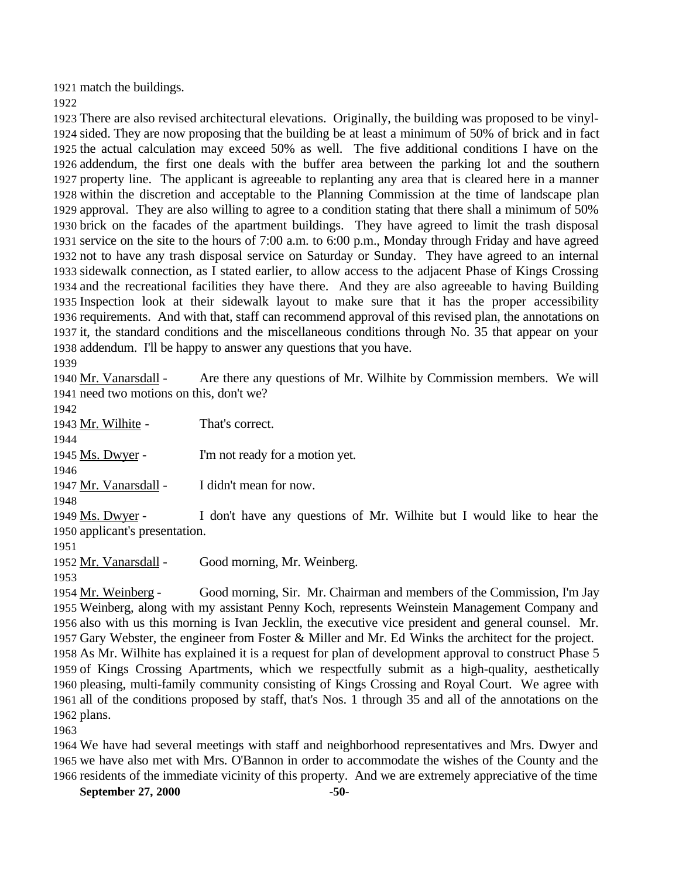match the buildings.

 There are also revised architectural elevations. Originally, the building was proposed to be vinyl- sided. They are now proposing that the building be at least a minimum of 50% of brick and in fact the actual calculation may exceed 50% as well. The five additional conditions I have on the addendum, the first one deals with the buffer area between the parking lot and the southern property line. The applicant is agreeable to replanting any area that is cleared here in a manner within the discretion and acceptable to the Planning Commission at the time of landscape plan approval. They are also willing to agree to a condition stating that there shall a minimum of 50% brick on the facades of the apartment buildings. They have agreed to limit the trash disposal service on the site to the hours of 7:00 a.m. to 6:00 p.m., Monday through Friday and have agreed not to have any trash disposal service on Saturday or Sunday. They have agreed to an internal sidewalk connection, as I stated earlier, to allow access to the adjacent Phase of Kings Crossing and the recreational facilities they have there. And they are also agreeable to having Building Inspection look at their sidewalk layout to make sure that it has the proper accessibility requirements. And with that, staff can recommend approval of this revised plan, the annotations on it, the standard conditions and the miscellaneous conditions through No. 35 that appear on your addendum. I'll be happy to answer any questions that you have. 

1940 Mr. Vanarsdall - Are there any questions of Mr. Wilhite by Commission members. We will need two motions on this, don't we?

 Mr. Wilhite - That's correct. 1945 Ms. Dwyer - I'm not ready for a motion yet. 1947 Mr. Vanarsdall - I didn't mean for now. 1949 Ms. Dwyer - I don't have any questions of Mr. Wilhite but I would like to hear the applicant's presentation. 1952 Mr. Vanarsdall - Good morning, Mr. Weinberg.

 Mr. Weinberg - Good morning, Sir. Mr. Chairman and members of the Commission, I'm Jay Weinberg, along with my assistant Penny Koch, represents Weinstein Management Company and also with us this morning is Ivan Jecklin, the executive vice president and general counsel. Mr. Gary Webster, the engineer from Foster & Miller and Mr. Ed Winks the architect for the project. As Mr. Wilhite has explained it is a request for plan of development approval to construct Phase 5 of Kings Crossing Apartments, which we respectfully submit as a high-quality, aesthetically pleasing, multi-family community consisting of Kings Crossing and Royal Court. We agree with all of the conditions proposed by staff, that's Nos. 1 through 35 and all of the annotations on the plans.

 We have had several meetings with staff and neighborhood representatives and Mrs. Dwyer and we have also met with Mrs. O'Bannon in order to accommodate the wishes of the County and the residents of the immediate vicinity of this property. And we are extremely appreciative of the time

**September 27, 2000 -50-**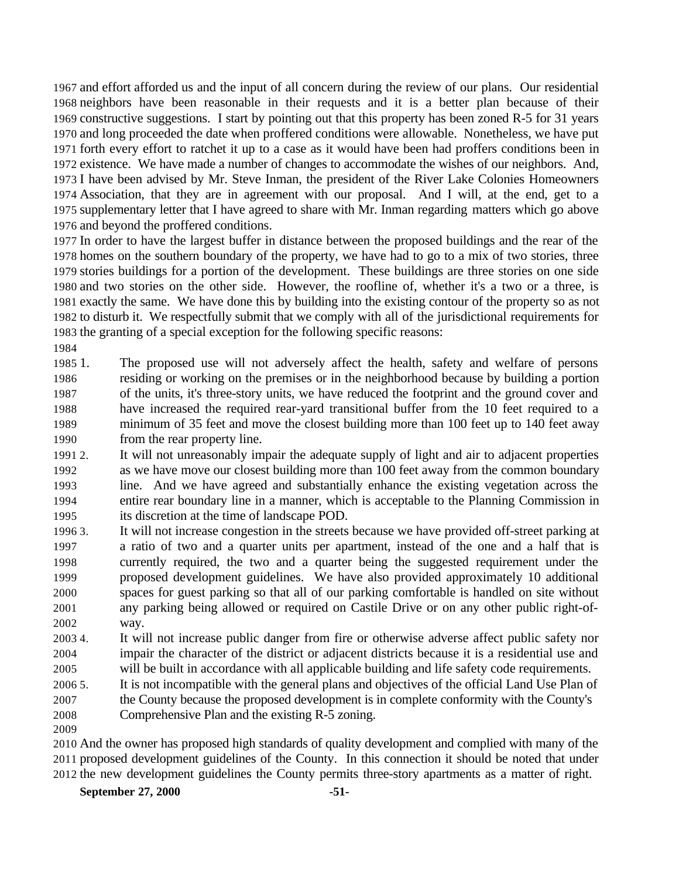and effort afforded us and the input of all concern during the review of our plans. Our residential neighbors have been reasonable in their requests and it is a better plan because of their constructive suggestions. I start by pointing out that this property has been zoned R-5 for 31 years and long proceeded the date when proffered conditions were allowable. Nonetheless, we have put forth every effort to ratchet it up to a case as it would have been had proffers conditions been in existence. We have made a number of changes to accommodate the wishes of our neighbors. And, I have been advised by Mr. Steve Inman, the president of the River Lake Colonies Homeowners Association, that they are in agreement with our proposal. And I will, at the end, get to a supplementary letter that I have agreed to share with Mr. Inman regarding matters which go above and beyond the proffered conditions.

 In order to have the largest buffer in distance between the proposed buildings and the rear of the homes on the southern boundary of the property, we have had to go to a mix of two stories, three stories buildings for a portion of the development. These buildings are three stories on one side and two stories on the other side. However, the roofline of, whether it's a two or a three, is exactly the same. We have done this by building into the existing contour of the property so as not to disturb it. We respectfully submit that we comply with all of the jurisdictional requirements for the granting of a special exception for the following specific reasons:

 1. The proposed use will not adversely affect the health, safety and welfare of persons residing or working on the premises or in the neighborhood because by building a portion of the units, it's three-story units, we have reduced the footprint and the ground cover and have increased the required rear-yard transitional buffer from the 10 feet required to a minimum of 35 feet and move the closest building more than 100 feet up to 140 feet away from the rear property line.

 2. It will not unreasonably impair the adequate supply of light and air to adjacent properties as we have move our closest building more than 100 feet away from the common boundary line. And we have agreed and substantially enhance the existing vegetation across the entire rear boundary line in a manner, which is acceptable to the Planning Commission in its discretion at the time of landscape POD.

 3. It will not increase congestion in the streets because we have provided off-street parking at a ratio of two and a quarter units per apartment, instead of the one and a half that is currently required, the two and a quarter being the suggested requirement under the proposed development guidelines. We have also provided approximately 10 additional spaces for guest parking so that all of our parking comfortable is handled on site without any parking being allowed or required on Castile Drive or on any other public right-of-way.

 4. It will not increase public danger from fire or otherwise adverse affect public safety nor impair the character of the district or adjacent districts because it is a residential use and will be built in accordance with all applicable building and life safety code requirements.

 5. It is not incompatible with the general plans and objectives of the official Land Use Plan of the County because the proposed development is in complete conformity with the County's

- Comprehensive Plan and the existing R-5 zoning.
- 

 And the owner has proposed high standards of quality development and complied with many of the proposed development guidelines of the County. In this connection it should be noted that under the new development guidelines the County permits three-story apartments as a matter of right.

**September 27, 2000 -51-**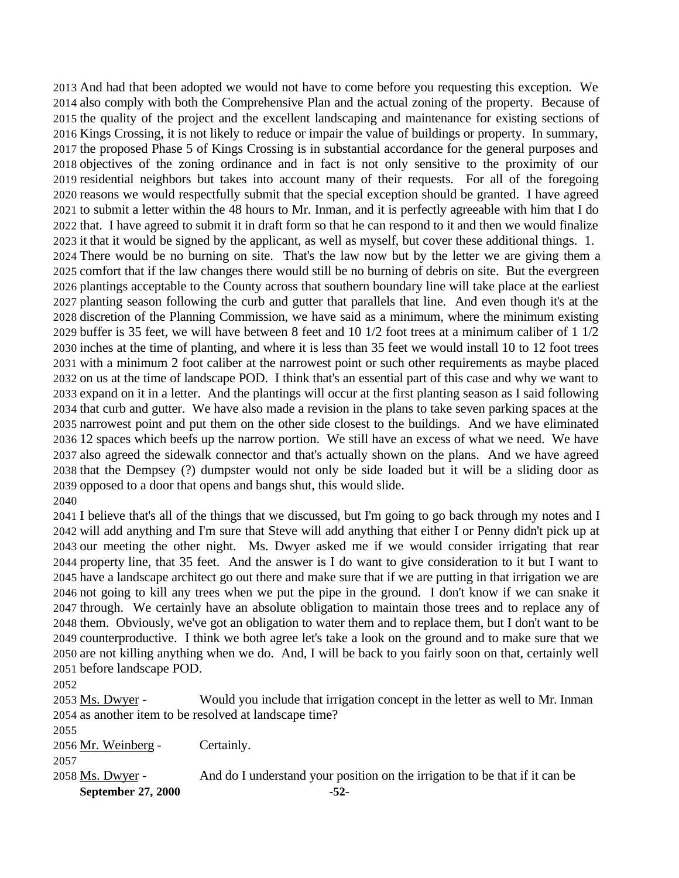And had that been adopted we would not have to come before you requesting this exception. We also comply with both the Comprehensive Plan and the actual zoning of the property. Because of the quality of the project and the excellent landscaping and maintenance for existing sections of Kings Crossing, it is not likely to reduce or impair the value of buildings or property. In summary, the proposed Phase 5 of Kings Crossing is in substantial accordance for the general purposes and objectives of the zoning ordinance and in fact is not only sensitive to the proximity of our residential neighbors but takes into account many of their requests. For all of the foregoing reasons we would respectfully submit that the special exception should be granted. I have agreed to submit a letter within the 48 hours to Mr. Inman, and it is perfectly agreeable with him that I do that. I have agreed to submit it in draft form so that he can respond to it and then we would finalize it that it would be signed by the applicant, as well as myself, but cover these additional things. 1. There would be no burning on site. That's the law now but by the letter we are giving them a comfort that if the law changes there would still be no burning of debris on site. But the evergreen plantings acceptable to the County across that southern boundary line will take place at the earliest planting season following the curb and gutter that parallels that line. And even though it's at the discretion of the Planning Commission, we have said as a minimum, where the minimum existing buffer is 35 feet, we will have between 8 feet and 10 1/2 foot trees at a minimum caliber of 1 1/2 inches at the time of planting, and where it is less than 35 feet we would install 10 to 12 foot trees with a minimum 2 foot caliber at the narrowest point or such other requirements as maybe placed on us at the time of landscape POD. I think that's an essential part of this case and why we want to expand on it in a letter. And the plantings will occur at the first planting season as I said following that curb and gutter. We have also made a revision in the plans to take seven parking spaces at the narrowest point and put them on the other side closest to the buildings. And we have eliminated 12 spaces which beefs up the narrow portion. We still have an excess of what we need. We have also agreed the sidewalk connector and that's actually shown on the plans. And we have agreed that the Dempsey (?) dumpster would not only be side loaded but it will be a sliding door as opposed to a door that opens and bangs shut, this would slide. 

 I believe that's all of the things that we discussed, but I'm going to go back through my notes and I will add anything and I'm sure that Steve will add anything that either I or Penny didn't pick up at our meeting the other night. Ms. Dwyer asked me if we would consider irrigating that rear property line, that 35 feet. And the answer is I do want to give consideration to it but I want to have a landscape architect go out there and make sure that if we are putting in that irrigation we are not going to kill any trees when we put the pipe in the ground. I don't know if we can snake it through. We certainly have an absolute obligation to maintain those trees and to replace any of them. Obviously, we've got an obligation to water them and to replace them, but I don't want to be counterproductive. I think we both agree let's take a look on the ground and to make sure that we are not killing anything when we do. And, I will be back to you fairly soon on that, certainly well before landscape POD.

 Ms. Dwyer - Would you include that irrigation concept in the letter as well to Mr. Inman as another item to be resolved at landscape time? Mr. Weinberg - Certainly.

**September 27, 2000 -52-** 2058 Ms. Dwyer - And do I understand your position on the irrigation to be that if it can be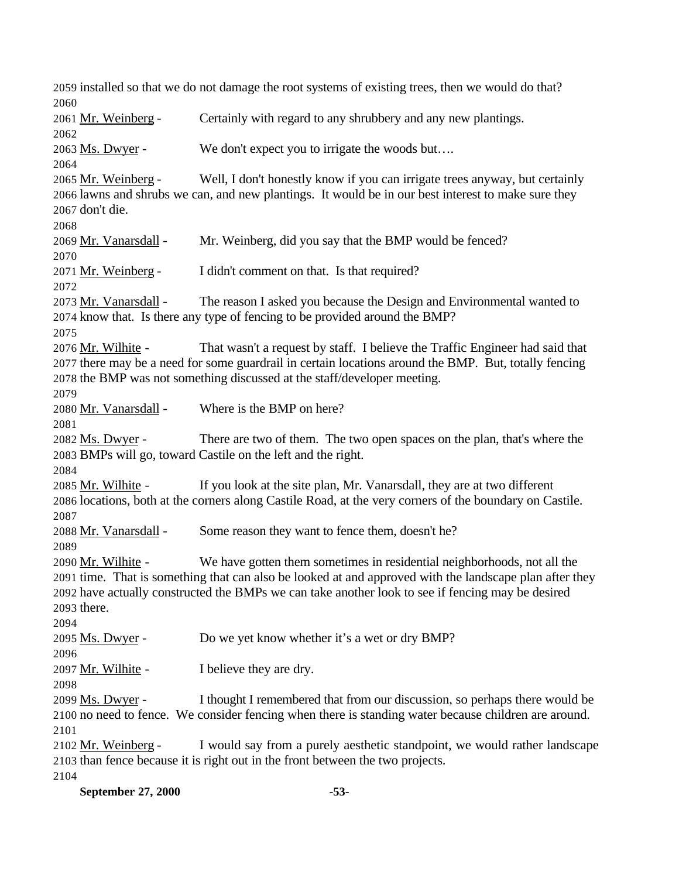installed so that we do not damage the root systems of existing trees, then we would do that? Mr. Weinberg - Certainly with regard to any shrubbery and any new plantings. Ms. Dwyer - We don't expect you to irrigate the woods but…. Mr. Weinberg - Well, I don't honestly know if you can irrigate trees anyway, but certainly lawns and shrubs we can, and new plantings. It would be in our best interest to make sure they don't die. Mr. Vanarsdall - Mr. Weinberg, did you say that the BMP would be fenced? Mr. Weinberg - I didn't comment on that. Is that required? Mr. Vanarsdall - The reason I asked you because the Design and Environmental wanted to know that. Is there any type of fencing to be provided around the BMP? 2076 Mr. Wilhite - That wasn't a request by staff. I believe the Traffic Engineer had said that there may be a need for some guardrail in certain locations around the BMP. But, totally fencing the BMP was not something discussed at the staff/developer meeting. Mr. Vanarsdall - Where is the BMP on here? Ms. Dwyer - There are two of them. The two open spaces on the plan, that's where the BMPs will go, toward Castile on the left and the right. Mr. Wilhite - If you look at the site plan, Mr. Vanarsdall, they are at two different locations, both at the corners along Castile Road, at the very corners of the boundary on Castile. 2088 Mr. Vanarsdall - Some reason they want to fence them, doesn't he? Mr. Wilhite - We have gotten them sometimes in residential neighborhoods, not all the time. That is something that can also be looked at and approved with the landscape plan after they have actually constructed the BMPs we can take another look to see if fencing may be desired there. 2095 Ms. Dwyer - Do we yet know whether it's a wet or dry BMP? 2097 Mr. Wilhite - I believe they are dry. Ms. Dwyer - I thought I remembered that from our discussion, so perhaps there would be no need to fence. We consider fencing when there is standing water because children are around. Mr. Weinberg - I would say from a purely aesthetic standpoint, we would rather landscape than fence because it is right out in the front between the two projects. 

**September 27, 2000 -53-**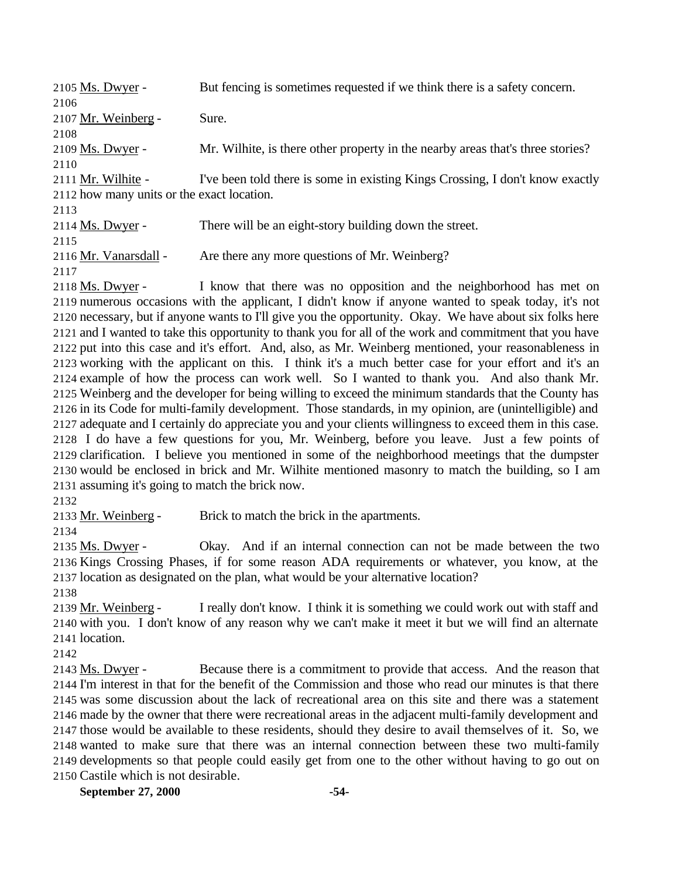| 2105 Ms. Dwyer -                           | But fencing is sometimes requested if we think there is a safety concern.      |
|--------------------------------------------|--------------------------------------------------------------------------------|
| 2106                                       |                                                                                |
| 2107 Mr. Weinberg -                        | Sure.                                                                          |
| 2108                                       |                                                                                |
| 2109 Ms. Dwyer -                           | Mr. Wilhite, is there other property in the nearby areas that's three stories? |
| 2110                                       |                                                                                |
| 2111 Mr. Wilhite -                         | I've been told there is some in existing Kings Crossing, I don't know exactly  |
| 2112 how many units or the exact location. |                                                                                |
| 2113                                       |                                                                                |
| 2114 Ms. Dwyer -                           | There will be an eight-story building down the street.                         |
| 2115                                       |                                                                                |
| 2116 Mr. Vanarsdall -                      | Are there any more questions of Mr. Weinberg?                                  |
| 2117                                       |                                                                                |
| 2118 Ms. Dwyer -                           | I know that there was no opposition and the neighborhood has met on            |

1 know that there was no opposition and the neighborhood has met on numerous occasions with the applicant, I didn't know if anyone wanted to speak today, it's not necessary, but if anyone wants to I'll give you the opportunity. Okay. We have about six folks here and I wanted to take this opportunity to thank you for all of the work and commitment that you have put into this case and it's effort. And, also, as Mr. Weinberg mentioned, your reasonableness in working with the applicant on this. I think it's a much better case for your effort and it's an example of how the process can work well. So I wanted to thank you. And also thank Mr. Weinberg and the developer for being willing to exceed the minimum standards that the County has in its Code for multi-family development. Those standards, in my opinion, are (unintelligible) and adequate and I certainly do appreciate you and your clients willingness to exceed them in this case. I do have a few questions for you, Mr. Weinberg, before you leave. Just a few points of clarification. I believe you mentioned in some of the neighborhood meetings that the dumpster would be enclosed in brick and Mr. Wilhite mentioned masonry to match the building, so I am assuming it's going to match the brick now.

2133 Mr. Weinberg - Brick to match the brick in the apartments.

 Ms. Dwyer - Okay. And if an internal connection can not be made between the two Kings Crossing Phases, if for some reason ADA requirements or whatever, you know, at the location as designated on the plan, what would be your alternative location?

 Mr. Weinberg - I really don't know. I think it is something we could work out with staff and with you. I don't know of any reason why we can't make it meet it but we will find an alternate location.

2143 Ms. Dwyer - Because there is a commitment to provide that access. And the reason that I'm interest in that for the benefit of the Commission and those who read our minutes is that there was some discussion about the lack of recreational area on this site and there was a statement made by the owner that there were recreational areas in the adjacent multi-family development and those would be available to these residents, should they desire to avail themselves of it. So, we wanted to make sure that there was an internal connection between these two multi-family developments so that people could easily get from one to the other without having to go out on Castile which is not desirable.

**September 27, 2000 -54-**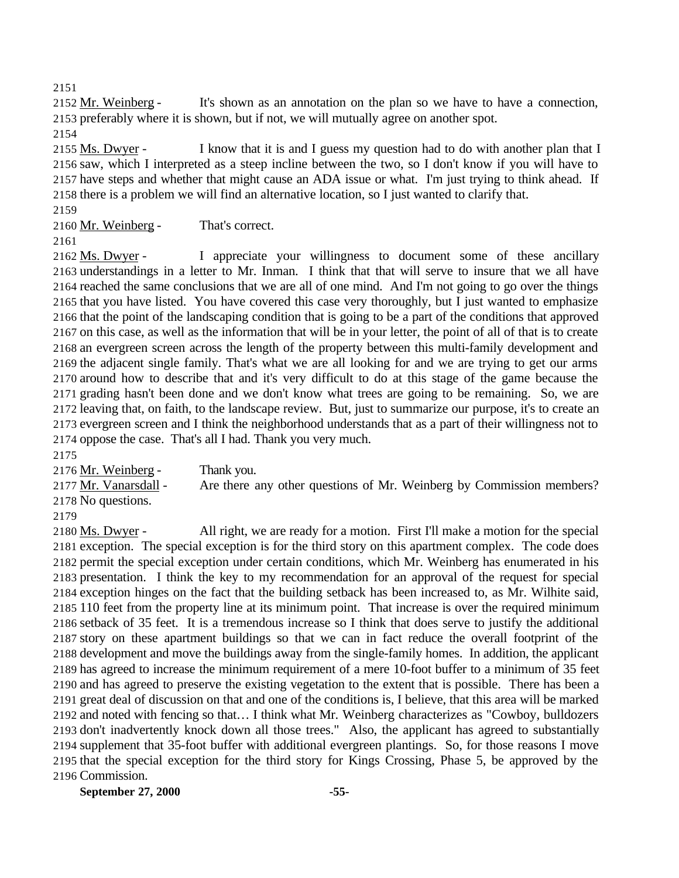2152 Mr. Weinberg - It's shown as an annotation on the plan so we have to have a connection, preferably where it is shown, but if not, we will mutually agree on another spot.

 Ms. Dwyer - I know that it is and I guess my question had to do with another plan that I saw, which I interpreted as a steep incline between the two, so I don't know if you will have to have steps and whether that might cause an ADA issue or what. I'm just trying to think ahead. If there is a problem we will find an alternative location, so I just wanted to clarify that.

2160 Mr. Weinberg - That's correct.

2162 Ms. Dwyer - I appreciate your willingness to document some of these ancillary understandings in a letter to Mr. Inman. I think that that will serve to insure that we all have reached the same conclusions that we are all of one mind. And I'm not going to go over the things that you have listed. You have covered this case very thoroughly, but I just wanted to emphasize that the point of the landscaping condition that is going to be a part of the conditions that approved on this case, as well as the information that will be in your letter, the point of all of that is to create an evergreen screen across the length of the property between this multi-family development and the adjacent single family. That's what we are all looking for and we are trying to get our arms around how to describe that and it's very difficult to do at this stage of the game because the grading hasn't been done and we don't know what trees are going to be remaining. So, we are leaving that, on faith, to the landscape review. But, just to summarize our purpose, it's to create an evergreen screen and I think the neighborhood understands that as a part of their willingness not to oppose the case. That's all I had. Thank you very much.

 Mr. Weinberg - Thank you. 2177 Mr. Vanarsdall - Are there any other questions of Mr. Weinberg by Commission members? No questions.

 Ms. Dwyer - All right, we are ready for a motion. First I'll make a motion for the special exception. The special exception is for the third story on this apartment complex. The code does permit the special exception under certain conditions, which Mr. Weinberg has enumerated in his presentation. I think the key to my recommendation for an approval of the request for special exception hinges on the fact that the building setback has been increased to, as Mr. Wilhite said, 110 feet from the property line at its minimum point. That increase is over the required minimum setback of 35 feet. It is a tremendous increase so I think that does serve to justify the additional story on these apartment buildings so that we can in fact reduce the overall footprint of the development and move the buildings away from the single-family homes. In addition, the applicant has agreed to increase the minimum requirement of a mere 10-foot buffer to a minimum of 35 feet and has agreed to preserve the existing vegetation to the extent that is possible. There has been a great deal of discussion on that and one of the conditions is, I believe, that this area will be marked and noted with fencing so that… I think what Mr. Weinberg characterizes as "Cowboy, bulldozers don't inadvertently knock down all those trees." Also, the applicant has agreed to substantially supplement that 35-foot buffer with additional evergreen plantings. So, for those reasons I move that the special exception for the third story for Kings Crossing, Phase 5, be approved by the Commission.

**September 27, 2000 -55-**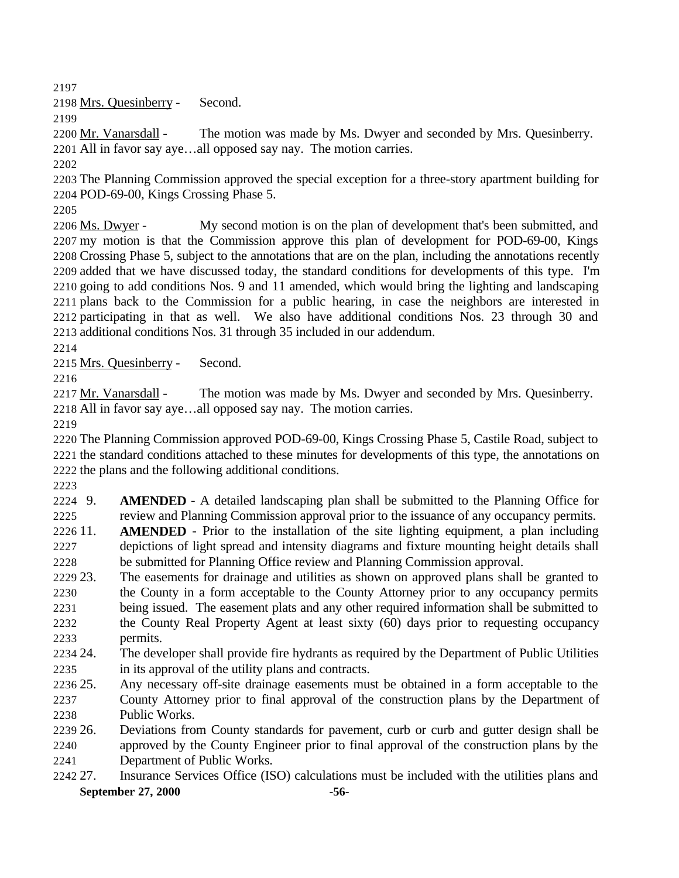Mrs. Quesinberry - Second.

 Mr. Vanarsdall - The motion was made by Ms. Dwyer and seconded by Mrs. Quesinberry. All in favor say aye…all opposed say nay. The motion carries.

 The Planning Commission approved the special exception for a three-story apartment building for POD-69-00, Kings Crossing Phase 5.

2206 Ms. Dwyer - My second motion is on the plan of development that's been submitted, and my motion is that the Commission approve this plan of development for POD-69-00, Kings Crossing Phase 5, subject to the annotations that are on the plan, including the annotations recently added that we have discussed today, the standard conditions for developments of this type. I'm going to add conditions Nos. 9 and 11 amended, which would bring the lighting and landscaping plans back to the Commission for a public hearing, in case the neighbors are interested in participating in that as well. We also have additional conditions Nos. 23 through 30 and additional conditions Nos. 31 through 35 included in our addendum.

Mrs. Quesinberry - Second.

2217 Mr. Vanarsdall - The motion was made by Ms. Dwyer and seconded by Mrs. Quesinberry. All in favor say aye…all opposed say nay. The motion carries.

 The Planning Commission approved POD-69-00, Kings Crossing Phase 5, Castile Road, subject to the standard conditions attached to these minutes for developments of this type, the annotations on the plans and the following additional conditions.

 9. **AMENDED** - A detailed landscaping plan shall be submitted to the Planning Office for review and Planning Commission approval prior to the issuance of any occupancy permits.

 11. **AMENDED** - Prior to the installation of the site lighting equipment, a plan including depictions of light spread and intensity diagrams and fixture mounting height details shall be submitted for Planning Office review and Planning Commission approval.

 23. The easements for drainage and utilities as shown on approved plans shall be granted to the County in a form acceptable to the County Attorney prior to any occupancy permits being issued. The easement plats and any other required information shall be submitted to the County Real Property Agent at least sixty (60) days prior to requesting occupancy permits.

 24. The developer shall provide fire hydrants as required by the Department of Public Utilities in its approval of the utility plans and contracts.

 25. Any necessary off-site drainage easements must be obtained in a form acceptable to the County Attorney prior to final approval of the construction plans by the Department of Public Works.

 26. Deviations from County standards for pavement, curb or curb and gutter design shall be approved by the County Engineer prior to final approval of the construction plans by the Department of Public Works.

**September 27, 2000 -56-** 27. Insurance Services Office (ISO) calculations must be included with the utilities plans and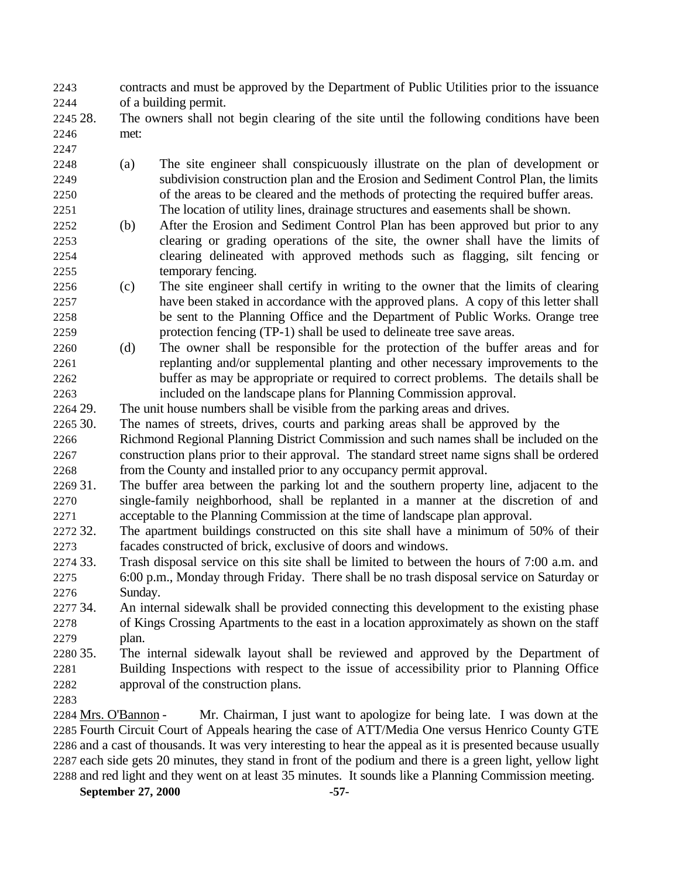contracts and must be approved by the Department of Public Utilities prior to the issuance of a building permit.

- 28. The owners shall not begin clearing of the site until the following conditions have been met:
- 
- (a) The site engineer shall conspicuously illustrate on the plan of development or subdivision construction plan and the Erosion and Sediment Control Plan, the limits of the areas to be cleared and the methods of protecting the required buffer areas. The location of utility lines, drainage structures and easements shall be shown.
- (b) After the Erosion and Sediment Control Plan has been approved but prior to any clearing or grading operations of the site, the owner shall have the limits of clearing delineated with approved methods such as flagging, silt fencing or temporary fencing.
- (c) The site engineer shall certify in writing to the owner that the limits of clearing have been staked in accordance with the approved plans. A copy of this letter shall be sent to the Planning Office and the Department of Public Works. Orange tree protection fencing (TP-1) shall be used to delineate tree save areas.
- (d) The owner shall be responsible for the protection of the buffer areas and for replanting and/or supplemental planting and other necessary improvements to the buffer as may be appropriate or required to correct problems. The details shall be included on the landscape plans for Planning Commission approval.
- 29. The unit house numbers shall be visible from the parking areas and drives.

30. The names of streets, drives, courts and parking areas shall be approved by the

 Richmond Regional Planning District Commission and such names shall be included on the construction plans prior to their approval. The standard street name signs shall be ordered from the County and installed prior to any occupancy permit approval.

 31. The buffer area between the parking lot and the southern property line, adjacent to the single-family neighborhood, shall be replanted in a manner at the discretion of and acceptable to the Planning Commission at the time of landscape plan approval.

- 32. The apartment buildings constructed on this site shall have a minimum of 50% of their facades constructed of brick, exclusive of doors and windows.
- 33. Trash disposal service on this site shall be limited to between the hours of 7:00 a.m. and 6:00 p.m., Monday through Friday. There shall be no trash disposal service on Saturday or Sunday.
- 34. An internal sidewalk shall be provided connecting this development to the existing phase of Kings Crossing Apartments to the east in a location approximately as shown on the staff plan.

 35. The internal sidewalk layout shall be reviewed and approved by the Department of Building Inspections with respect to the issue of accessibility prior to Planning Office approval of the construction plans.

 Mrs. O'Bannon - Mr. Chairman, I just want to apologize for being late. I was down at the Fourth Circuit Court of Appeals hearing the case of ATT/Media One versus Henrico County GTE and a cast of thousands. It was very interesting to hear the appeal as it is presented because usually each side gets 20 minutes, they stand in front of the podium and there is a green light, yellow light and red light and they went on at least 35 minutes. It sounds like a Planning Commission meeting.

**September 27, 2000 -57-**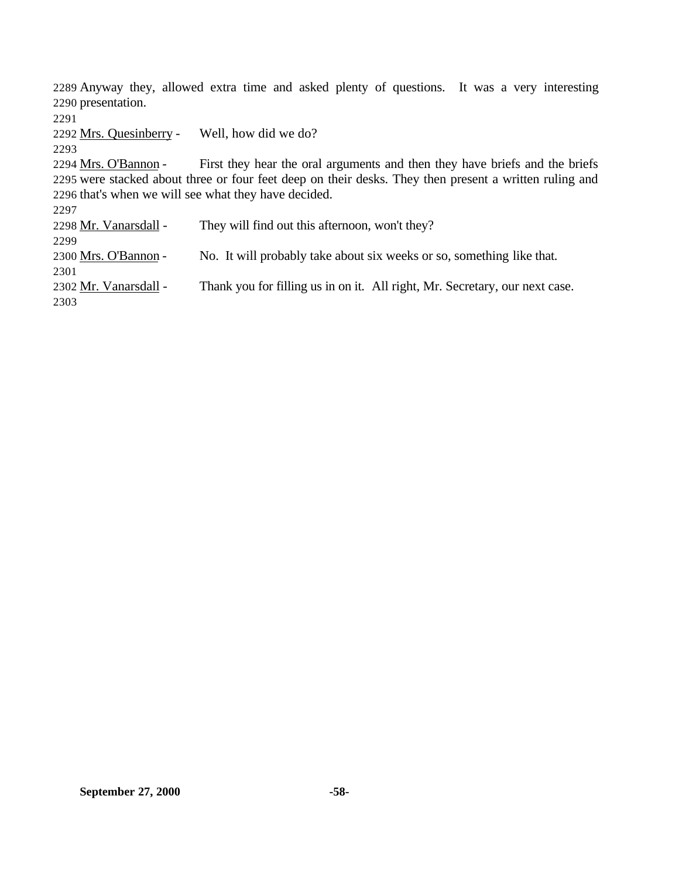Anyway they, allowed extra time and asked plenty of questions. It was a very interesting presentation.

Mrs. Quesinberry - Well, how did we do?

 Mrs. O'Bannon - First they hear the oral arguments and then they have briefs and the briefs were stacked about three or four feet deep on their desks. They then present a written ruling and that's when we will see what they have decided.

2298 Mr. Vanarsdall - They will find out this afternoon, won't they? Mrs. O'Bannon - No. It will probably take about six weeks or so, something like that. 2302 Mr. Vanarsdall - Thank you for filling us in on it. All right, Mr. Secretary, our next case.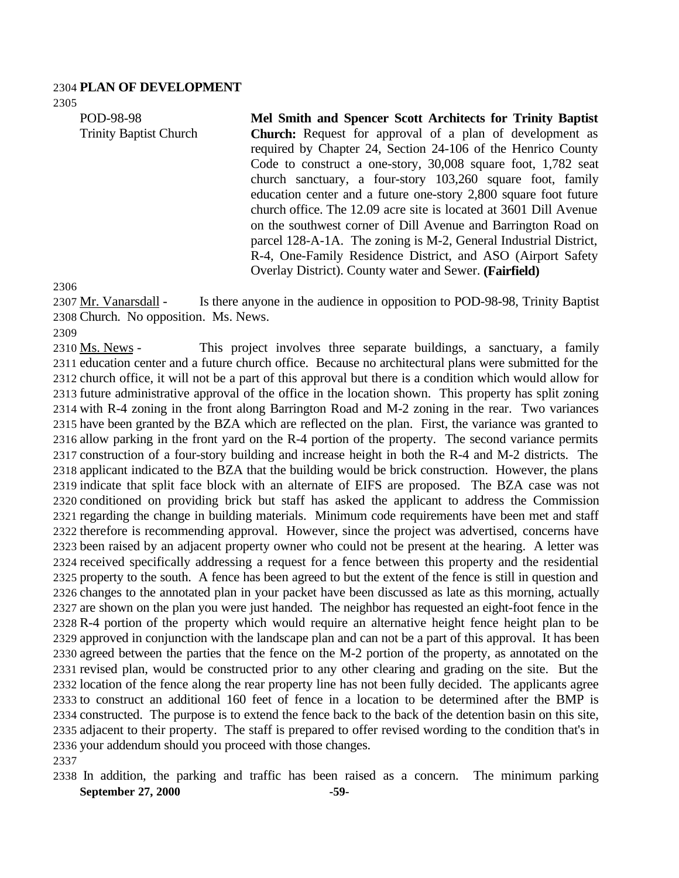#### **PLAN OF DEVELOPMENT**

POD-98-98 Trinity Baptist Church **Mel Smith and Spencer Scott Architects for Trinity Baptist Church:** Request for approval of a plan of development as required by Chapter 24, Section 24-106 of the Henrico County Code to construct a one-story, 30,008 square foot, 1,782 seat church sanctuary, a four-story 103,260 square foot, family education center and a future one-story 2,800 square foot future church office. The 12.09 acre site is located at 3601 Dill Avenue on the southwest corner of Dill Avenue and Barrington Road on parcel 128-A-1A. The zoning is M-2, General Industrial District, R-4, One-Family Residence District, and ASO (Airport Safety Overlay District). County water and Sewer. **(Fairfield)**

 Mr. Vanarsdall - Is there anyone in the audience in opposition to POD-98-98, Trinity Baptist Church. No opposition. Ms. News.

2310 Ms. News - This project involves three separate buildings, a sanctuary, a family education center and a future church office. Because no architectural plans were submitted for the church office, it will not be a part of this approval but there is a condition which would allow for future administrative approval of the office in the location shown. This property has split zoning with R-4 zoning in the front along Barrington Road and M-2 zoning in the rear. Two variances have been granted by the BZA which are reflected on the plan. First, the variance was granted to allow parking in the front yard on the R-4 portion of the property. The second variance permits construction of a four-story building and increase height in both the R-4 and M-2 districts. The applicant indicated to the BZA that the building would be brick construction. However, the plans indicate that split face block with an alternate of EIFS are proposed. The BZA case was not conditioned on providing brick but staff has asked the applicant to address the Commission regarding the change in building materials. Minimum code requirements have been met and staff therefore is recommending approval. However, since the project was advertised, concerns have been raised by an adjacent property owner who could not be present at the hearing. A letter was received specifically addressing a request for a fence between this property and the residential property to the south. A fence has been agreed to but the extent of the fence is still in question and changes to the annotated plan in your packet have been discussed as late as this morning, actually are shown on the plan you were just handed. The neighbor has requested an eight-foot fence in the R-4 portion of the property which would require an alternative height fence height plan to be approved in conjunction with the landscape plan and can not be a part of this approval. It has been agreed between the parties that the fence on the M-2 portion of the property, as annotated on the revised plan, would be constructed prior to any other clearing and grading on the site. But the location of the fence along the rear property line has not been fully decided. The applicants agree to construct an additional 160 feet of fence in a location to be determined after the BMP is constructed. The purpose is to extend the fence back to the back of the detention basin on this site, adjacent to their property. The staff is prepared to offer revised wording to the condition that's in your addendum should you proceed with those changes. 

**September 27, 2000 -59-** In addition, the parking and traffic has been raised as a concern. The minimum parking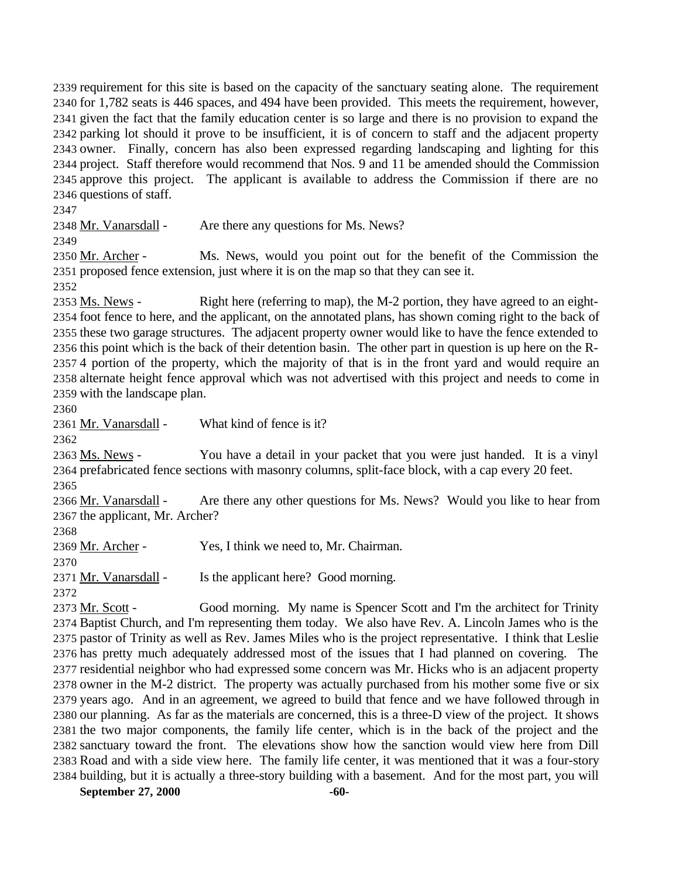requirement for this site is based on the capacity of the sanctuary seating alone. The requirement for 1,782 seats is 446 spaces, and 494 have been provided. This meets the requirement, however, given the fact that the family education center is so large and there is no provision to expand the parking lot should it prove to be insufficient, it is of concern to staff and the adjacent property owner. Finally, concern has also been expressed regarding landscaping and lighting for this project. Staff therefore would recommend that Nos. 9 and 11 be amended should the Commission approve this project. The applicant is available to address the Commission if there are no questions of staff.

2348 Mr. Vanarsdall - Are there any questions for Ms. News?

2350 Mr. Archer - Ms. News, would you point out for the benefit of the Commission the proposed fence extension, just where it is on the map so that they can see it.

2353 Ms. News - Right here (referring to map), the M-2 portion, they have agreed to an eight- foot fence to here, and the applicant, on the annotated plans, has shown coming right to the back of these two garage structures. The adjacent property owner would like to have the fence extended to this point which is the back of their detention basin. The other part in question is up here on the R- 4 portion of the property, which the majority of that is in the front yard and would require an alternate height fence approval which was not advertised with this project and needs to come in with the landscape plan.

Mr. Vanarsdall - What kind of fence is it?

2363 Ms. News - You have a detail in your packet that you were just handed. It is a vinyl prefabricated fence sections with masonry columns, split-face block, with a cap every 20 feet.

2366 Mr. Vanarsdall - Are there any other questions for Ms. News? Would you like to hear from the applicant, Mr. Archer?

Mr. Archer - Yes, I think we need to, Mr. Chairman.

2371 Mr. Vanarsdall - Is the applicant here? Good morning.

2373 Mr. Scott - Good morning. My name is Spencer Scott and I'm the architect for Trinity Baptist Church, and I'm representing them today. We also have Rev. A. Lincoln James who is the pastor of Trinity as well as Rev. James Miles who is the project representative. I think that Leslie has pretty much adequately addressed most of the issues that I had planned on covering. The residential neighbor who had expressed some concern was Mr. Hicks who is an adjacent property owner in the M-2 district. The property was actually purchased from his mother some five or six years ago. And in an agreement, we agreed to build that fence and we have followed through in our planning. As far as the materials are concerned, this is a three-D view of the project. It shows the two major components, the family life center, which is in the back of the project and the sanctuary toward the front. The elevations show how the sanction would view here from Dill Road and with a side view here. The family life center, it was mentioned that it was a four-story building, but it is actually a three-story building with a basement. And for the most part, you will

**September 27, 2000 -60-**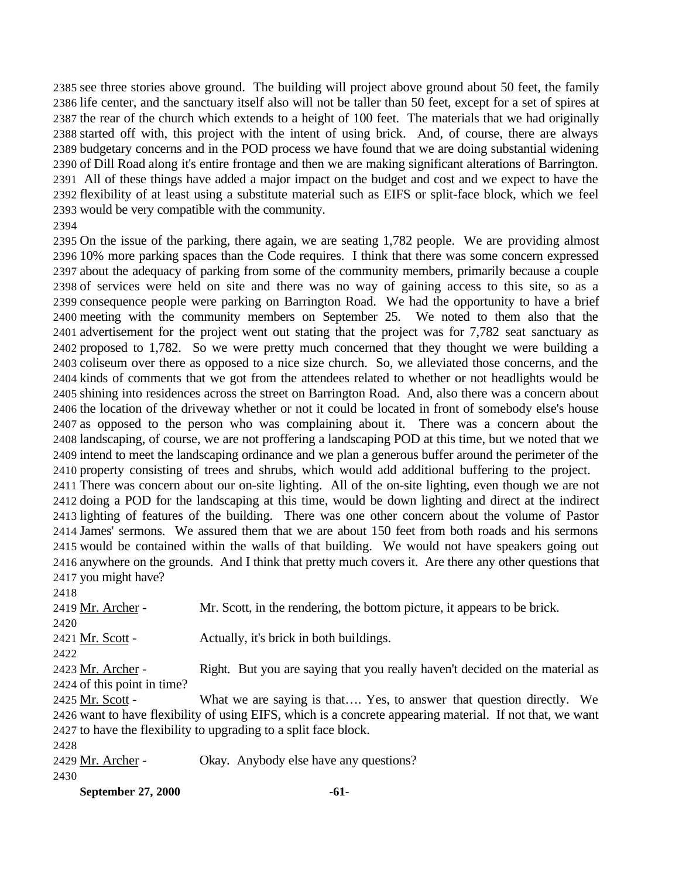see three stories above ground. The building will project above ground about 50 feet, the family life center, and the sanctuary itself also will not be taller than 50 feet, except for a set of spires at the rear of the church which extends to a height of 100 feet. The materials that we had originally started off with, this project with the intent of using brick. And, of course, there are always budgetary concerns and in the POD process we have found that we are doing substantial widening of Dill Road along it's entire frontage and then we are making significant alterations of Barrington. All of these things have added a major impact on the budget and cost and we expect to have the flexibility of at least using a substitute material such as EIFS or split-face block, which we feel would be very compatible with the community.

 On the issue of the parking, there again, we are seating 1,782 people. We are providing almost 10% more parking spaces than the Code requires. I think that there was some concern expressed about the adequacy of parking from some of the community members, primarily because a couple of services were held on site and there was no way of gaining access to this site, so as a consequence people were parking on Barrington Road. We had the opportunity to have a brief meeting with the community members on September 25. We noted to them also that the advertisement for the project went out stating that the project was for 7,782 seat sanctuary as proposed to 1,782. So we were pretty much concerned that they thought we were building a coliseum over there as opposed to a nice size church. So, we alleviated those concerns, and the kinds of comments that we got from the attendees related to whether or not headlights would be shining into residences across the street on Barrington Road. And, also there was a concern about the location of the driveway whether or not it could be located in front of somebody else's house as opposed to the person who was complaining about it. There was a concern about the landscaping, of course, we are not proffering a landscaping POD at this time, but we noted that we intend to meet the landscaping ordinance and we plan a generous buffer around the perimeter of the property consisting of trees and shrubs, which would add additional buffering to the project.

 There was concern about our on-site lighting. All of the on-site lighting, even though we are not doing a POD for the landscaping at this time, would be down lighting and direct at the indirect lighting of features of the building. There was one other concern about the volume of Pastor James' sermons. We assured them that we are about 150 feet from both roads and his sermons would be contained within the walls of that building. We would not have speakers going out anywhere on the grounds. And I think that pretty much covers it. Are there any other questions that you might have?

| 2419 <u>Mr. Archer</u> -    | Mr. Scott, in the rendering, the bottom picture, it appears to be brick.                                  |
|-----------------------------|-----------------------------------------------------------------------------------------------------------|
| 2420                        |                                                                                                           |
| 2421 Mr. Scott -            | Actually, it's brick in both buildings.                                                                   |
| 2422                        |                                                                                                           |
| 2423 Mr. Archer -           | Right. But you are saying that you really haven't decided on the material as                              |
| 2424 of this point in time? |                                                                                                           |
| 2425 Mr. Scott -            | What we are saying is that Yes, to answer that question directly. We                                      |
|                             | 2426 want to have flexibility of using EIFS, which is a concrete appearing material. If not that, we want |
|                             | 2427 to have the flexibility to upgrading to a split face block.                                          |
| 2428                        |                                                                                                           |
| 2429 <u>Mr. Archer</u> -    | Okay. Anybody else have any questions?                                                                    |
| 2430                        |                                                                                                           |
|                             |                                                                                                           |

**September 27, 2000 -61-**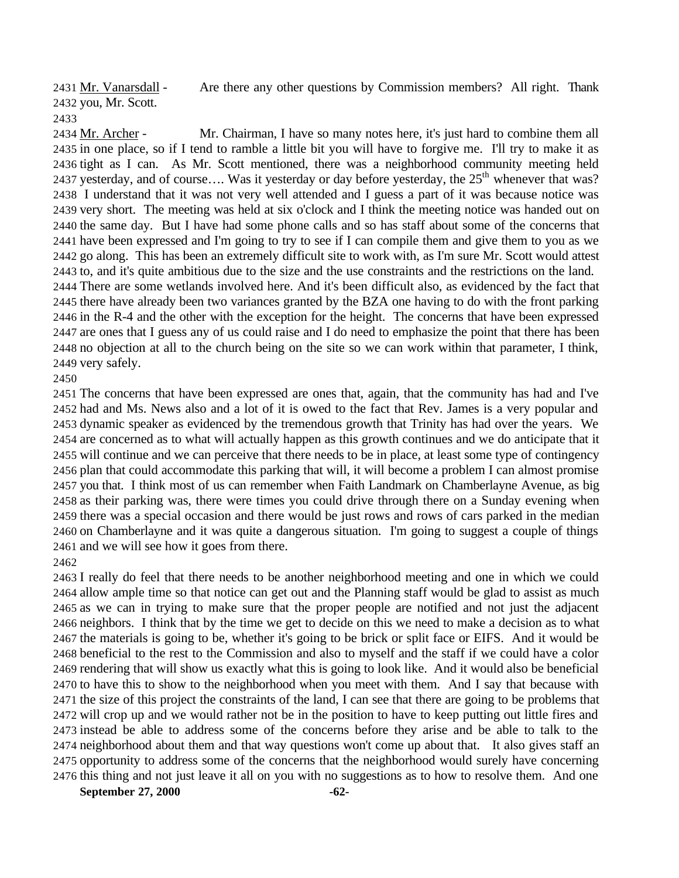Mr. Vanarsdall - Are there any other questions by Commission members? All right. Thank you, Mr. Scott.

2434 Mr. Archer - Mr. Chairman, I have so many notes here, it's just hard to combine them all in one place, so if I tend to ramble a little bit you will have to forgive me. I'll try to make it as tight as I can. As Mr. Scott mentioned, there was a neighborhood community meeting held 2437 yesterday, and of course…. Was it yesterday or day before yesterday, the  $25<sup>th</sup>$  whenever that was? I understand that it was not very well attended and I guess a part of it was because notice was very short. The meeting was held at six o'clock and I think the meeting notice was handed out on the same day. But I have had some phone calls and so has staff about some of the concerns that have been expressed and I'm going to try to see if I can compile them and give them to you as we go along. This has been an extremely difficult site to work with, as I'm sure Mr. Scott would attest to, and it's quite ambitious due to the size and the use constraints and the restrictions on the land. There are some wetlands involved here. And it's been difficult also, as evidenced by the fact that there have already been two variances granted by the BZA one having to do with the front parking in the R-4 and the other with the exception for the height. The concerns that have been expressed are ones that I guess any of us could raise and I do need to emphasize the point that there has been no objection at all to the church being on the site so we can work within that parameter, I think, very safely.

 The concerns that have been expressed are ones that, again, that the community has had and I've had and Ms. News also and a lot of it is owed to the fact that Rev. James is a very popular and dynamic speaker as evidenced by the tremendous growth that Trinity has had over the years. We are concerned as to what will actually happen as this growth continues and we do anticipate that it will continue and we can perceive that there needs to be in place, at least some type of contingency plan that could accommodate this parking that will, it will become a problem I can almost promise you that. I think most of us can remember when Faith Landmark on Chamberlayne Avenue, as big as their parking was, there were times you could drive through there on a Sunday evening when there was a special occasion and there would be just rows and rows of cars parked in the median on Chamberlayne and it was quite a dangerous situation. I'm going to suggest a couple of things and we will see how it goes from there.

 I really do feel that there needs to be another neighborhood meeting and one in which we could allow ample time so that notice can get out and the Planning staff would be glad to assist as much as we can in trying to make sure that the proper people are notified and not just the adjacent neighbors. I think that by the time we get to decide on this we need to make a decision as to what the materials is going to be, whether it's going to be brick or split face or EIFS. And it would be beneficial to the rest to the Commission and also to myself and the staff if we could have a color rendering that will show us exactly what this is going to look like. And it would also be beneficial to have this to show to the neighborhood when you meet with them. And I say that because with the size of this project the constraints of the land, I can see that there are going to be problems that will crop up and we would rather not be in the position to have to keep putting out little fires and instead be able to address some of the concerns before they arise and be able to talk to the neighborhood about them and that way questions won't come up about that. It also gives staff an opportunity to address some of the concerns that the neighborhood would surely have concerning this thing and not just leave it all on you with no suggestions as to how to resolve them. And one

**September 27, 2000 -62-**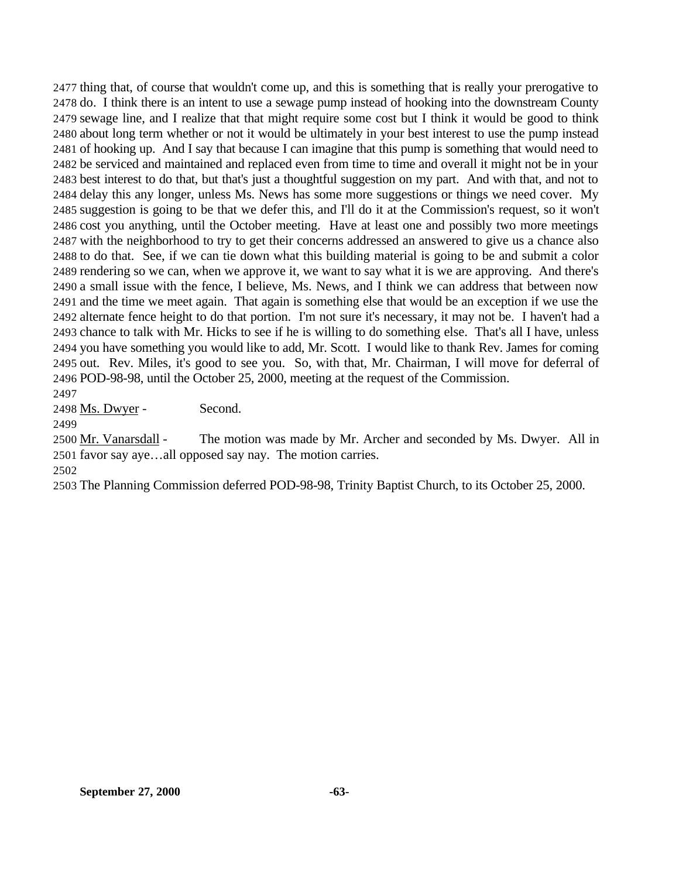thing that, of course that wouldn't come up, and this is something that is really your prerogative to do. I think there is an intent to use a sewage pump instead of hooking into the downstream County sewage line, and I realize that that might require some cost but I think it would be good to think about long term whether or not it would be ultimately in your best interest to use the pump instead of hooking up. And I say that because I can imagine that this pump is something that would need to be serviced and maintained and replaced even from time to time and overall it might not be in your best interest to do that, but that's just a thoughtful suggestion on my part. And with that, and not to delay this any longer, unless Ms. News has some more suggestions or things we need cover. My suggestion is going to be that we defer this, and I'll do it at the Commission's request, so it won't cost you anything, until the October meeting. Have at least one and possibly two more meetings with the neighborhood to try to get their concerns addressed an answered to give us a chance also to do that. See, if we can tie down what this building material is going to be and submit a color rendering so we can, when we approve it, we want to say what it is we are approving. And there's a small issue with the fence, I believe, Ms. News, and I think we can address that between now and the time we meet again. That again is something else that would be an exception if we use the alternate fence height to do that portion. I'm not sure it's necessary, it may not be. I haven't had a chance to talk with Mr. Hicks to see if he is willing to do something else. That's all I have, unless you have something you would like to add, Mr. Scott. I would like to thank Rev. James for coming out. Rev. Miles, it's good to see you. So, with that, Mr. Chairman, I will move for deferral of POD-98-98, until the October 25, 2000, meeting at the request of the Commission.

Ms. Dwyer - Second.

 Mr. Vanarsdall - The motion was made by Mr. Archer and seconded by Ms. Dwyer. All in favor say aye…all opposed say nay. The motion carries.

The Planning Commission deferred POD-98-98, Trinity Baptist Church, to its October 25, 2000.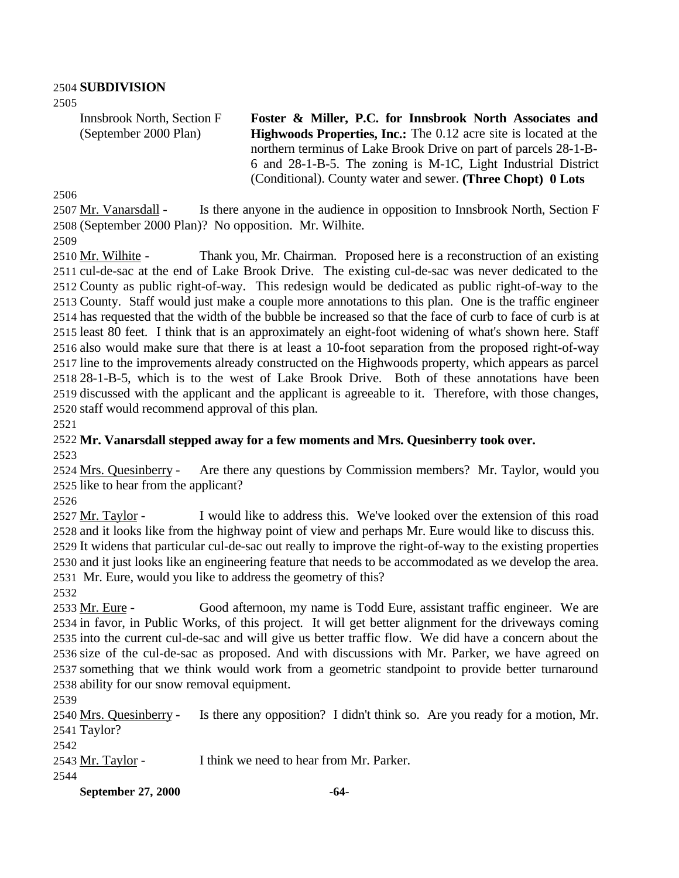## **SUBDIVISION**

Innsbrook North, Section F (September 2000 Plan)

**Foster & Miller, P.C. for Innsbrook North Associates and Highwoods Properties, Inc.:** The 0.12 acre site is located at the northern terminus of Lake Brook Drive on part of parcels 28-1-B-6 and 28-1-B-5. The zoning is M-1C, Light Industrial District (Conditional). County water and sewer. **(Three Chopt) 0 Lots** 

 Mr. Vanarsdall - Is there anyone in the audience in opposition to Innsbrook North, Section F (September 2000 Plan)? No opposition. Mr. Wilhite.

2510 Mr. Wilhite - Thank you, Mr. Chairman. Proposed here is a reconstruction of an existing cul-de-sac at the end of Lake Brook Drive. The existing cul-de-sac was never dedicated to the County as public right-of-way. This redesign would be dedicated as public right-of-way to the County. Staff would just make a couple more annotations to this plan. One is the traffic engineer has requested that the width of the bubble be increased so that the face of curb to face of curb is at least 80 feet. I think that is an approximately an eight-foot widening of what's shown here. Staff also would make sure that there is at least a 10-foot separation from the proposed right-of-way line to the improvements already constructed on the Highwoods property, which appears as parcel 28-1-B-5, which is to the west of Lake Brook Drive. Both of these annotations have been discussed with the applicant and the applicant is agreeable to it. Therefore, with those changes, staff would recommend approval of this plan.

### **Mr. Vanarsdall stepped away for a few moments and Mrs. Quesinberry took over.**

 Mrs. Quesinberry - Are there any questions by Commission members? Mr. Taylor, would you like to hear from the applicant?

 Mr. Taylor - I would like to address this. We've looked over the extension of this road and it looks like from the highway point of view and perhaps Mr. Eure would like to discuss this. It widens that particular cul-de-sac out really to improve the right-of-way to the existing properties and it just looks like an engineering feature that needs to be accommodated as we develop the area. Mr. Eure, would you like to address the geometry of this?

2533 Mr. Eure - Good afternoon, my name is Todd Eure, assistant traffic engineer. We are in favor, in Public Works, of this project. It will get better alignment for the driveways coming into the current cul-de-sac and will give us better traffic flow. We did have a concern about the size of the cul-de-sac as proposed. And with discussions with Mr. Parker, we have agreed on something that we think would work from a geometric standpoint to provide better turnaround ability for our snow removal equipment.

 Mrs. Quesinberry - Is there any opposition? I didn't think so. Are you ready for a motion, Mr. Taylor?

Mr. Taylor - I think we need to hear from Mr. Parker.

**September 27, 2000 -64-**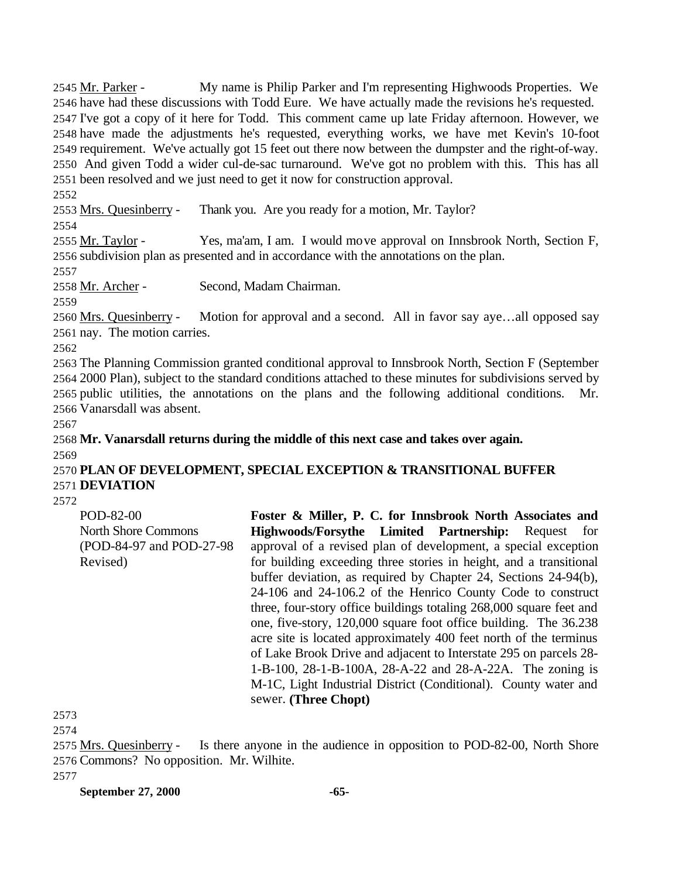Mr. Parker - My name is Philip Parker and I'm representing Highwoods Properties. We have had these discussions with Todd Eure. We have actually made the revisions he's requested. I've got a copy of it here for Todd. This comment came up late Friday afternoon. However, we have made the adjustments he's requested, everything works, we have met Kevin's 10-foot requirement. We've actually got 15 feet out there now between the dumpster and the right-of-way. And given Todd a wider cul-de-sac turnaround. We've got no problem with this. This has all been resolved and we just need to get it now for construction approval.

Mrs. Quesinberry - Thank you. Are you ready for a motion, Mr. Taylor?

 Mr. Taylor - Yes, ma'am, I am. I would move approval on Innsbrook North, Section F, subdivision plan as presented and in accordance with the annotations on the plan.

Mr. Archer - Second, Madam Chairman.

 Mrs. Quesinberry - Motion for approval and a second. All in favor say aye…all opposed say nay. The motion carries.

 The Planning Commission granted conditional approval to Innsbrook North, Section F (September 2000 Plan), subject to the standard conditions attached to these minutes for subdivisions served by public utilities, the annotations on the plans and the following additional conditions. Mr. Vanarsdall was absent.

 **Mr. Vanarsdall returns during the middle of this next case and takes over again.** 

 **PLAN OF DEVELOPMENT, SPECIAL EXCEPTION & TRANSITIONAL BUFFER DEVIATION**

POD-82-00 North Shore Commons (POD-84-97 and POD-27-98 Revised) **Foster & Miller, P. C. for Innsbrook North Associates and Highwoods/Forsythe Limited Partnership:** Request for approval of a revised plan of development, a special exception for building exceeding three stories in height, and a transitional buffer deviation, as required by Chapter 24, Sections 24-94(b), 24-106 and 24-106.2 of the Henrico County Code to construct three, four-story office buildings totaling 268,000 square feet and one, five-story, 120,000 square foot office building. The 36.238 acre site is located approximately 400 feet north of the terminus of Lake Brook Drive and adjacent to Interstate 295 on parcels 28- 1-B-100, 28-1-B-100A, 28-A-22 and 28-A-22A. The zoning is M-1C, Light Industrial District (Conditional). County water and sewer. **(Three Chopt)**

 Mrs. Quesinberry - Is there anyone in the audience in opposition to POD-82-00, North Shore Commons? No opposition. Mr. Wilhite.

**September 27, 2000 -65-**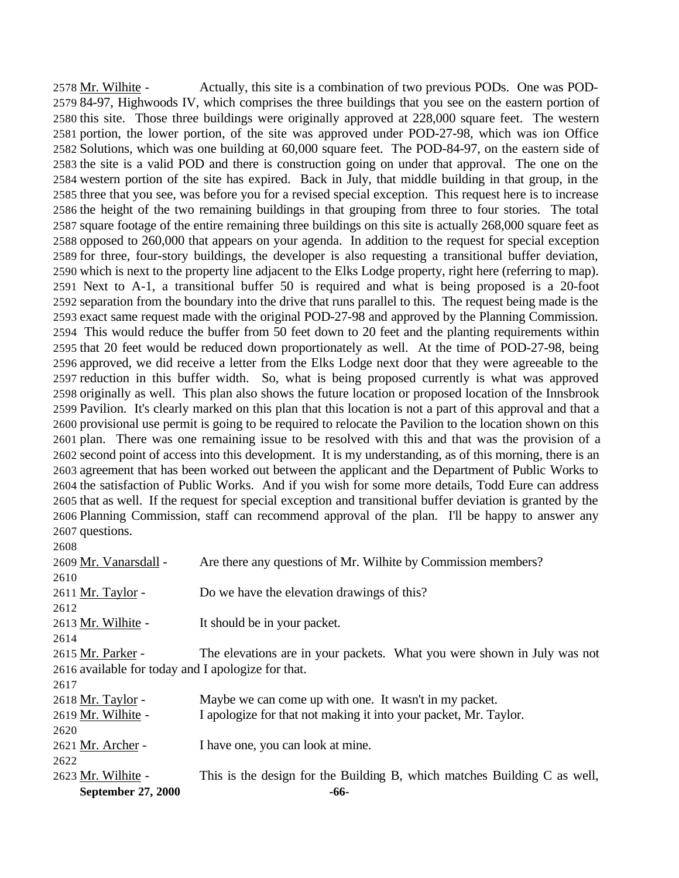Mr. Wilhite - Actually, this site is a combination of two previous PODs. One was POD- 84-97, Highwoods IV, which comprises the three buildings that you see on the eastern portion of this site. Those three buildings were originally approved at 228,000 square feet. The western portion, the lower portion, of the site was approved under POD-27-98, which was ion Office Solutions, which was one building at 60,000 square feet. The POD-84-97, on the eastern side of the site is a valid POD and there is construction going on under that approval. The one on the western portion of the site has expired. Back in July, that middle building in that group, in the three that you see, was before you for a revised special exception. This request here is to increase the height of the two remaining buildings in that grouping from three to four stories. The total square footage of the entire remaining three buildings on this site is actually 268,000 square feet as opposed to 260,000 that appears on your agenda. In addition to the request for special exception for three, four-story buildings, the developer is also requesting a transitional buffer deviation, which is next to the property line adjacent to the Elks Lodge property, right here (referring to map). Next to A-1, a transitional buffer 50 is required and what is being proposed is a 20-foot separation from the boundary into the drive that runs parallel to this. The request being made is the exact same request made with the original POD-27-98 and approved by the Planning Commission. This would reduce the buffer from 50 feet down to 20 feet and the planting requirements within that 20 feet would be reduced down proportionately as well. At the time of POD-27-98, being approved, we did receive a letter from the Elks Lodge next door that they were agreeable to the reduction in this buffer width. So, what is being proposed currently is what was approved originally as well. This plan also shows the future location or proposed location of the Innsbrook Pavilion. It's clearly marked on this plan that this location is not a part of this approval and that a provisional use permit is going to be required to relocate the Pavilion to the location shown on this plan. There was one remaining issue to be resolved with this and that was the provision of a second point of access into this development. It is my understanding, as of this morning, there is an agreement that has been worked out between the applicant and the Department of Public Works to the satisfaction of Public Works. And if you wish for some more details, Todd Eure can address that as well. If the request for special exception and transitional buffer deviation is granted by the Planning Commission, staff can recommend approval of the plan. I'll be happy to answer any questions.

| 2608                                               |                                                                          |
|----------------------------------------------------|--------------------------------------------------------------------------|
| 2609 Mr. Vanarsdall -                              | Are there any questions of Mr. Wilhite by Commission members?            |
| 2610                                               |                                                                          |
| 2611 Mr. Taylor -                                  | Do we have the elevation drawings of this?                               |
| 2612                                               |                                                                          |
| 2613 Mr. Wilhite -                                 | It should be in your packet.                                             |
| 2614                                               |                                                                          |
| 2615 Mr. Parker -                                  | The elevations are in your packets. What you were shown in July was not  |
| 2616 available for today and I apologize for that. |                                                                          |
| 2617                                               |                                                                          |
| 2618 Mr. Taylor -                                  | Maybe we can come up with one. It wasn't in my packet.                   |
| 2619 Mr. Wilhite -                                 | I apologize for that not making it into your packet, Mr. Taylor.         |
| 2620                                               |                                                                          |
| 2621 Mr. Archer -                                  | I have one, you can look at mine.                                        |
| 2622                                               |                                                                          |
| 2623 Mr. Wilhite -                                 | This is the design for the Building B, which matches Building C as well, |
| September 27, 2000                                 | -66-                                                                     |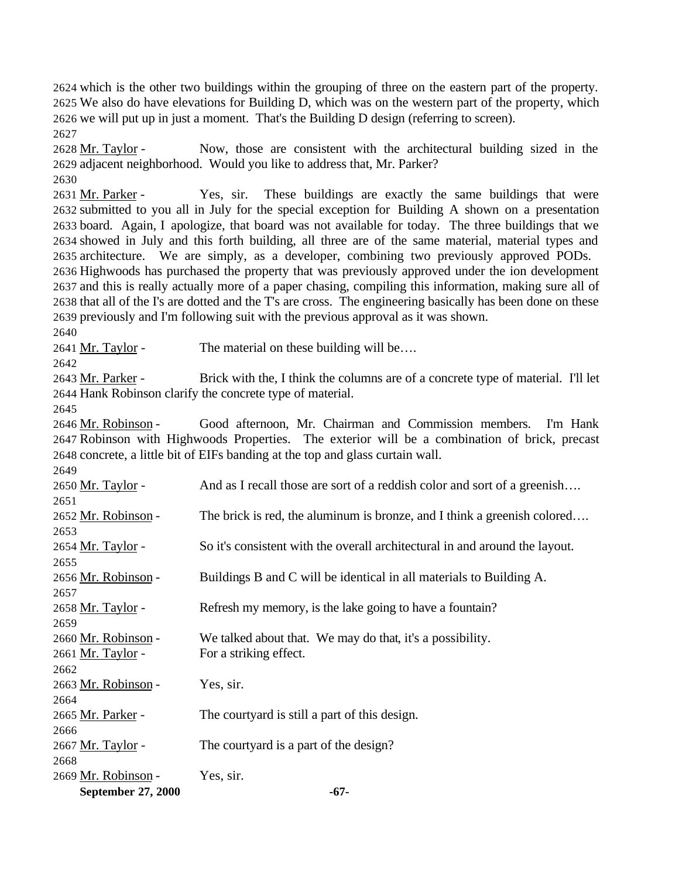which is the other two buildings within the grouping of three on the eastern part of the property. We also do have elevations for Building D, which was on the western part of the property, which we will put up in just a moment. That's the Building D design (referring to screen). 

 Mr. Taylor - Now, those are consistent with the architectural building sized in the adjacent neighborhood. Would you like to address that, Mr. Parker?

2631 Mr. Parker - Yes, sir. These buildings are exactly the same buildings that were submitted to you all in July for the special exception for Building A shown on a presentation board. Again, I apologize, that board was not available for today. The three buildings that we showed in July and this forth building, all three are of the same material, material types and architecture. We are simply, as a developer, combining two previously approved PODs. Highwoods has purchased the property that was previously approved under the ion development and this is really actually more of a paper chasing, compiling this information, making sure all of that all of the I's are dotted and the T's are cross. The engineering basically has been done on these previously and I'm following suit with the previous approval as it was shown.

2641 Mr. Taylor - The material on these building will be....

2643 Mr. Parker - Brick with the, I think the columns are of a concrete type of material. I'll let Hank Robinson clarify the concrete type of material.

 Mr. Robinson - Good afternoon, Mr. Chairman and Commission members. I'm Hank Robinson with Highwoods Properties. The exterior will be a combination of brick, precast concrete, a little bit of EIFs banding at the top and glass curtain wall.

| September 27, 2000  | $-67-$                                                                      |
|---------------------|-----------------------------------------------------------------------------|
| 2669 Mr. Robinson - | Yes, sir.                                                                   |
| 2668                |                                                                             |
| 2667 Mr. Taylor -   | The courty and is a part of the design?                                     |
| 2666                |                                                                             |
| 2665 Mr. Parker -   | The courty and is still a part of this design.                              |
| 2664                |                                                                             |
| 2663 Mr. Robinson - | Yes, sir.                                                                   |
| 2662                |                                                                             |
| 2661 Mr. Taylor -   | For a striking effect.                                                      |
| 2660 Mr. Robinson - | We talked about that. We may do that, it's a possibility.                   |
| 2659                |                                                                             |
| 2658 Mr. Taylor -   | Refresh my memory, is the lake going to have a fountain?                    |
| 2657                |                                                                             |
| 2656 Mr. Robinson - | Buildings B and C will be identical in all materials to Building A.         |
| 2655                |                                                                             |
| 2654 Mr. Taylor -   | So it's consistent with the overall architectural in and around the layout. |
| 2653                |                                                                             |
| 2652 Mr. Robinson - | The brick is red, the aluminum is bronze, and I think a greenish colored    |
| 2651                |                                                                             |
| 2650 Mr. Taylor -   | And as I recall those are sort of a reddish color and sort of a greenish    |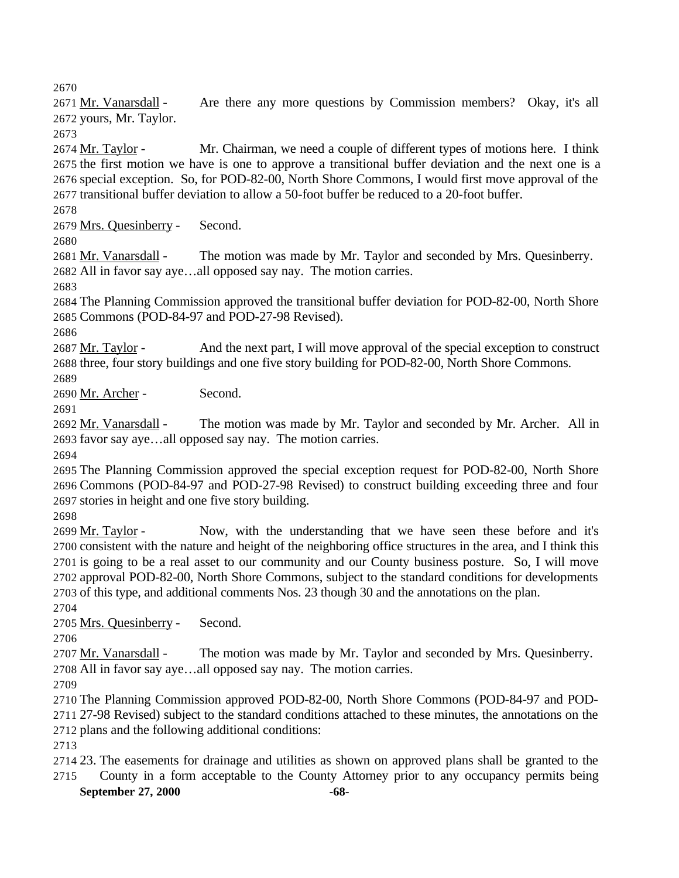2671 Mr. Vanarsdall - Are there any more questions by Commission members? Okay, it's all yours, Mr. Taylor.

 Mr. Taylor - Mr. Chairman, we need a couple of different types of motions here. I think the first motion we have is one to approve a transitional buffer deviation and the next one is a special exception. So, for POD-82-00, North Shore Commons, I would first move approval of the transitional buffer deviation to allow a 50-foot buffer be reduced to a 20-foot buffer.

Mrs. Quesinberry - Second.

2681 Mr. Vanarsdall - The motion was made by Mr. Taylor and seconded by Mrs. Quesinberry. All in favor say aye…all opposed say nay. The motion carries.

 The Planning Commission approved the transitional buffer deviation for POD-82-00, North Shore Commons (POD-84-97 and POD-27-98 Revised).

2687 Mr. Taylor - And the next part, I will move approval of the special exception to construct three, four story buildings and one five story building for POD-82-00, North Shore Commons. 

Mr. Archer - Second.

2692 Mr. Vanarsdall - The motion was made by Mr. Taylor and seconded by Mr. Archer. All in favor say aye…all opposed say nay. The motion carries.

 The Planning Commission approved the special exception request for POD-82-00, North Shore Commons (POD-84-97 and POD-27-98 Revised) to construct building exceeding three and four stories in height and one five story building.

 Mr. Taylor - Now, with the understanding that we have seen these before and it's consistent with the nature and height of the neighboring office structures in the area, and I think this is going to be a real asset to our community and our County business posture. So, I will move approval POD-82-00, North Shore Commons, subject to the standard conditions for developments of this type, and additional comments Nos. 23 though 30 and the annotations on the plan.

Mrs. Quesinberry - Second.

 Mr. Vanarsdall - The motion was made by Mr. Taylor and seconded by Mrs. Quesinberry. All in favor say aye…all opposed say nay. The motion carries.

 The Planning Commission approved POD-82-00, North Shore Commons (POD-84-97 and POD- 27-98 Revised) subject to the standard conditions attached to these minutes, the annotations on the plans and the following additional conditions:

**September 27, 2000 -68-** 23. The easements for drainage and utilities as shown on approved plans shall be granted to the County in a form acceptable to the County Attorney prior to any occupancy permits being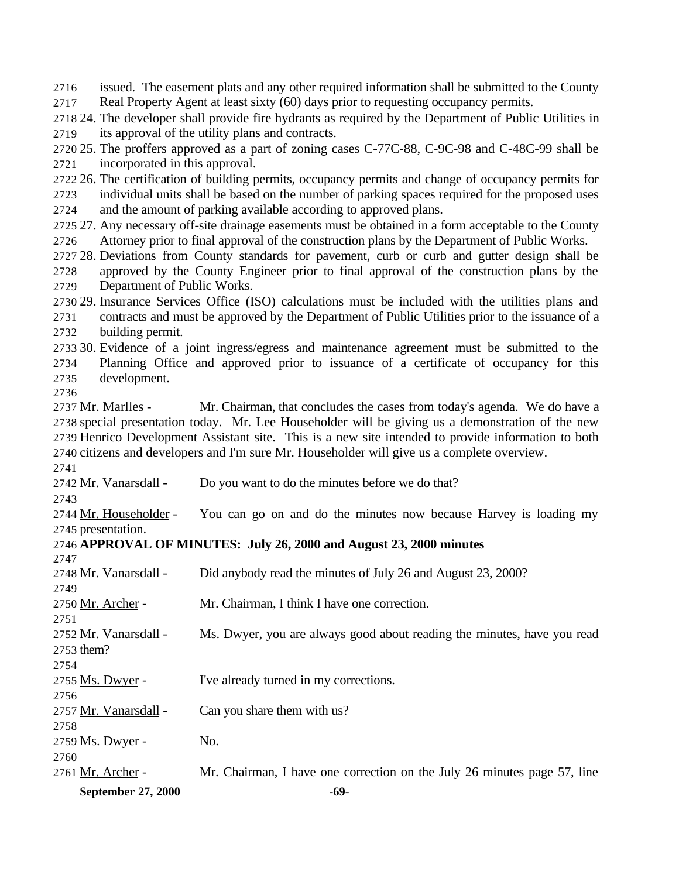issued. The easement plats and any other required information shall be submitted to the County Real Property Agent at least sixty (60) days prior to requesting occupancy permits.

 24. The developer shall provide fire hydrants as required by the Department of Public Utilities in its approval of the utility plans and contracts.

 25. The proffers approved as a part of zoning cases C-77C-88, C-9C-98 and C-48C-99 shall be incorporated in this approval.

 26. The certification of building permits, occupancy permits and change of occupancy permits for individual units shall be based on the number of parking spaces required for the proposed uses

and the amount of parking available according to approved plans.

 27. Any necessary off-site drainage easements must be obtained in a form acceptable to the County Attorney prior to final approval of the construction plans by the Department of Public Works.

 28. Deviations from County standards for pavement, curb or curb and gutter design shall be approved by the County Engineer prior to final approval of the construction plans by the Department of Public Works.

 29. Insurance Services Office (ISO) calculations must be included with the utilities plans and contracts and must be approved by the Department of Public Utilities prior to the issuance of a building permit.

 30. Evidence of a joint ingress/egress and maintenance agreement must be submitted to the Planning Office and approved prior to issuance of a certificate of occupancy for this development.

 Mr. Marlles - Mr. Chairman, that concludes the cases from today's agenda. We do have a special presentation today. Mr. Lee Householder will be giving us a demonstration of the new Henrico Development Assistant site. This is a new site intended to provide information to both citizens and developers and I'm sure Mr. Householder will give us a complete overview.

Mr. Vanarsdall - Do you want to do the minutes before we do that?

 Mr. Householder - You can go on and do the minutes now because Harvey is loading my presentation.

## **APPROVAL OF MINUTES: July 26, 2000 and August 23, 2000 minutes**

| <b>September 27, 2000</b> | -69-                                                                     |
|---------------------------|--------------------------------------------------------------------------|
| 2761 Mr. Archer -         | Mr. Chairman, I have one correction on the July 26 minutes page 57, line |
| 2760                      |                                                                          |
| 2759 Ms. Dwyer -          | No.                                                                      |
| 2758                      |                                                                          |
| 2757 Mr. Vanarsdall -     | Can you share them with us?                                              |
| 2756                      |                                                                          |
| 2755 Ms. Dwyer -          | I've already turned in my corrections.                                   |
| 2754                      |                                                                          |
| 2753 them?                |                                                                          |
| 2752 Mr. Vanarsdall -     | Ms. Dwyer, you are always good about reading the minutes, have you read  |
| 2751                      |                                                                          |
| 2750 Mr. Archer -         | Mr. Chairman, I think I have one correction.                             |
| 2749                      |                                                                          |
| 2748 Mr. Vanarsdall -     | Did anybody read the minutes of July 26 and August 23, 2000?             |
| 2747                      |                                                                          |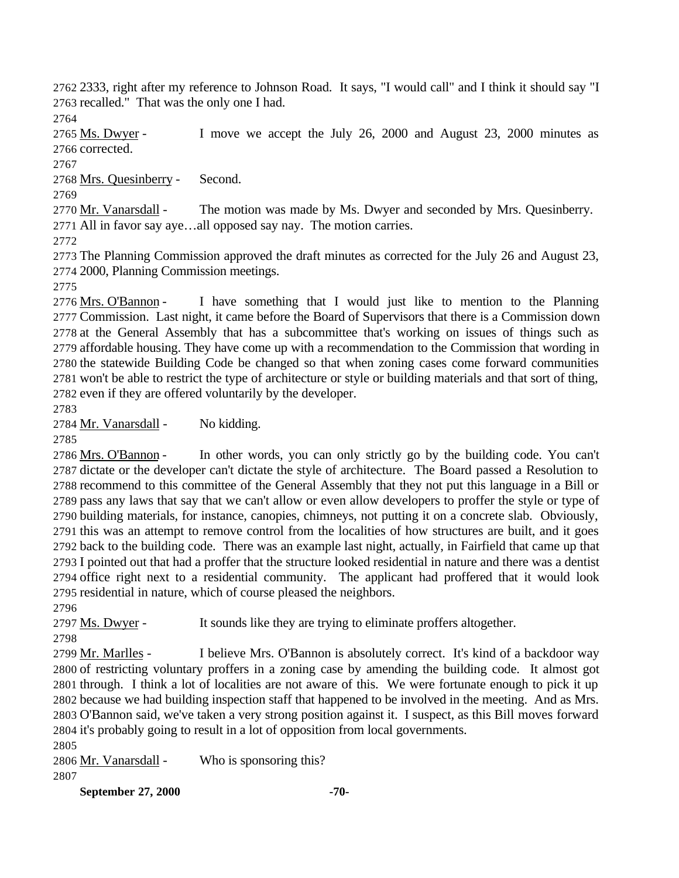2333, right after my reference to Johnson Road. It says, "I would call" and I think it should say "I recalled." That was the only one I had.

2765 Ms. Dwyer - I move we accept the July 26, 2000 and August 23, 2000 minutes as corrected.

Mrs. Quesinberry - Second.

 Mr. Vanarsdall - The motion was made by Ms. Dwyer and seconded by Mrs. Quesinberry. All in favor say aye…all opposed say nay. The motion carries.

 The Planning Commission approved the draft minutes as corrected for the July 26 and August 23, 2000, Planning Commission meetings.

 Mrs. O'Bannon - I have something that I would just like to mention to the Planning Commission. Last night, it came before the Board of Supervisors that there is a Commission down at the General Assembly that has a subcommittee that's working on issues of things such as affordable housing. They have come up with a recommendation to the Commission that wording in the statewide Building Code be changed so that when zoning cases come forward communities won't be able to restrict the type of architecture or style or building materials and that sort of thing, even if they are offered voluntarily by the developer.

Mr. Vanarsdall - No kidding.

 Mrs. O'Bannon - In other words, you can only strictly go by the building code. You can't dictate or the developer can't dictate the style of architecture. The Board passed a Resolution to recommend to this committee of the General Assembly that they not put this language in a Bill or pass any laws that say that we can't allow or even allow developers to proffer the style or type of building materials, for instance, canopies, chimneys, not putting it on a concrete slab. Obviously, this was an attempt to remove control from the localities of how structures are built, and it goes back to the building code. There was an example last night, actually, in Fairfield that came up that I pointed out that had a proffer that the structure looked residential in nature and there was a dentist office right next to a residential community. The applicant had proffered that it would look residential in nature, which of course pleased the neighbors.

Ms. Dwyer - It sounds like they are trying to eliminate proffers altogether.

 Mr. Marlles - I believe Mrs. O'Bannon is absolutely correct. It's kind of a backdoor way of restricting voluntary proffers in a zoning case by amending the building code. It almost got through. I think a lot of localities are not aware of this. We were fortunate enough to pick it up because we had building inspection staff that happened to be involved in the meeting. And as Mrs. O'Bannon said, we've taken a very strong position against it. I suspect, as this Bill moves forward it's probably going to result in a lot of opposition from local governments.

2806 Mr. Vanarsdall - Who is sponsoring this? 

**September 27, 2000 -70-**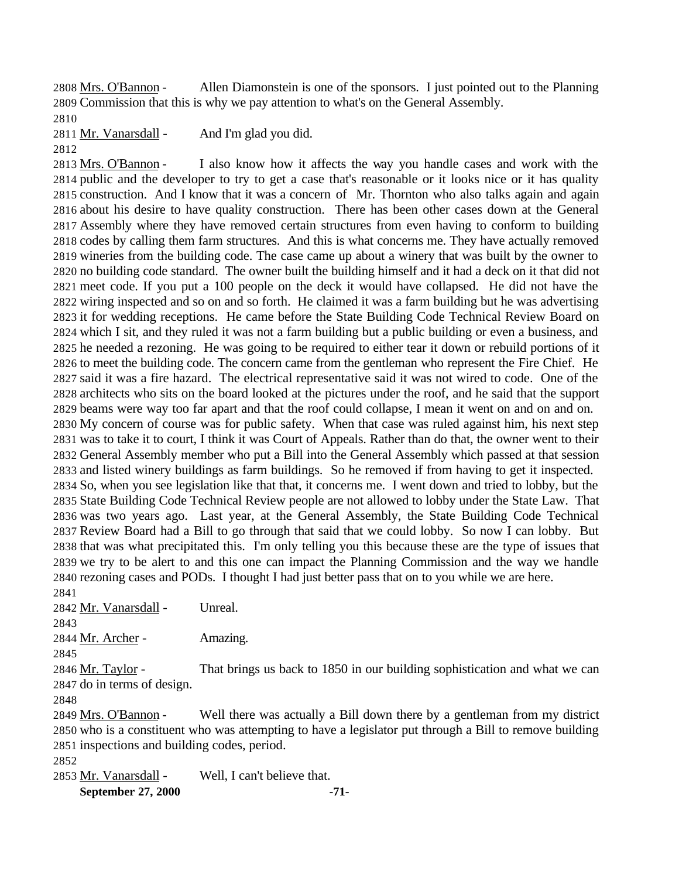Mrs. O'Bannon - Allen Diamonstein is one of the sponsors. I just pointed out to the Planning Commission that this is why we pay attention to what's on the General Assembly.

2811 Mr. Vanarsdall - And I'm glad you did.

2813 Mrs. O'Bannon - I also know how it affects the way you handle cases and work with the public and the developer to try to get a case that's reasonable or it looks nice or it has quality construction. And I know that it was a concern of Mr. Thornton who also talks again and again about his desire to have quality construction. There has been other cases down at the General Assembly where they have removed certain structures from even having to conform to building codes by calling them farm structures. And this is what concerns me. They have actually removed wineries from the building code. The case came up about a winery that was built by the owner to no building code standard. The owner built the building himself and it had a deck on it that did not meet code. If you put a 100 people on the deck it would have collapsed. He did not have the wiring inspected and so on and so forth. He claimed it was a farm building but he was advertising it for wedding receptions. He came before the State Building Code Technical Review Board on which I sit, and they ruled it was not a farm building but a public building or even a business, and he needed a rezoning. He was going to be required to either tear it down or rebuild portions of it to meet the building code. The concern came from the gentleman who represent the Fire Chief. He said it was a fire hazard. The electrical representative said it was not wired to code. One of the architects who sits on the board looked at the pictures under the roof, and he said that the support beams were way too far apart and that the roof could collapse, I mean it went on and on and on. My concern of course was for public safety. When that case was ruled against him, his next step was to take it to court, I think it was Court of Appeals. Rather than do that, the owner went to their General Assembly member who put a Bill into the General Assembly which passed at that session and listed winery buildings as farm buildings. So he removed if from having to get it inspected. So, when you see legislation like that that, it concerns me. I went down and tried to lobby, but the State Building Code Technical Review people are not allowed to lobby under the State Law. That was two years ago. Last year, at the General Assembly, the State Building Code Technical Review Board had a Bill to go through that said that we could lobby. So now I can lobby. But that was what precipitated this. I'm only telling you this because these are the type of issues that we try to be alert to and this one can impact the Planning Commission and the way we handle rezoning cases and PODs. I thought I had just better pass that on to you while we are here.

Mr. Vanarsdall - Unreal.

2844 Mr. Archer - Amazing. 

2846 Mr. Taylor - That brings us back to 1850 in our building sophistication and what we can do in terms of design.

2849 Mrs. O'Bannon - Well there was actually a Bill down there by a gentleman from my district who is a constituent who was attempting to have a legislator put through a Bill to remove building inspections and building codes, period.

Mr. Vanarsdall - Well, I can't believe that.

**September 27, 2000 -71-**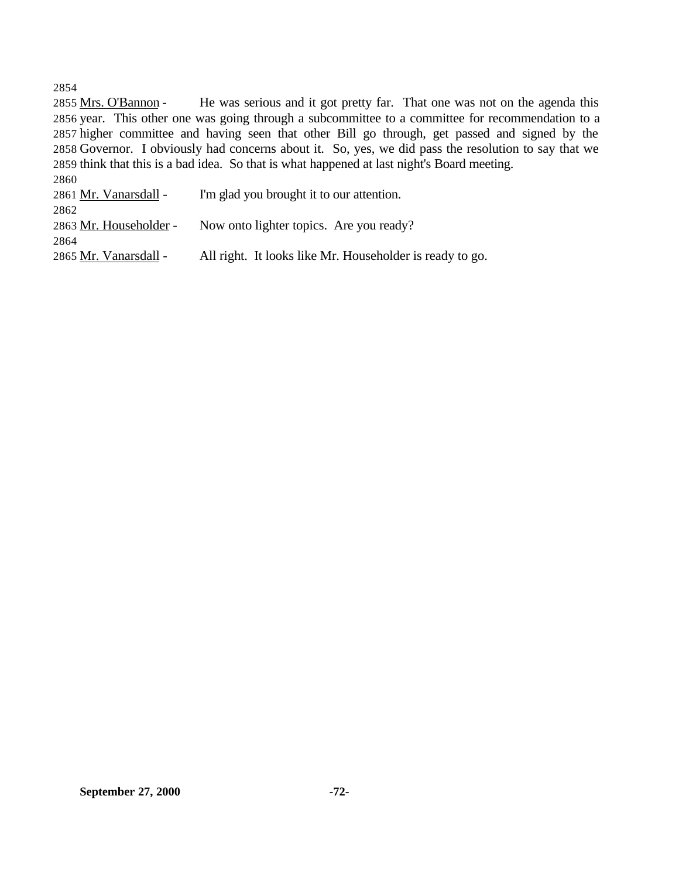2855 Mrs. O'Bannon - He was serious and it got pretty far. That one was not on the agenda this year. This other one was going through a subcommittee to a committee for recommendation to a higher committee and having seen that other Bill go through, get passed and signed by the Governor. I obviously had concerns about it. So, yes, we did pass the resolution to say that we think that this is a bad idea. So that is what happened at last night's Board meeting. 

| <b>2800</b>            |                                                          |
|------------------------|----------------------------------------------------------|
| 2861 Mr. Vanarsdall -  | I'm glad you brought it to our attention.                |
| 2862                   |                                                          |
| 2863 Mr. Householder - | Now onto lighter topics. Are you ready?                  |
| 2864                   |                                                          |
| 2865 Mr. Vanarsdall -  | All right. It looks like Mr. Householder is ready to go. |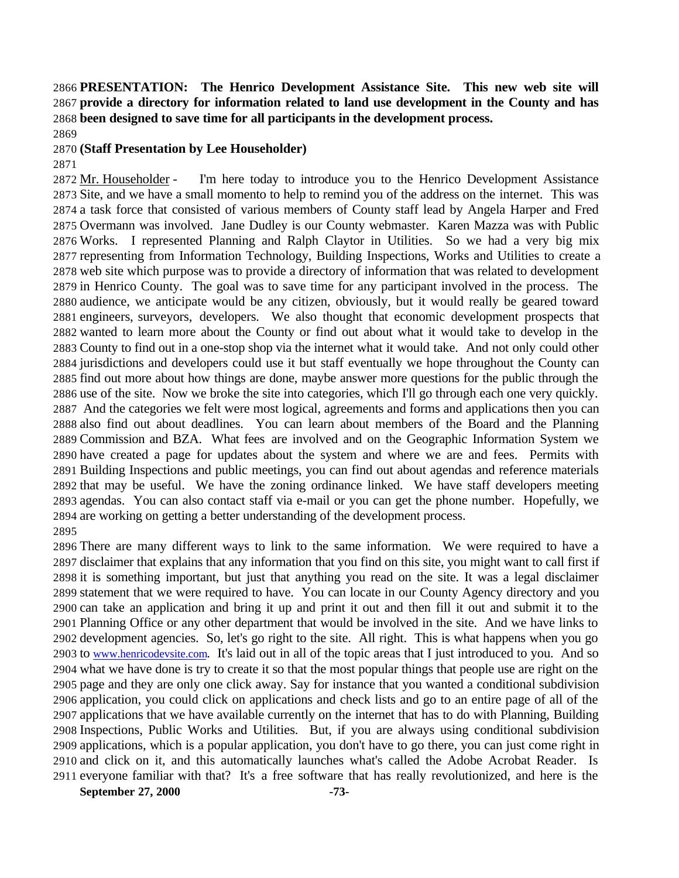## **PRESENTATION: The Henrico Development Assistance Site. This new web site will provide a directory for information related to land use development in the County and has been designed to save time for all participants in the development process.**

## **(Staff Presentation by Lee Householder)**

 Mr. Householder - I'm here today to introduce you to the Henrico Development Assistance Site, and we have a small momento to help to remind you of the address on the internet. This was a task force that consisted of various members of County staff lead by Angela Harper and Fred Overmann was involved. Jane Dudley is our County webmaster. Karen Mazza was with Public Works. I represented Planning and Ralph Claytor in Utilities. So we had a very big mix representing from Information Technology, Building Inspections, Works and Utilities to create a web site which purpose was to provide a directory of information that was related to development in Henrico County. The goal was to save time for any participant involved in the process. The audience, we anticipate would be any citizen, obviously, but it would really be geared toward engineers, surveyors, developers. We also thought that economic development prospects that wanted to learn more about the County or find out about what it would take to develop in the County to find out in a one-stop shop via the internet what it would take. And not only could other jurisdictions and developers could use it but staff eventually we hope throughout the County can find out more about how things are done, maybe answer more questions for the public through the use of the site. Now we broke the site into categories, which I'll go through each one very quickly. And the categories we felt were most logical, agreements and forms and applications then you can also find out about deadlines. You can learn about members of the Board and the Planning Commission and BZA. What fees are involved and on the Geographic Information System we have created a page for updates about the system and where we are and fees. Permits with Building Inspections and public meetings, you can find out about agendas and reference materials that may be useful. We have the zoning ordinance linked. We have staff developers meeting agendas. You can also contact staff via e-mail or you can get the phone number. Hopefully, we are working on getting a better understanding of the development process. 

 There are many different ways to link to the same information. We were required to have a disclaimer that explains that any information that you find on this site, you might want to call first if it is something important, but just that anything you read on the site. It was a legal disclaimer statement that we were required to have. You can locate in our County Agency directory and you can take an application and bring it up and print it out and then fill it out and submit it to the Planning Office or any other department that would be involved in the site. And we have links to development agencies. So, let's go right to the site. All right. This is what happens when you go to www.henricodevsite.com. It's laid out in all of the topic areas that I just introduced to you. And so what we have done is try to create it so that the most popular things that people use are right on the page and they are only one click away. Say for instance that you wanted a conditional subdivision application, you could click on applications and check lists and go to an entire page of all of the applications that we have available currently on the internet that has to do with Planning, Building Inspections, Public Works and Utilities. But, if you are always using conditional subdivision applications, which is a popular application, you don't have to go there, you can just come right in and click on it, and this automatically launches what's called the Adobe Acrobat Reader. Is everyone familiar with that? It's a free software that has really revolutionized, and here is the

**September 27, 2000 -73-**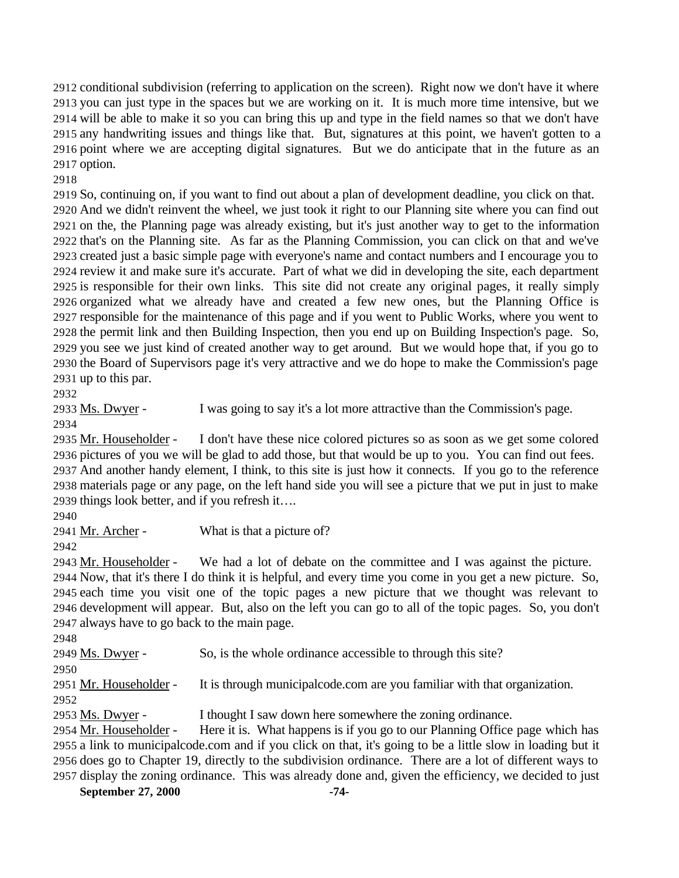conditional subdivision (referring to application on the screen). Right now we don't have it where you can just type in the spaces but we are working on it. It is much more time intensive, but we will be able to make it so you can bring this up and type in the field names so that we don't have any handwriting issues and things like that. But, signatures at this point, we haven't gotten to a point where we are accepting digital signatures. But we do anticipate that in the future as an option.

 So, continuing on, if you want to find out about a plan of development deadline, you click on that. And we didn't reinvent the wheel, we just took it right to our Planning site where you can find out on the, the Planning page was already existing, but it's just another way to get to the information that's on the Planning site. As far as the Planning Commission, you can click on that and we've created just a basic simple page with everyone's name and contact numbers and I encourage you to review it and make sure it's accurate. Part of what we did in developing the site, each department is responsible for their own links. This site did not create any original pages, it really simply organized what we already have and created a few new ones, but the Planning Office is responsible for the maintenance of this page and if you went to Public Works, where you went to the permit link and then Building Inspection, then you end up on Building Inspection's page. So, you see we just kind of created another way to get around. But we would hope that, if you go to the Board of Supervisors page it's very attractive and we do hope to make the Commission's page up to this par.

Ms. Dwyer - I was going to say it's a lot more attractive than the Commission's page.

2935 Mr. Householder - I don't have these nice colored pictures so as soon as we get some colored pictures of you we will be glad to add those, but that would be up to you. You can find out fees. And another handy element, I think, to this site is just how it connects. If you go to the reference materials page or any page, on the left hand side you will see a picture that we put in just to make things look better, and if you refresh it….

2941 Mr. Archer - What is that a picture of?

2943 Mr. Householder - We had a lot of debate on the committee and I was against the picture. Now, that it's there I do think it is helpful, and every time you come in you get a new picture. So, each time you visit one of the topic pages a new picture that we thought was relevant to development will appear. But, also on the left you can go to all of the topic pages. So, you don't always have to go back to the main page.

2949 Ms. Dwyer - So, is the whole ordinance accessible to through this site? 2951 Mr. Householder - It is through municipalcode.com are you familiar with that organization. 2953 Ms. Dwyer - I thought I saw down here somewhere the zoning ordinance.

2954 Mr. Householder - Here it is. What happens is if you go to our Planning Office page which has a link to municipalcode.com and if you click on that, it's going to be a little slow in loading but it does go to Chapter 19, directly to the subdivision ordinance. There are a lot of different ways to display the zoning ordinance. This was already done and, given the efficiency, we decided to just

**September 27, 2000 -74-**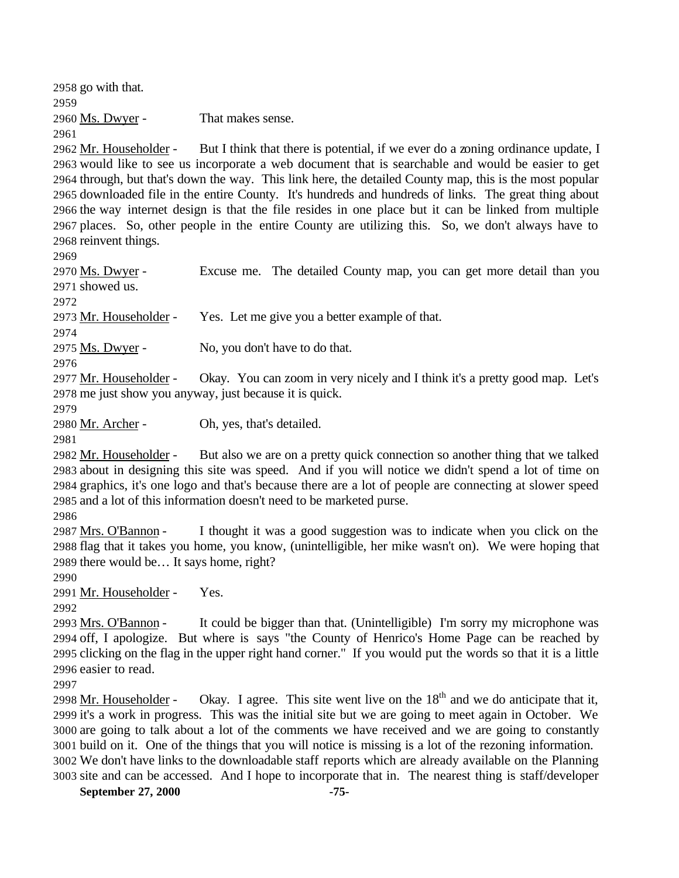go with that. Ms. Dwyer - That makes sense. 

 Mr. Householder - But I think that there is potential, if we ever do a zoning ordinance update, I would like to see us incorporate a web document that is searchable and would be easier to get through, but that's down the way. This link here, the detailed County map, this is the most popular downloaded file in the entire County. It's hundreds and hundreds of links. The great thing about the way internet design is that the file resides in one place but it can be linked from multiple places. So, other people in the entire County are utilizing this. So, we don't always have to reinvent things.

 Ms. Dwyer - Excuse me. The detailed County map, you can get more detail than you showed us.

Mr. Householder - Yes. Let me give you a better example of that.

2975 Ms. Dwyer - No, you don't have to do that.

2977 Mr. Householder - Okay. You can zoom in very nicely and I think it's a pretty good map. Let's me just show you anyway, just because it is quick.

2980 Mr. Archer - Oh, yes, that's detailed.

 Mr. Householder - But also we are on a pretty quick connection so another thing that we talked about in designing this site was speed. And if you will notice we didn't spend a lot of time on graphics, it's one logo and that's because there are a lot of people are connecting at slower speed and a lot of this information doesn't need to be marketed purse.

 Mrs. O'Bannon - I thought it was a good suggestion was to indicate when you click on the flag that it takes you home, you know, (unintelligible, her mike wasn't on). We were hoping that there would be… It says home, right?

Mr. Householder - Yes.

 Mrs. O'Bannon - It could be bigger than that. (Unintelligible) I'm sorry my microphone was off, I apologize. But where is says "the County of Henrico's Home Page can be reached by clicking on the flag in the upper right hand corner." If you would put the words so that it is a little easier to read.

2998 Mr. Householder - Okay. I agree. This site went live on the  $18<sup>th</sup>$  and we do anticipate that it, it's a work in progress. This was the initial site but we are going to meet again in October. We are going to talk about a lot of the comments we have received and we are going to constantly build on it. One of the things that you will notice is missing is a lot of the rezoning information. We don't have links to the downloadable staff reports which are already available on the Planning site and can be accessed. And I hope to incorporate that in. The nearest thing is staff/developer

**September 27, 2000 -75-**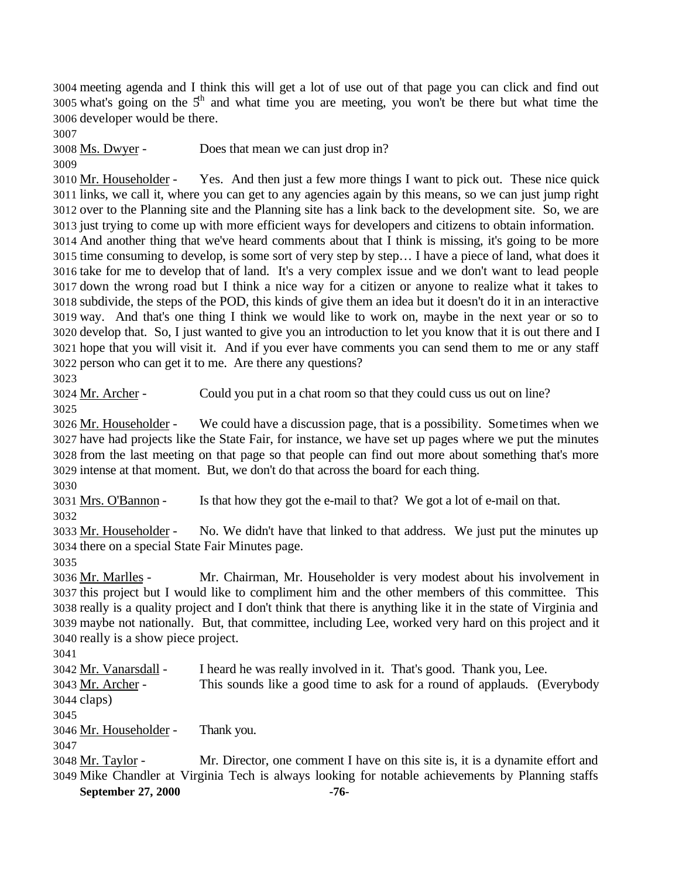meeting agenda and I think this will get a lot of use out of that page you can click and find out 3005 what's going on the  $5<sup>th</sup>$  and what time you are meeting, you won't be there but what time the developer would be there.

Ms. Dwyer - Does that mean we can just drop in?

 Mr. Householder - Yes. And then just a few more things I want to pick out. These nice quick links, we call it, where you can get to any agencies again by this means, so we can just jump right over to the Planning site and the Planning site has a link back to the development site. So, we are just trying to come up with more efficient ways for developers and citizens to obtain information. And another thing that we've heard comments about that I think is missing, it's going to be more time consuming to develop, is some sort of very step by step… I have a piece of land, what does it take for me to develop that of land. It's a very complex issue and we don't want to lead people down the wrong road but I think a nice way for a citizen or anyone to realize what it takes to subdivide, the steps of the POD, this kinds of give them an idea but it doesn't do it in an interactive way. And that's one thing I think we would like to work on, maybe in the next year or so to develop that. So, I just wanted to give you an introduction to let you know that it is out there and I hope that you will visit it. And if you ever have comments you can send them to me or any staff person who can get it to me. Are there any questions?

Mr. Archer - Could you put in a chat room so that they could cuss us out on line?

 Mr. Householder - We could have a discussion page, that is a possibility. Sometimes when we have had projects like the State Fair, for instance, we have set up pages where we put the minutes from the last meeting on that page so that people can find out more about something that's more intense at that moment. But, we don't do that across the board for each thing.

Mrs. O'Bannon - Is that how they got the e-mail to that? We got a lot of e-mail on that.

 Mr. Householder - No. We didn't have that linked to that address. We just put the minutes up there on a special State Fair Minutes page.

 Mr. Marlles - Mr. Chairman, Mr. Householder is very modest about his involvement in this project but I would like to compliment him and the other members of this committee. This really is a quality project and I don't think that there is anything like it in the state of Virginia and maybe not nationally. But, that committee, including Lee, worked very hard on this project and it really is a show piece project.

 Mr. Vanarsdall - I heard he was really involved in it. That's good. Thank you, Lee. Mr. Archer - This sounds like a good time to ask for a round of applauds. (Everybody claps) Mr. Householder - Thank you. 

**September 27, 2000 -76-** Mr. Taylor - Mr. Director, one comment I have on this site is, it is a dynamite effort and Mike Chandler at Virginia Tech is always looking for notable achievements by Planning staffs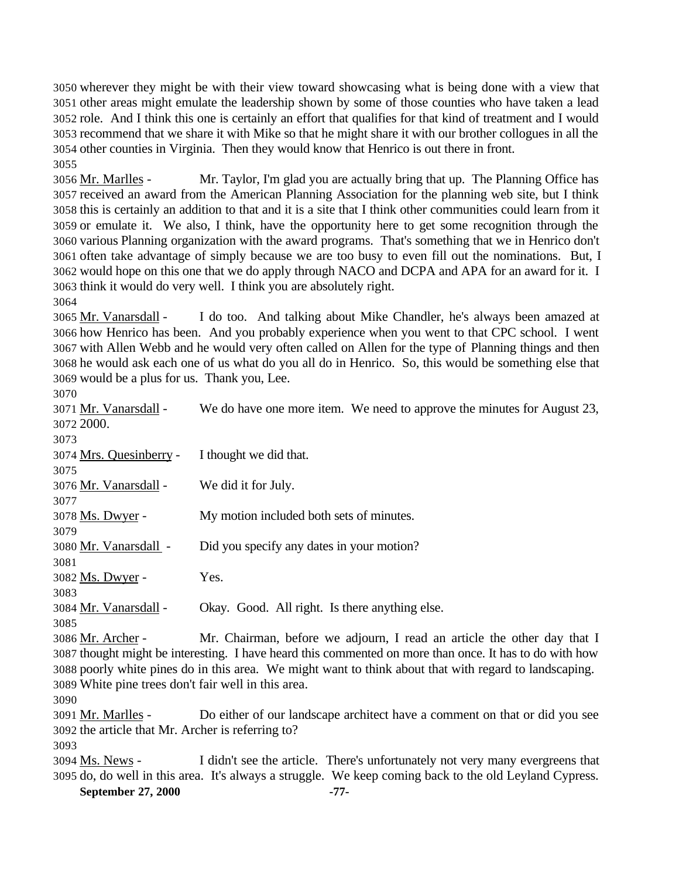wherever they might be with their view toward showcasing what is being done with a view that other areas might emulate the leadership shown by some of those counties who have taken a lead role. And I think this one is certainly an effort that qualifies for that kind of treatment and I would recommend that we share it with Mike so that he might share it with our brother collogues in all the other counties in Virginia. Then they would know that Henrico is out there in front. 

 Mr. Marlles - Mr. Taylor, I'm glad you are actually bring that up. The Planning Office has received an award from the American Planning Association for the planning web site, but I think this is certainly an addition to that and it is a site that I think other communities could learn from it or emulate it. We also, I think, have the opportunity here to get some recognition through the various Planning organization with the award programs. That's something that we in Henrico don't often take advantage of simply because we are too busy to even fill out the nominations. But, I would hope on this one that we do apply through NACO and DCPA and APA for an award for it. I think it would do very well. I think you are absolutely right.

 Mr. Vanarsdall - I do too. And talking about Mike Chandler, he's always been amazed at how Henrico has been. And you probably experience when you went to that CPC school. I went with Allen Webb and he would very often called on Allen for the type of Planning things and then he would ask each one of us what do you all do in Henrico. So, this would be something else that would be a plus for us. Thank you, Lee. 

| JU I U                                                                                                  |                                                                                                        |
|---------------------------------------------------------------------------------------------------------|--------------------------------------------------------------------------------------------------------|
| 3071 Mr. Vanarsdall -                                                                                   | We do have one more item. We need to approve the minutes for August 23,                                |
| 3072 2000.                                                                                              |                                                                                                        |
| 3073                                                                                                    |                                                                                                        |
| 3074 Mrs. Quesinberry -                                                                                 | I thought we did that.                                                                                 |
| 3075                                                                                                    |                                                                                                        |
| 3076 Mr. Vanarsdall -                                                                                   | We did it for July.                                                                                    |
| 3077                                                                                                    |                                                                                                        |
| 3078 Ms. Dwyer -                                                                                        | My motion included both sets of minutes.                                                               |
| 3079                                                                                                    |                                                                                                        |
| 3080 Mr. Vanarsdall -                                                                                   | Did you specify any dates in your motion?                                                              |
| 3081                                                                                                    |                                                                                                        |
| 3082 Ms. Dwyer -                                                                                        | Yes.                                                                                                   |
| 3083                                                                                                    |                                                                                                        |
| 3084 Mr. Vanarsdall -                                                                                   | Okay. Good. All right. Is there anything else.                                                         |
| 3085                                                                                                    |                                                                                                        |
| 3086 Mr. Archer -                                                                                       | Mr. Chairman, before we adjourn, I read an article the other day that I                                |
| 3087 thought might be interesting. I have heard this commented on more than once. It has to do with how |                                                                                                        |
|                                                                                                         | 3088 poorly white pines do in this area. We might want to think about that with regard to landscaping. |
| 3089 White pine trees don't fair well in this area.                                                     |                                                                                                        |
| 3090                                                                                                    |                                                                                                        |
| 3091 Mr. Marlles -                                                                                      | Do either of our landscape architect have a comment on that or did you see                             |

the article that Mr. Archer is referring to?

3094 Ms. News - I didn't see the article. There's unfortunately not very many evergreens that do, do well in this area. It's always a struggle. We keep coming back to the old Leyland Cypress.

**September 27, 2000 -77-**